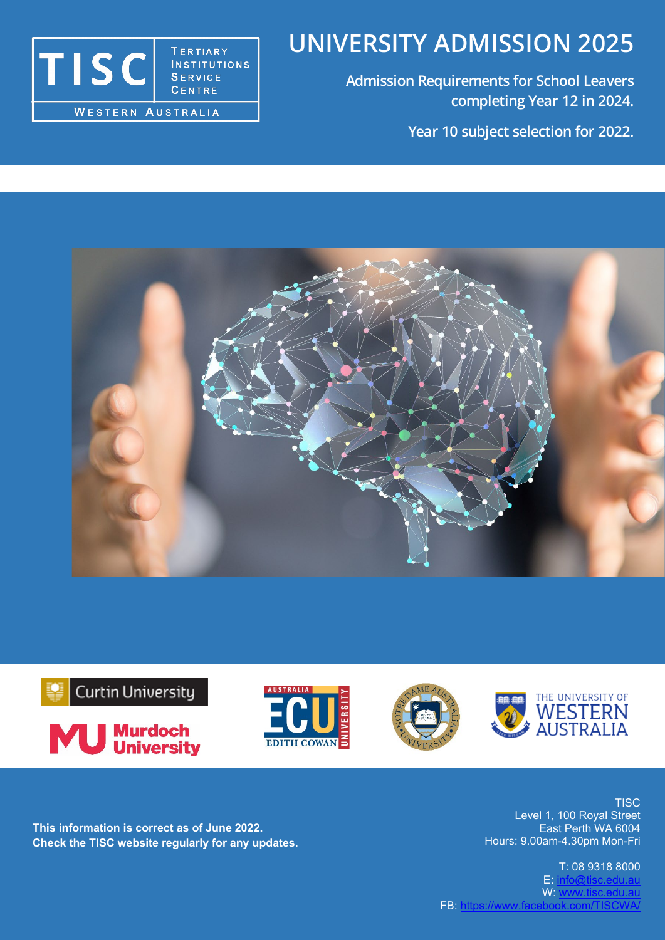# **UNIVERSITY ADMISSION 2025**

**Admission Requirements for School Leavers completing Year 12 in 2024. Year 10 subject selection for 2022.**















**This information is correct as of June 2022. Check the TISC website regularly for any updates.**

**TISC** Level 1, 100 Royal Street East Perth WA 6004 Hours: 9.00am-4.30pm Mon-Fri

FB: <u>https://www.facebook.com/TISCWA</u>/ T: 08 9318 8000  $E: info@tisc.edu.a$ W: [www.tisc.edu.au](http://www.tisc.edu.au/)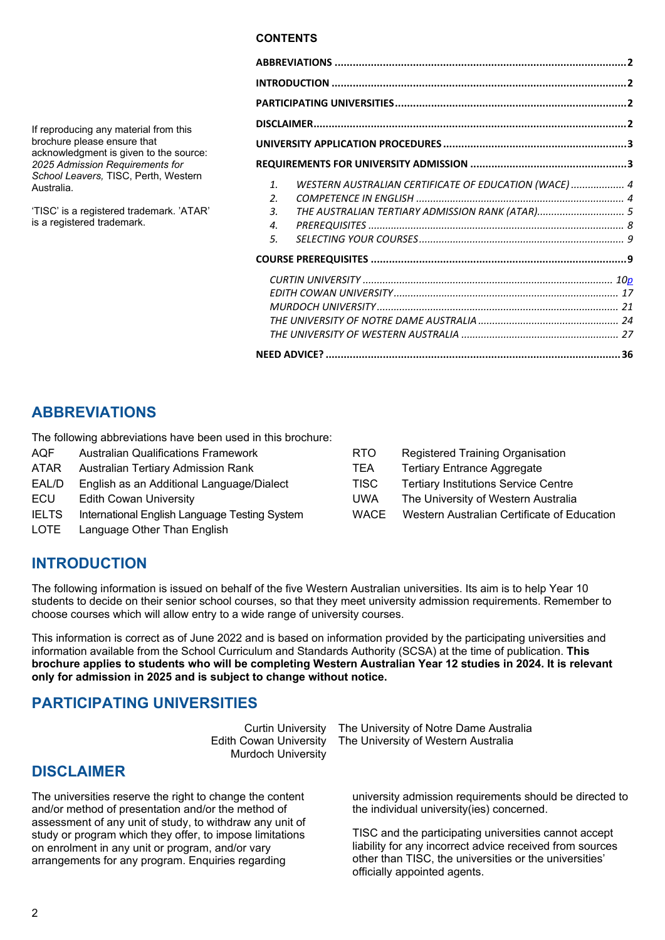#### **CONTENTS**

| $\mathbf{1}$       | WESTERN AUSTRALIAN CERTIFICATE OF EDUCATION (WACE) 4 |  |
|--------------------|------------------------------------------------------|--|
| $\mathfrak{D}$     |                                                      |  |
| $\mathbf{3}$ .     | THE AUSTRALIAN TERTIARY ADMISSION RANK (ATAR) 5      |  |
| $\boldsymbol{A}$ . |                                                      |  |
| 5.                 |                                                      |  |
|                    |                                                      |  |
|                    |                                                      |  |
|                    |                                                      |  |
|                    |                                                      |  |
|                    |                                                      |  |
|                    |                                                      |  |
|                    |                                                      |  |

## <span id="page-1-0"></span>**ABBREVIATIONS**

If reproducing any material from this brochure please ensure that

Australia.

acknowledgment is given to the source: *2025 Admission Requirements for School Leavers,* TISC, Perth, Western

'TISC' is a registered trademark. 'ATAR'

is a registered trademark.

The following abbreviations have been used in this brochure:

- AQF Australian Qualifications Framework ATAR Australian Tertiary Admission Rank EAL/D English as an Additional Language/Dialect ECU Edith Cowan University
- IELTS International English Language Testing System
- LOTE Language Other Than English

| RTO  | Registered Training Organisation            |
|------|---------------------------------------------|
| TEA  | <b>Tertiary Entrance Aggregate</b>          |
| TISC | <b>Tertiary Institutions Service Centre</b> |
| UWA  | The University of Western Australia         |
| WACE | Western Australian Certificate of Education |

## <span id="page-1-1"></span>**INTRODUCTION**

The following information is issued on behalf of the five Western Australian universities. Its aim is to help Year 10 students to decide on their senior school courses, so that they meet university admission requirements. Remember to choose courses which will allow entry to a wide range of university courses.

This information is correct as of June 2022 and is based on information provided by the participating universities and information available from the School Curriculum and Standards Authority (SCSA) at the time of publication. **This brochure applies to students who will be completing Western Australian Year 12 studies in 2024. It is relevant only for admission in 2025 and is subject to change without notice.**

## <span id="page-1-2"></span>**PARTICIPATING UNIVERSITIES**

Curtin University Edith Cowan University Murdoch University

## <span id="page-1-3"></span>**DISCLAIMER**

The universities reserve the right to change the content and/or method of presentation and/or the method of assessment of any unit of study, to withdraw any unit of study or program which they offer, to impose limitations on enrolment in any unit or program, and/or vary arrangements for any program. Enquiries regarding

The University of Notre Dame Australia The University of Western Australia

university admission requirements should be directed to the individual university(ies) concerned.

TISC and the participating universities cannot accept liability for any incorrect advice received from sources other than TISC, the universities or the universities' officially appointed agents.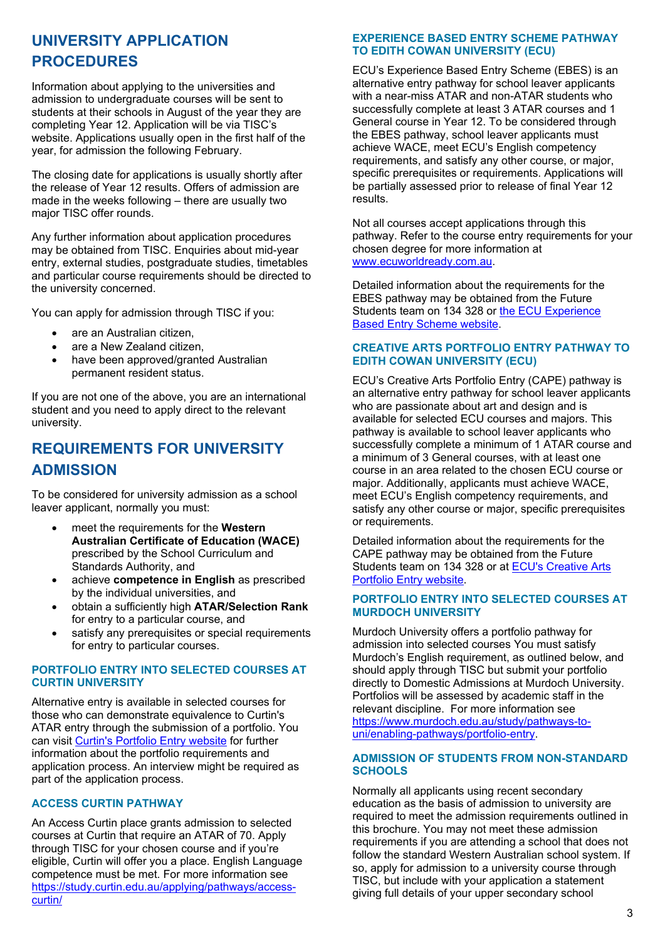## <span id="page-2-0"></span>**UNIVERSITY APPLICATION PROCEDURES**

Information about applying to the universities and admission to undergraduate courses will be sent to students at their schools in August of the year they are completing Year 12. Application will be via TISC's website. Applications usually open in the first half of the year, for admission the following February.

The closing date for applications is usually shortly after the release of Year 12 results. Offers of admission are made in the weeks following – there are usually two major TISC offer rounds.

Any further information about application procedures may be obtained from TISC. Enquiries about mid-year entry, external studies, postgraduate studies, timetables and particular course requirements should be directed to the university concerned.

You can apply for admission through TISC if you:

- are an Australian citizen.
- are a New Zealand citizen,
- have been approved/granted Australian permanent resident status.

If you are not one of the above, you are an international student and you need to apply direct to the relevant university.

## <span id="page-2-1"></span>**REQUIREMENTS FOR UNIVERSITY ADMISSION**

To be considered for university admission as a school leaver applicant, normally you must:

- meet the requirements for the **Western Australian Certificate of Education (WACE)** prescribed by the School Curriculum and Standards Authority, and
- achieve **competence in English** as prescribed by the individual universities, and
- obtain a sufficiently high **ATAR/Selection Rank** for entry to a particular course, and
- satisfy any prerequisites or special requirements for entry to particular courses.

#### **PORTFOLIO ENTRY INTO SELECTED COURSES AT CURTIN UNIVERSITY**

Alternative entry is available in selected courses for those who can demonstrate equivalence to Curtin's ATAR entry through the submission of a portfolio. You can visit [Curtin's Portfolio Entry website](https://study.curtin.edu.au/applying/pathways/portfolio-entry/) for further information about the portfolio requirements and application process. An interview might be required as part of the application process.

## **ACCESS CURTIN PATHWAY**

An Access Curtin place grants admission to selected courses at Curtin that require an ATAR of 70. Apply through TISC for your chosen course and if you're eligible, Curtin will offer you a place. English Language competence must be met. For more information see [https://study.curtin.edu.au/applying/pathways/access](https://study.curtin.edu.au/applying/pathways/access-curtin/)[curtin/](https://study.curtin.edu.au/applying/pathways/access-curtin/)

## **EXPERIENCE BASED ENTRY SCHEME PATHWAY TO EDITH COWAN UNIVERSITY (ECU)**

ECU's Experience Based Entry Scheme (EBES) is an alternative entry pathway for school leaver applicants with a near-miss ATAR and non-ATAR students who successfully complete at least 3 ATAR courses and 1 General course in Year 12. To be considered through the EBES pathway, school leaver applicants must achieve WACE, meet ECU's English competency requirements, and satisfy any other course, or major, specific prerequisites or requirements. Applications will be partially assessed prior to release of final Year 12 results.

Not all courses accept applications through this pathway. Refer to the course entry requirements for your chosen degree for more information at [www.ecuworldready.com.au.](http://www.ecuworldready.com.au/)

Detailed information about the requirements for the EBES pathway may be obtained from the Future Students team on 134 328 or [the ECU Experience](http://www.ecu.edu.au/future-students/course-entry/experience-based-entry-scheme)  [Based Entry Scheme website.](http://www.ecu.edu.au/future-students/course-entry/experience-based-entry-scheme)

#### **CREATIVE ARTS PORTFOLIO ENTRY PATHWAY TO EDITH COWAN UNIVERSITY (ECU)**

ECU's Creative Arts Portfolio Entry (CAPE) pathway is an alternative entry pathway for school leaver applicants who are passionate about art and design and is available for selected ECU courses and majors. This pathway is available to school leaver applicants who successfully complete a minimum of 1 ATAR course and a minimum of 3 General courses, with at least one course in an area related to the chosen ECU course or major. Additionally, applicants must achieve WACE, meet ECU's English competency requirements, and satisfy any other course or major, specific prerequisites or requirements.

Detailed information about the requirements for the CAPE pathway may be obtained from the Future Students team on 134 328 or at [ECU's Creative Arts](http://www.ecu.edu.au/future-students/course-entry/creative-arts-portfolio-entry)  [Portfolio Entry website.](http://www.ecu.edu.au/future-students/course-entry/creative-arts-portfolio-entry)

#### **PORTFOLIO ENTRY INTO SELECTED COURSES AT MURDOCH UNIVERSITY**

Murdoch University offers a portfolio pathway for admission into selected courses You must satisfy Murdoch's English requirement, as outlined below, and should apply through TISC but submit your portfolio directly to Domestic Admissions at Murdoch University. Portfolios will be assessed by academic staff in the relevant discipline. For more information see [https://www.murdoch.edu.au/study/pathways-to](https://www.murdoch.edu.au/study/pathways-to-uni/enabling-pathways/portfolio-entry)[uni/enabling-pathways/portfolio-entry.](https://www.murdoch.edu.au/study/pathways-to-uni/enabling-pathways/portfolio-entry)

#### **ADMISSION OF STUDENTS FROM NON-STANDARD SCHOOLS**

Normally all applicants using recent secondary education as the basis of admission to university are required to meet the admission requirements outlined in this brochure. You may not meet these admission requirements if you are attending a school that does not follow the standard Western Australian school system. If so, apply for admission to a university course through TISC, but include with your application a statement giving full details of your upper secondary school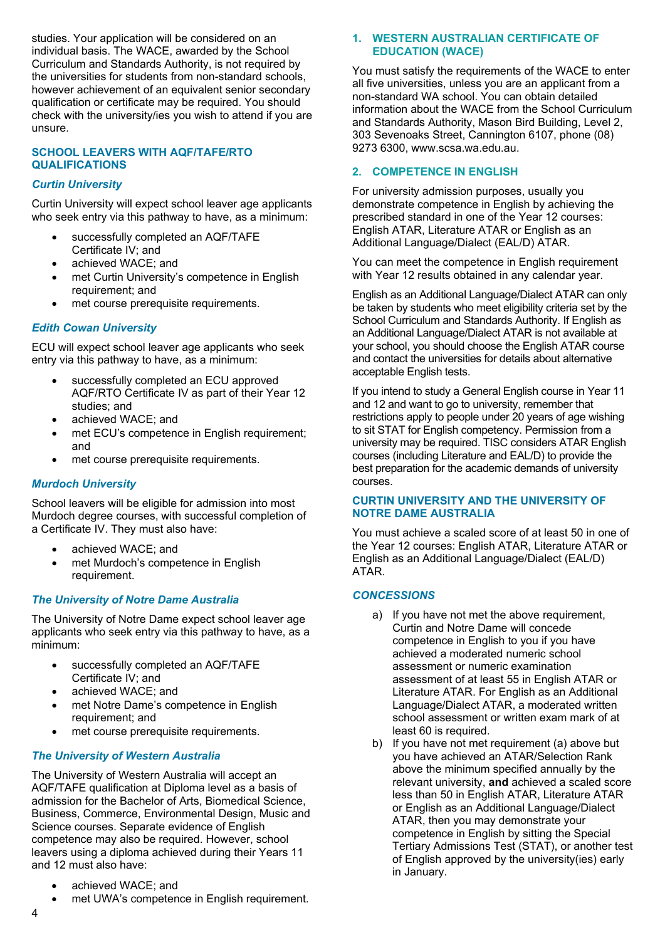studies. Your application will be considered on an individual basis. The WACE, awarded by the School Curriculum and Standards Authority, is not required by the universities for students from non-standard schools, however achievement of an equivalent senior secondary qualification or certificate may be required. You should check with the university/ies you wish to attend if you are unsure.

#### **SCHOOL LEAVERS WITH AQF/TAFE/RTO QUALIFICATIONS**

#### *Curtin University*

Curtin University will expect school leaver age applicants who seek entry via this pathway to have, as a minimum:

- successfully completed an AQF/TAFE Certificate IV; and
- achieved WACE; and
- met Curtin University's competence in English requirement; and
- met course prerequisite requirements.

#### *Edith Cowan University*

ECU will expect school leaver age applicants who seek entry via this pathway to have, as a minimum:

- successfully completed an ECU approved AQF/RTO Certificate IV as part of their Year 12 studies; and
- achieved WACE; and
- met ECU's competence in English requirement; and
- met course prerequisite requirements.

#### *Murdoch University*

School leavers will be eligible for admission into most Murdoch degree courses, with successful completion of a Certificate IV. They must also have:

- achieved WACE; and
- met Murdoch's competence in English requirement.

#### *The University of Notre Dame Australia*

The University of Notre Dame expect school leaver age applicants who seek entry via this pathway to have, as a minimum:

- successfully completed an AQF/TAFE Certificate IV; and
- achieved WACE; and
- met Notre Dame's competence in English requirement; and
- met course prerequisite requirements.

#### *The University of Western Australia*

The University of Western Australia will accept an AQF/TAFE qualification at Diploma level as a basis of admission for the Bachelor of Arts, Biomedical Science, Business, Commerce, Environmental Design, Music and Science courses. Separate evidence of English competence may also be required. However, school leavers using a diploma achieved during their Years 11 and 12 must also have:

- achieved WACE; and
- met UWA's competence in English requirement.

#### <span id="page-3-0"></span>**1. WESTERN AUSTRALIAN CERTIFICATE OF EDUCATION (WACE)**

You must satisfy the requirements of the WACE to enter all five universities, unless you are an applicant from a non-standard WA school. You can obtain detailed information about the WACE from the School Curriculum and Standards Authority, Mason Bird Building, Level 2, 303 Sevenoaks Street, Cannington 6107, phone (08) 9273 6300, www.scsa.wa.edu.au.

#### <span id="page-3-1"></span>**2. COMPETENCE IN ENGLISH**

For university admission purposes, usually you demonstrate competence in English by achieving the prescribed standard in one of the Year 12 courses: English ATAR, Literature ATAR or English as an Additional Language/Dialect (EAL/D) ATAR.

You can meet the competence in English requirement with Year 12 results obtained in any calendar year.

English as an Additional Language/Dialect ATAR can only be taken by students who meet eligibility criteria set by the School Curriculum and Standards Authority. If English as an Additional Language/Dialect ATAR is not available at your school, you should choose the English ATAR course and contact the universities for details about alternative acceptable English tests.

If you intend to study a General English course in Year 11 and 12 and want to go to university, remember that restrictions apply to people under 20 years of age wishing to sit STAT for English competency. Permission from a university may be required. TISC considers ATAR English courses (including Literature and EAL/D) to provide the best preparation for the academic demands of university courses.

#### **CURTIN UNIVERSITY AND THE UNIVERSITY OF NOTRE DAME AUSTRALIA**

You must achieve a scaled score of at least 50 in one of the Year 12 courses: English ATAR, Literature ATAR or English as an Additional Language/Dialect (EAL/D) ATAR.

#### *CONCESSIONS*

- a) If you have not met the above requirement, Curtin and Notre Dame will concede competence in English to you if you have achieved a moderated numeric school assessment or numeric examination assessment of at least 55 in English ATAR or Literature ATAR. For English as an Additional Language/Dialect ATAR, a moderated written school assessment or written exam mark of at least 60 is required.
- b) If you have not met requirement (a) above but you have achieved an ATAR/Selection Rank above the minimum specified annually by the relevant university, **and** achieved a scaled score less than 50 in English ATAR, Literature ATAR or English as an Additional Language/Dialect ATAR, then you may demonstrate your competence in English by sitting the Special Tertiary Admissions Test (STAT), or another test of English approved by the university(ies) early in January.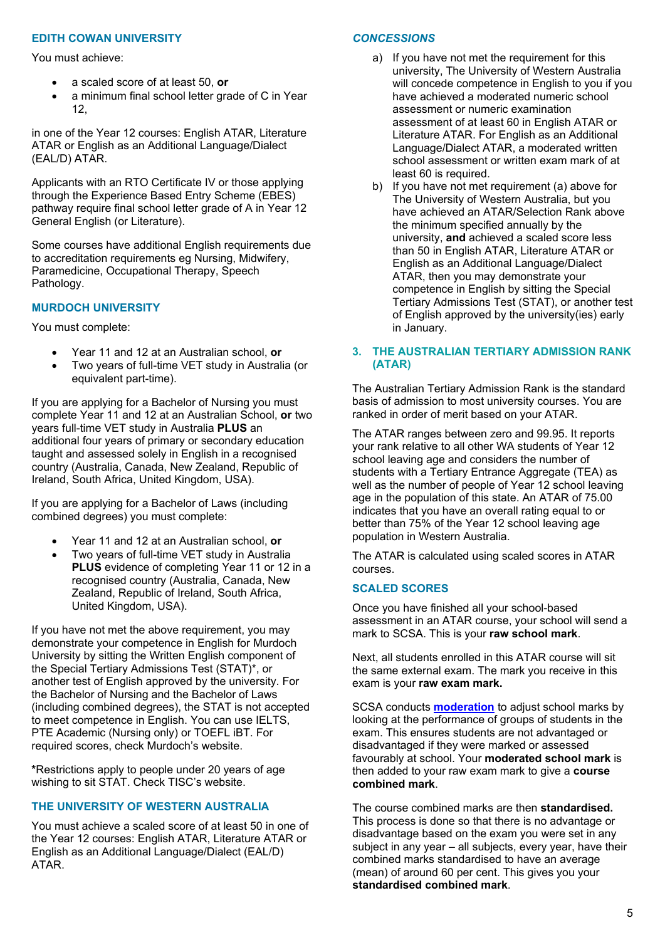#### **EDITH COWAN UNIVERSITY**

You must achieve:

- a scaled score of at least 50, **or**
- a minimum final school letter grade of C in Year 12,

in one of the Year 12 courses: English ATAR, Literature ATAR or English as an Additional Language/Dialect (EAL/D) ATAR.

Applicants with an RTO Certificate IV or those applying through the Experience Based Entry Scheme (EBES) pathway require final school letter grade of A in Year 12 General English (or Literature).

Some courses have additional English requirements due to accreditation requirements eg Nursing, Midwifery, Paramedicine, Occupational Therapy, Speech Pathology.

#### **MURDOCH UNIVERSITY**

You must complete:

- Year 11 and 12 at an Australian school, **or**
- Two years of full-time VET study in Australia (or equivalent part-time).

If you are applying for a Bachelor of Nursing you must complete Year 11 and 12 at an Australian School, **or** two years full-time VET study in Australia **PLUS** an additional four years of primary or secondary education taught and assessed solely in English in a recognised country (Australia, Canada, New Zealand, Republic of Ireland, South Africa, United Kingdom, USA).

If you are applying for a Bachelor of Laws (including combined degrees) you must complete:

- Year 11 and 12 at an Australian school, **or**
- Two years of full-time VET study in Australia **PLUS** evidence of completing Year 11 or 12 in a recognised country (Australia, Canada, New Zealand, Republic of Ireland, South Africa, United Kingdom, USA).

If you have not met the above requirement, you may demonstrate your competence in English for Murdoch University by sitting the Written English component of the Special Tertiary Admissions Test (STAT)\*, or another test of English approved by the university. For the Bachelor of Nursing and the Bachelor of Laws (including combined degrees), the STAT is not accepted to meet competence in English. You can use IELTS, PTE Academic (Nursing only) or TOEFL iBT. For required scores, check Murdoch's website.

**\***Restrictions apply to people under 20 years of age wishing to sit STAT. Check TISC's website.

#### **THE UNIVERSITY OF WESTERN AUSTRALIA**

You must achieve a scaled score of at least 50 in one of the Year 12 courses: English ATAR, Literature ATAR or English as an Additional Language/Dialect (EAL/D) ATAR.

#### *CONCESSIONS*

- a) If you have not met the requirement for this university, The University of Western Australia will concede competence in English to you if you have achieved a moderated numeric school assessment or numeric examination assessment of at least 60 in English ATAR or Literature ATAR. For English as an Additional Language/Dialect ATAR, a moderated written school assessment or written exam mark of at least 60 is required.
- b) If you have not met requirement (a) above for The University of Western Australia, but you have achieved an ATAR/Selection Rank above the minimum specified annually by the university, **and** achieved a scaled score less than 50 in English ATAR, Literature ATAR or English as an Additional Language/Dialect ATAR, then you may demonstrate your competence in English by sitting the Special Tertiary Admissions Test (STAT), or another test of English approved by the university(ies) early in January.

#### <span id="page-4-0"></span>**3. THE AUSTRALIAN TERTIARY ADMISSION RANK (ATAR)**

The Australian Tertiary Admission Rank is the standard basis of admission to most university courses. You are ranked in order of merit based on your ATAR.

The ATAR ranges between zero and 99.95. It reports your rank relative to all other WA students of Year 12 school leaving age and considers the number of students with a Tertiary Entrance Aggregate (TEA) as well as the number of people of Year 12 school leaving age in the population of this state. An ATAR of 75.00 indicates that you have an overall rating equal to or better than 75% of the Year 12 school leaving age population in Western Australia.

The ATAR is calculated using scaled scores in ATAR courses.

#### **SCALED SCORES**

Once you have finished all your school-based assessment in an ATAR course, your school will send a mark to SCSA. This is your **raw school mark**.

Next, all students enrolled in this ATAR course will sit the same external exam. The mark you receive in this exam is your **raw exam mark.**

SCSA conducts **[moderation](https://senior-secondary.scsa.wa.edu.au/moderation/about-moderation)** to adjust school marks by looking at the performance of groups of students in the exam. This ensures students are not advantaged or disadvantaged if they were marked or assessed favourably at school. Your **moderated school mark** is then added to your raw exam mark to give a **course combined mark**.

The course combined marks are then **standardised.**  This process is done so that there is no advantage or disadvantage based on the exam you were set in any subject in any year – all subjects, every year, have their combined marks standardised to have an average (mean) of around 60 per cent. This gives you your **standardised combined mark**.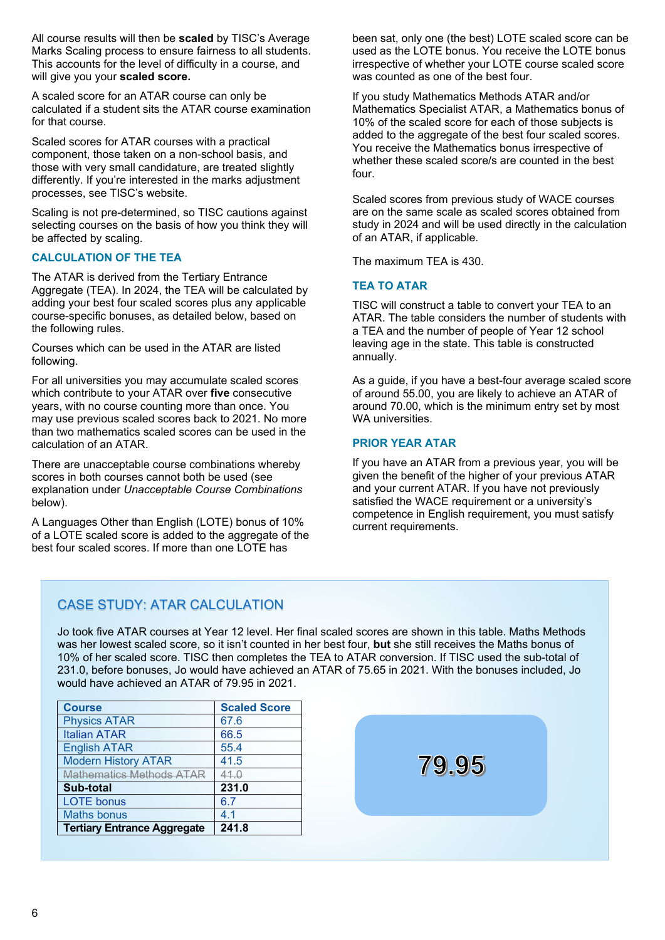All course results will then be **scaled** by TISC's Average Marks Scaling process to ensure fairness to all students. This accounts for the level of difficulty in a course, and will give you your **scaled score.**

A scaled score for an ATAR course can only be calculated if a student sits the ATAR course examination for that course.

Scaled scores for ATAR courses with a practical component, those taken on a non-school basis, and those with very small candidature, are treated slightly differently. If you're interested in the marks adjustment processes, see TISC's website.

Scaling is not pre-determined, so TISC cautions against selecting courses on the basis of how you think they will be affected by scaling.

#### **CALCULATION OF THE TEA**

The ATAR is derived from the Tertiary Entrance Aggregate (TEA). In 2024, the TEA will be calculated by adding your best four scaled scores plus any applicable course-specific bonuses, as detailed below, based on the following rules.

Courses which can be used in the ATAR are listed following.

For all universities you may accumulate scaled scores which contribute to your ATAR over **five** consecutive years, with no course counting more than once. You may use previous scaled scores back to 2021. No more than two mathematics scaled scores can be used in the calculation of an ATAR.

There are unacceptable course combinations whereby scores in both courses cannot both be used (see explanation under *Unacceptable Course Combinations* below).

A Languages Other than English (LOTE) bonus of 10% of a LOTE scaled score is added to the aggregate of the best four scaled scores. If more than one LOTE has

been sat, only one (the best) LOTE scaled score can be used as the LOTE bonus. You receive the LOTE bonus irrespective of whether your LOTE course scaled score was counted as one of the best four.

If you study Mathematics Methods ATAR and/or Mathematics Specialist ATAR, a Mathematics bonus of 10% of the scaled score for each of those subjects is added to the aggregate of the best four scaled scores. You receive the Mathematics bonus irrespective of whether these scaled score/s are counted in the best four.

Scaled scores from previous study of WACE courses are on the same scale as scaled scores obtained from study in 2024 and will be used directly in the calculation of an ATAR, if applicable.

The maximum TEA is 430.

#### **TEA TO ATAR**

TISC will construct a table to convert your TEA to an ATAR. The table considers the number of students with a TEA and the number of people of Year 12 school leaving age in the state. This table is constructed annually.

As a guide, if you have a best-four average scaled score of around 55.00, you are likely to achieve an ATAR of around 70.00, which is the minimum entry set by most WA universities.

#### **PRIOR YEAR ATAR**

If you have an ATAR from a previous year, you will be given the benefit of the higher of your previous ATAR and your current ATAR. If you have not previously satisfied the WACE requirement or a university's competence in English requirement, you must satisfy current requirements.

## CASE STUDY: ATAR CALCULATION

Jo took five ATAR courses at Year 12 level. Her final scaled scores are shown in this table. Maths Methods was her lowest scaled score, so it isn't counted in her best four, **but** she still receives the Maths bonus of 10% of her scaled score. TISC then completes the TEA to ATAR conversion. If TISC used the sub-total of 231.0, before bonuses, Jo would have achieved an ATAR of 75.65 in 2021. With the bonuses included, Jo would have achieved an ATAR of 79.95 in 2021.

| <b>Course</b>                      | <b>Scaled Score</b> |
|------------------------------------|---------------------|
| <b>Physics ATAR</b>                | 67.6                |
| <b>Italian ATAR</b>                | 66.5                |
| <b>English ATAR</b>                | 55.4                |
| <b>Modern History ATAR</b>         | 41.5                |
| Mathematics Methods ATAR           | 41.0                |
| Sub-total                          | 231.0               |
| <b>LOTE</b> bonus                  | 6.7                 |
| <b>Maths bonus</b>                 | 4.1                 |
| <b>Tertiary Entrance Aggregate</b> | 241.8               |

79.95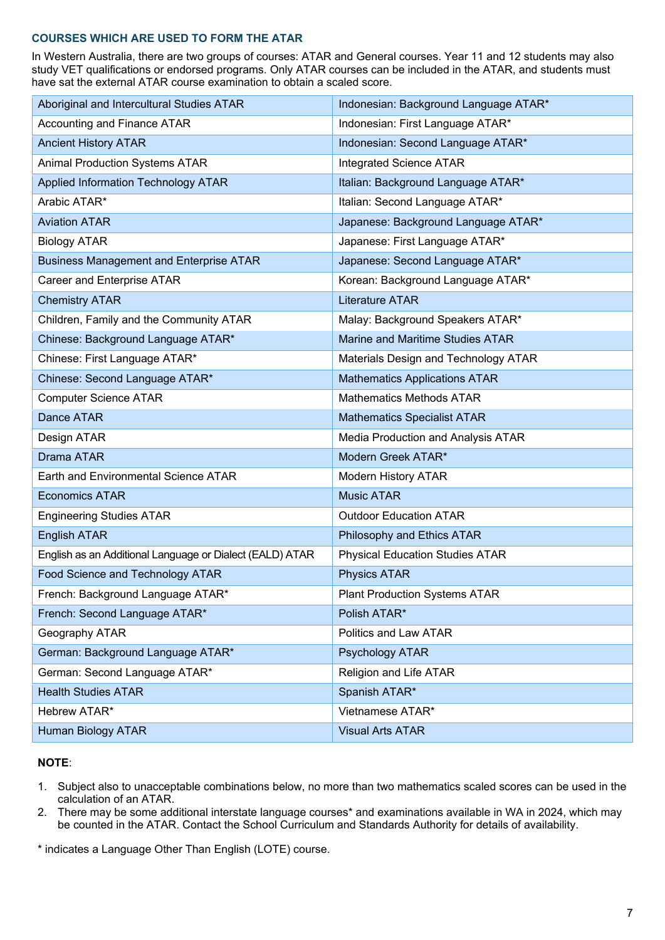#### **COURSES WHICH ARE USED TO FORM THE ATAR**

In Western Australia, there are two groups of courses: ATAR and General courses. Year 11 and 12 students may also study VET qualifications or endorsed programs. Only ATAR courses can be included in the ATAR, and students must have sat the external ATAR course examination to obtain a scaled score.

| Aboriginal and Intercultural Studies ATAR                | Indonesian: Background Language ATAR*  |
|----------------------------------------------------------|----------------------------------------|
| Accounting and Finance ATAR                              | Indonesian: First Language ATAR*       |
| <b>Ancient History ATAR</b>                              | Indonesian: Second Language ATAR*      |
| <b>Animal Production Systems ATAR</b>                    | <b>Integrated Science ATAR</b>         |
| Applied Information Technology ATAR                      | Italian: Background Language ATAR*     |
| Arabic ATAR*                                             | Italian: Second Language ATAR*         |
| <b>Aviation ATAR</b>                                     | Japanese: Background Language ATAR*    |
| <b>Biology ATAR</b>                                      | Japanese: First Language ATAR*         |
| <b>Business Management and Enterprise ATAR</b>           | Japanese: Second Language ATAR*        |
| Career and Enterprise ATAR                               | Korean: Background Language ATAR*      |
| <b>Chemistry ATAR</b>                                    | <b>Literature ATAR</b>                 |
| Children, Family and the Community ATAR                  | Malay: Background Speakers ATAR*       |
| Chinese: Background Language ATAR*                       | Marine and Maritime Studies ATAR       |
| Chinese: First Language ATAR*                            | Materials Design and Technology ATAR   |
| Chinese: Second Language ATAR*                           | <b>Mathematics Applications ATAR</b>   |
| <b>Computer Science ATAR</b>                             | <b>Mathematics Methods ATAR</b>        |
| Dance ATAR                                               | <b>Mathematics Specialist ATAR</b>     |
| Design ATAR                                              | Media Production and Analysis ATAR     |
| Drama ATAR                                               | Modern Greek ATAR*                     |
| Earth and Environmental Science ATAR                     | <b>Modern History ATAR</b>             |
| <b>Economics ATAR</b>                                    | <b>Music ATAR</b>                      |
| <b>Engineering Studies ATAR</b>                          | <b>Outdoor Education ATAR</b>          |
| <b>English ATAR</b>                                      | Philosophy and Ethics ATAR             |
| English as an Additional Language or Dialect (EALD) ATAR | <b>Physical Education Studies ATAR</b> |
| Food Science and Technology ATAR                         | <b>Physics ATAR</b>                    |
| French: Background Language ATAR*                        | <b>Plant Production Systems ATAR</b>   |
| French: Second Language ATAR*                            | Polish ATAR*                           |
| Geography ATAR                                           | Politics and Law ATAR                  |
| German: Background Language ATAR*                        | Psychology ATAR                        |
| German: Second Language ATAR*                            | Religion and Life ATAR                 |
| <b>Health Studies ATAR</b>                               | Spanish ATAR*                          |
| Hebrew ATAR*                                             | Vietnamese ATAR*                       |
| <b>Human Biology ATAR</b>                                | <b>Visual Arts ATAR</b>                |

#### **NOTE**:

- 1. Subject also to unacceptable combinations below, no more than two mathematics scaled scores can be used in the calculation of an ATAR.
- 2. There may be some additional interstate language courses\* and examinations available in WA in 2024, which may be counted in the ATAR. Contact the School Curriculum and Standards Authority for details of availability.
- \* indicates a Language Other Than English (LOTE) course.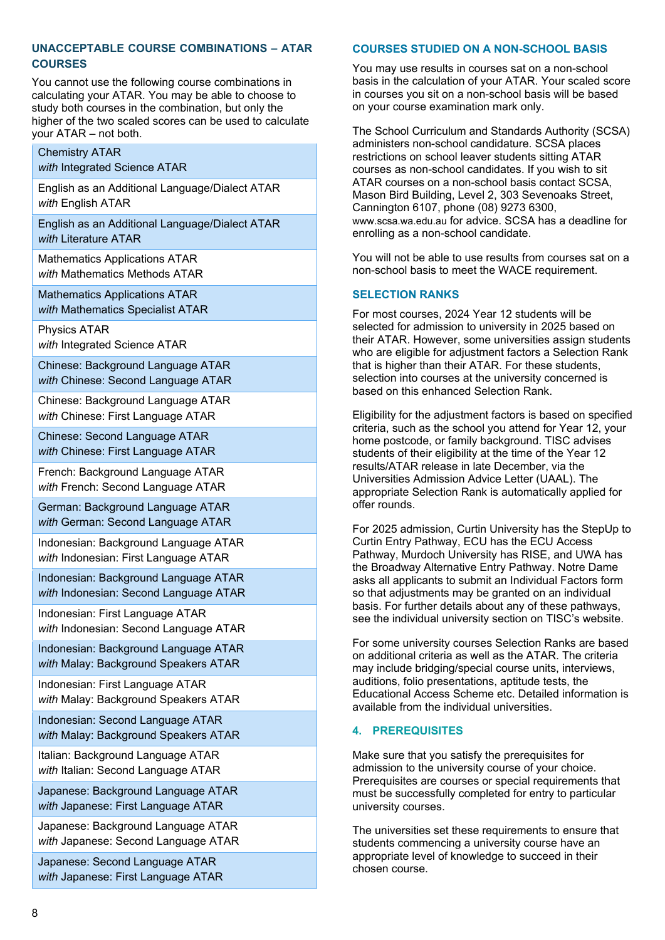#### **UNACCEPTABLE COURSE COMBINATIONS – ATAR COURSES**

You cannot use the following course combinations in calculating your ATAR. You may be able to choose to study both courses in the combination, but only the higher of the two scaled scores can be used to calculate your ATAR – not both.

## Chemistry ATAR

*with* Integrated Science ATAR

English as an Additional Language/Dialect ATAR *with* English ATAR

English as an Additional Language/Dialect ATAR *with* Literature ATAR

Mathematics Applications ATAR *with* Mathematics Methods ATAR

Mathematics Applications ATAR *with* Mathematics Specialist ATAR

Physics ATAR *with* Integrated Science ATAR

Chinese: Background Language ATAR *with* Chinese: Second Language ATAR

Chinese: Background Language ATAR *with* Chinese: First Language ATAR

Chinese: Second Language ATAR *with* Chinese: First Language ATAR

French: Background Language ATAR *with* French: Second Language ATAR

German: Background Language ATAR *with* German: Second Language ATAR

Indonesian: Background Language ATAR *with* Indonesian: First Language ATAR

Indonesian: Background Language ATAR *with* Indonesian: Second Language ATAR

Indonesian: First Language ATAR *with* Indonesian: Second Language ATAR

Indonesian: Background Language ATAR *with* Malay: Background Speakers ATAR

Indonesian: First Language ATAR *with* Malay: Background Speakers ATAR

Indonesian: Second Language ATAR *with* Malay: Background Speakers ATAR

Italian: Background Language ATAR with Italian: Second Language ATAR

Japanese: Background Language ATAR *with* Japanese: First Language ATAR

Japanese: Background Language ATAR *with* Japanese: Second Language ATAR

Japanese: Second Language ATAR *with* Japanese: First Language ATAR

#### **COURSES STUDIED ON A NON-SCHOOL BASIS**

You may use results in courses sat on a non-school basis in the calculation of your ATAR. Your scaled score in courses you sit on a non-school basis will be based on your course examination mark only.

The School Curriculum and Standards Authority (SCSA) administers non-school candidature. SCSA places restrictions on school leaver students sitting ATAR courses as non-school candidates. If you wish to sit ATAR courses on a non-school basis contact SCSA, Mason Bird Building, Level 2, 303 Sevenoaks Street, Cannington 6107, phone (08) 9273 6300, [www.scsa.wa.edu.au](http://www.scsa.wa.edu.au/) for advice. SCSA has a deadline for enrolling as a non-school candidate.

You will not be able to use results from courses sat on a non-school basis to meet the WACE requirement.

#### **SELECTION RANKS**

For most courses, 2024 Year 12 students will be selected for admission to university in 2025 based on their ATAR. However, some universities assign students who are eligible for adjustment factors a Selection Rank that is higher than their ATAR. For these students, selection into courses at the university concerned is based on this enhanced Selection Rank.

Eligibility for the adjustment factors is based on specified criteria, such as the school you attend for Year 12, your home postcode, or family background. TISC advises students of their eligibility at the time of the Year 12 results/ATAR release in late December, via the Universities Admission Advice Letter (UAAL). The appropriate Selection Rank is automatically applied for offer rounds.

For 2025 admission, Curtin University has the StepUp to Curtin Entry Pathway, ECU has the ECU Access Pathway, Murdoch University has RISE, and UWA has the Broadway Alternative Entry Pathway. Notre Dame asks all applicants to submit an Individual Factors form so that adjustments may be granted on an individual basis. For further details about any of these pathways, see the individual university section on TISC's website.

For some university courses Selection Ranks are based on additional criteria as well as the ATAR. The criteria may include bridging/special course units, interviews, auditions, folio presentations, aptitude tests, the Educational Access Scheme etc. Detailed information is available from the individual universities.

#### <span id="page-7-0"></span>**4. PREREQUISITES**

Make sure that you satisfy the prerequisites for admission to the university course of your choice. Prerequisites are courses or special requirements that must be successfully completed for entry to particular university courses.

The universities set these requirements to ensure that students commencing a university course have an appropriate level of knowledge to succeed in their chosen course.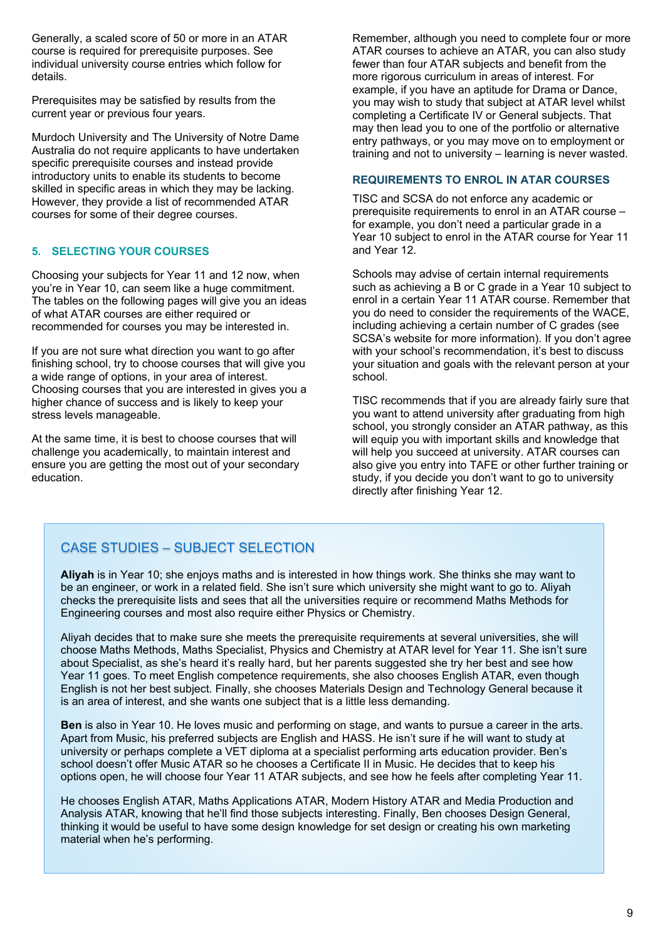Generally, a scaled score of 50 or more in an ATAR course is required for prerequisite purposes. See individual university course entries which follow for details.

Prerequisites may be satisfied by results from the current year or previous four years.

Murdoch University and The University of Notre Dame Australia do not require applicants to have undertaken specific prerequisite courses and instead provide introductory units to enable its students to become skilled in specific areas in which they may be lacking. However, they provide a list of recommended ATAR courses for some of their degree courses.

#### <span id="page-8-0"></span>**5. SELECTING YOUR COURSES**

Choosing your subjects for Year 11 and 12 now, when you're in Year 10, can seem like a huge commitment. The tables on the following pages will give you an ideas of what ATAR courses are either required or recommended for courses you may be interested in.

If you are not sure what direction you want to go after finishing school, try to choose courses that will give you a wide range of options, in your area of interest. Choosing courses that you are interested in gives you a higher chance of success and is likely to keep your stress levels manageable.

At the same time, it is best to choose courses that will challenge you academically, to maintain interest and ensure you are getting the most out of your secondary education.

Remember, although you need to complete four or more ATAR courses to achieve an ATAR, you can also study fewer than four ATAR subjects and benefit from the more rigorous curriculum in areas of interest. For example, if you have an aptitude for Drama or Dance, you may wish to study that subject at ATAR level whilst completing a Certificate IV or General subjects. That may then lead you to one of the portfolio or alternative entry pathways, or you may move on to employment or training and not to university – learning is never wasted.

#### **REQUIREMENTS TO ENROL IN ATAR COURSES**

TISC and SCSA do not enforce any academic or prerequisite requirements to enrol in an ATAR course – for example, you don't need a particular grade in a Year 10 subject to enrol in the ATAR course for Year 11 and Year 12.

Schools may advise of certain internal requirements such as achieving a B or C grade in a Year 10 subject to enrol in a certain Year 11 ATAR course. Remember that you do need to consider the requirements of the WACE, including achieving a certain number of C grades (see SCSA's website for more information). If you don't agree with your school's recommendation, it's best to discuss your situation and goals with the relevant person at your school.

TISC recommends that if you are already fairly sure that you want to attend university after graduating from high school, you strongly consider an ATAR pathway, as this will equip you with important skills and knowledge that will help you succeed at university. ATAR courses can also give you entry into TAFE or other further training or study, if you decide you don't want to go to university directly after finishing Year 12.

## CASE STUDIES – SUBJECT SELECTION

**Aliyah** is in Year 10; she enjoys maths and is interested in how things work. She thinks she may want to be an engineer, or work in a related field. She isn't sure which university she might want to go to. Aliyah checks the prerequisite lists and sees that all the universities require or recommend Maths Methods for Engineering courses and most also require either Physics or Chemistry.

Aliyah decides that to make sure she meets the prerequisite requirements at several universities, she will choose Maths Methods, Maths Specialist, Physics and Chemistry at ATAR level for Year 11. She isn't sure about Specialist, as she's heard it's really hard, but her parents suggested she try her best and see how Year 11 goes. To meet English competence requirements, she also chooses English ATAR, even though English is not her best subject. Finally, she chooses Materials Design and Technology General because it is an area of interest, and she wants one subject that is a little less demanding.

**Ben** is also in Year 10. He loves music and performing on stage, and wants to pursue a career in the arts. Apart from Music, his preferred subjects are English and HASS. He isn't sure if he will want to study at university or perhaps complete a VET diploma at a specialist performing arts education provider. Ben's school doesn't offer Music ATAR so he chooses a Certificate II in Music. He decides that to keep his options open, he will choose four Year 11 ATAR subjects, and see how he feels after completing Year 11.

<span id="page-8-1"></span>He chooses English ATAR, Maths Applications ATAR, Modern History ATAR and Media Production and Analysis ATAR, knowing that he'll find those subjects interesting. Finally, Ben chooses Design General, thinking it would be useful to have some design knowledge for set design or creating his own marketing material when he's performing.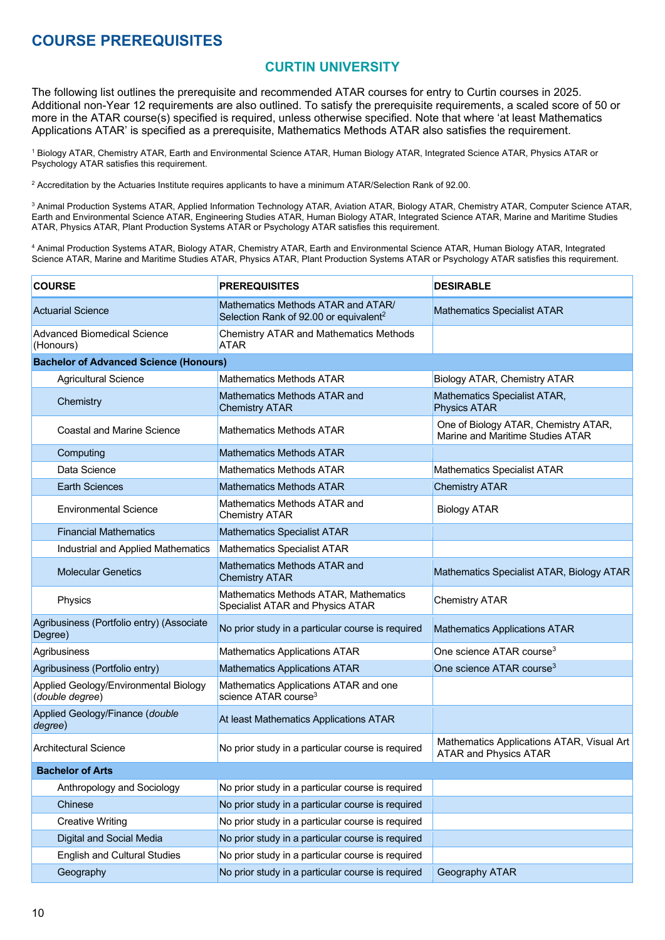## <span id="page-9-0"></span>**COURSE PREREQUISITES**

## **CURTIN UNIVERSITY**

The following list outlines the prerequisite and recommended ATAR courses for entry to Curtin courses in 2025. Additional non-Year 12 requirements are also outlined. To satisfy the prerequisite requirements, a scaled score of 50 or more in the ATAR course(s) specified is required, unless otherwise specified. Note that where 'at least Mathematics Applications ATAR' is specified as a prerequisite, Mathematics Methods ATAR also satisfies the requirement.

<sup>1</sup> Biology ATAR, Chemistry ATAR, Earth and Environmental Science ATAR, Human Biology ATAR, Integrated Science ATAR, Physics ATAR or Psychology ATAR satisfies this requirement.

<sup>2</sup> Accreditation by the Actuaries Institute requires applicants to have a minimum ATAR/Selection Rank of 92.00.

 $^3$  Animal Production Systems ATAR, Applied Information Technology ATAR, Aviation ATAR, Biology ATAR, Chemistry ATAR, Computer Science ATAR, Earth and Environmental Science ATAR, Engineering Studies ATAR, Human Biology ATAR, Integrated Science ATAR, Marine and Maritime Studies ATAR, Physics ATAR, Plant Production Systems ATAR or Psychology ATAR satisfies this requirement.

<sup>4</sup> Animal Production Systems ATAR, Biology ATAR, Chemistry ATAR, Earth and Environmental Science ATAR, Human Biology ATAR, Integrated Science ATAR, Marine and Maritime Studies ATAR, Physics ATAR, Plant Production Systems ATAR or Psychology ATAR satisfies this requirement.

| <b>COURSE</b>                                            | <b>PREREQUISITES</b>                                                                     | <b>DESIRABLE</b>                                                          |
|----------------------------------------------------------|------------------------------------------------------------------------------------------|---------------------------------------------------------------------------|
| <b>Actuarial Science</b>                                 | Mathematics Methods ATAR and ATAR/<br>Selection Rank of 92.00 or equivalent <sup>2</sup> | <b>Mathematics Specialist ATAR</b>                                        |
| <b>Advanced Biomedical Science</b><br>(Honours)          | <b>Chemistry ATAR and Mathematics Methods</b><br><b>ATAR</b>                             |                                                                           |
| <b>Bachelor of Advanced Science (Honours)</b>            |                                                                                          |                                                                           |
| <b>Agricultural Science</b>                              | <b>Mathematics Methods ATAR</b>                                                          | Biology ATAR, Chemistry ATAR                                              |
| Chemistry                                                | Mathematics Methods ATAR and<br><b>Chemistry ATAR</b>                                    | Mathematics Specialist ATAR,<br><b>Physics ATAR</b>                       |
| <b>Coastal and Marine Science</b>                        | <b>Mathematics Methods ATAR</b>                                                          | One of Biology ATAR, Chemistry ATAR,<br>Marine and Maritime Studies ATAR  |
| Computing                                                | <b>Mathematics Methods ATAR</b>                                                          |                                                                           |
| Data Science                                             | Mathematics Methods ATAR                                                                 | <b>Mathematics Specialist ATAR</b>                                        |
| <b>Earth Sciences</b>                                    | <b>Mathematics Methods ATAR</b>                                                          | <b>Chemistry ATAR</b>                                                     |
| <b>Environmental Science</b>                             | Mathematics Methods ATAR and<br><b>Chemistry ATAR</b>                                    | <b>Biology ATAR</b>                                                       |
| <b>Financial Mathematics</b>                             | <b>Mathematics Specialist ATAR</b>                                                       |                                                                           |
| Industrial and Applied Mathematics                       | Mathematics Specialist ATAR                                                              |                                                                           |
| <b>Molecular Genetics</b>                                | Mathematics Methods ATAR and<br><b>Chemistry ATAR</b>                                    | Mathematics Specialist ATAR, Biology ATAR                                 |
| Physics                                                  | Mathematics Methods ATAR, Mathematics<br>Specialist ATAR and Physics ATAR                | <b>Chemistry ATAR</b>                                                     |
| Agribusiness (Portfolio entry) (Associate<br>Degree)     | No prior study in a particular course is required                                        | <b>Mathematics Applications ATAR</b>                                      |
| Agribusiness                                             | <b>Mathematics Applications ATAR</b>                                                     | One science ATAR course <sup>3</sup>                                      |
| Agribusiness (Portfolio entry)                           | <b>Mathematics Applications ATAR</b>                                                     | One science ATAR course <sup>3</sup>                                      |
| Applied Geology/Environmental Biology<br>(double degree) | Mathematics Applications ATAR and one<br>science ATAR course <sup>3</sup>                |                                                                           |
| Applied Geology/Finance (double<br>degree)               | At least Mathematics Applications ATAR                                                   |                                                                           |
| <b>Architectural Science</b>                             | No prior study in a particular course is required                                        | Mathematics Applications ATAR, Visual Art<br><b>ATAR and Physics ATAR</b> |
| <b>Bachelor of Arts</b>                                  |                                                                                          |                                                                           |
| Anthropology and Sociology                               | No prior study in a particular course is required                                        |                                                                           |
| Chinese                                                  | No prior study in a particular course is required                                        |                                                                           |
| <b>Creative Writing</b>                                  | No prior study in a particular course is required                                        |                                                                           |
| Digital and Social Media                                 | No prior study in a particular course is required                                        |                                                                           |
| <b>English and Cultural Studies</b>                      | No prior study in a particular course is required                                        |                                                                           |
| Geography                                                | No prior study in a particular course is required                                        | Geography ATAR                                                            |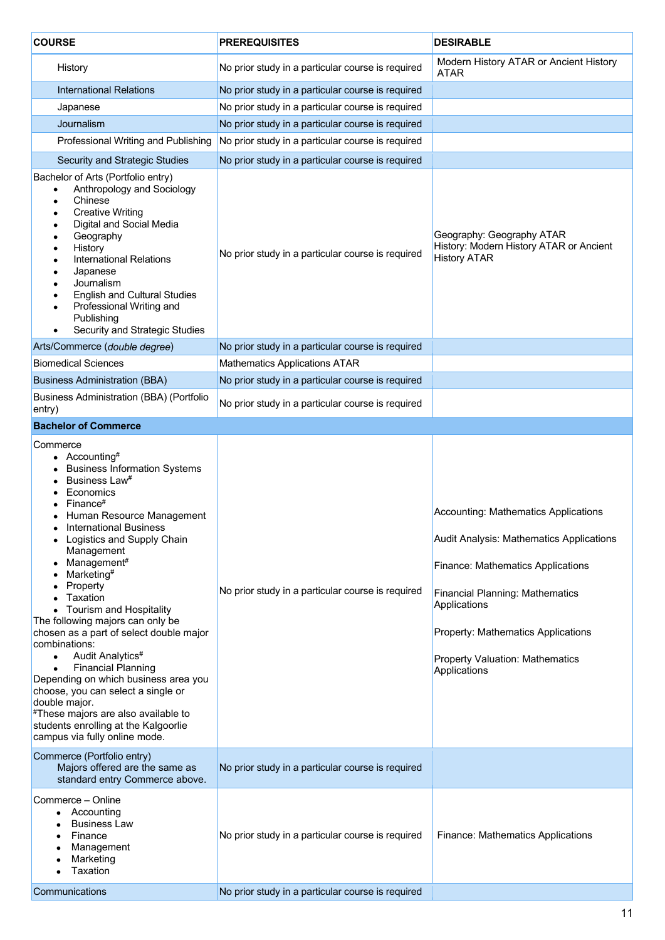| <b>COURSE</b>                                                                                                                                                                                                                                                                                                                                                                                                                                                                                                                                                                                                                                                                                                                          | <b>PREREQUISITES</b>                              | <b>DESIRABLE</b>                                                                                                                                                                                                                                                                       |
|----------------------------------------------------------------------------------------------------------------------------------------------------------------------------------------------------------------------------------------------------------------------------------------------------------------------------------------------------------------------------------------------------------------------------------------------------------------------------------------------------------------------------------------------------------------------------------------------------------------------------------------------------------------------------------------------------------------------------------------|---------------------------------------------------|----------------------------------------------------------------------------------------------------------------------------------------------------------------------------------------------------------------------------------------------------------------------------------------|
| History                                                                                                                                                                                                                                                                                                                                                                                                                                                                                                                                                                                                                                                                                                                                | No prior study in a particular course is required | Modern History ATAR or Ancient History<br><b>ATAR</b>                                                                                                                                                                                                                                  |
| <b>International Relations</b>                                                                                                                                                                                                                                                                                                                                                                                                                                                                                                                                                                                                                                                                                                         | No prior study in a particular course is required |                                                                                                                                                                                                                                                                                        |
| Japanese                                                                                                                                                                                                                                                                                                                                                                                                                                                                                                                                                                                                                                                                                                                               | No prior study in a particular course is required |                                                                                                                                                                                                                                                                                        |
| Journalism                                                                                                                                                                                                                                                                                                                                                                                                                                                                                                                                                                                                                                                                                                                             | No prior study in a particular course is required |                                                                                                                                                                                                                                                                                        |
| Professional Writing and Publishing                                                                                                                                                                                                                                                                                                                                                                                                                                                                                                                                                                                                                                                                                                    | No prior study in a particular course is required |                                                                                                                                                                                                                                                                                        |
| Security and Strategic Studies                                                                                                                                                                                                                                                                                                                                                                                                                                                                                                                                                                                                                                                                                                         | No prior study in a particular course is required |                                                                                                                                                                                                                                                                                        |
| Bachelor of Arts (Portfolio entry)<br>Anthropology and Sociology<br>$\bullet$<br>Chinese<br>$\bullet$<br><b>Creative Writing</b><br>٠<br>Digital and Social Media<br>Geography<br>History<br>٠<br><b>International Relations</b><br>Japanese<br>Journalism<br><b>English and Cultural Studies</b><br>Professional Writing and<br>$\bullet$<br>Publishing<br>Security and Strategic Studies                                                                                                                                                                                                                                                                                                                                             | No prior study in a particular course is required | Geography: Geography ATAR<br>History: Modern History ATAR or Ancient<br><b>History ATAR</b>                                                                                                                                                                                            |
| Arts/Commerce (double degree)                                                                                                                                                                                                                                                                                                                                                                                                                                                                                                                                                                                                                                                                                                          | No prior study in a particular course is required |                                                                                                                                                                                                                                                                                        |
| <b>Biomedical Sciences</b>                                                                                                                                                                                                                                                                                                                                                                                                                                                                                                                                                                                                                                                                                                             | <b>Mathematics Applications ATAR</b>              |                                                                                                                                                                                                                                                                                        |
| <b>Business Administration (BBA)</b>                                                                                                                                                                                                                                                                                                                                                                                                                                                                                                                                                                                                                                                                                                   | No prior study in a particular course is required |                                                                                                                                                                                                                                                                                        |
| <b>Business Administration (BBA) (Portfolio</b><br>entry)                                                                                                                                                                                                                                                                                                                                                                                                                                                                                                                                                                                                                                                                              | No prior study in a particular course is required |                                                                                                                                                                                                                                                                                        |
| <b>Bachelor of Commerce</b>                                                                                                                                                                                                                                                                                                                                                                                                                                                                                                                                                                                                                                                                                                            |                                                   |                                                                                                                                                                                                                                                                                        |
| Commerce<br>• Accounting#<br><b>Business Information Systems</b><br>Business Law <sup>#</sup><br>Economics<br>Finance#<br>Human Resource Management<br><b>International Business</b><br>• Logistics and Supply Chain<br>Management<br>Management#<br>Marketing <sup>#</sup><br>Property<br>Taxation<br>• Tourism and Hospitality<br>The following majors can only be<br>chosen as a part of select double major<br>combinations:<br>Audit Analytics <sup>#</sup><br>$\bullet$<br><b>Financial Planning</b><br>$\bullet$<br>Depending on which business area you<br>choose, you can select a single or<br>double major.<br>#These majors are also available to<br>students enrolling at the Kalgoorlie<br>campus via fully online mode. | No prior study in a particular course is required | Accounting: Mathematics Applications<br>Audit Analysis: Mathematics Applications<br><b>Finance: Mathematics Applications</b><br><b>Financial Planning: Mathematics</b><br>Applications<br>Property: Mathematics Applications<br><b>Property Valuation: Mathematics</b><br>Applications |
| Commerce (Portfolio entry)<br>Majors offered are the same as<br>standard entry Commerce above.                                                                                                                                                                                                                                                                                                                                                                                                                                                                                                                                                                                                                                         | No prior study in a particular course is required |                                                                                                                                                                                                                                                                                        |
| Commerce – Online<br>Accounting<br>$\bullet$<br><b>Business Law</b><br>Finance<br>Management<br>Marketing<br>Taxation                                                                                                                                                                                                                                                                                                                                                                                                                                                                                                                                                                                                                  | No prior study in a particular course is required | <b>Finance: Mathematics Applications</b>                                                                                                                                                                                                                                               |
| Communications                                                                                                                                                                                                                                                                                                                                                                                                                                                                                                                                                                                                                                                                                                                         | No prior study in a particular course is required |                                                                                                                                                                                                                                                                                        |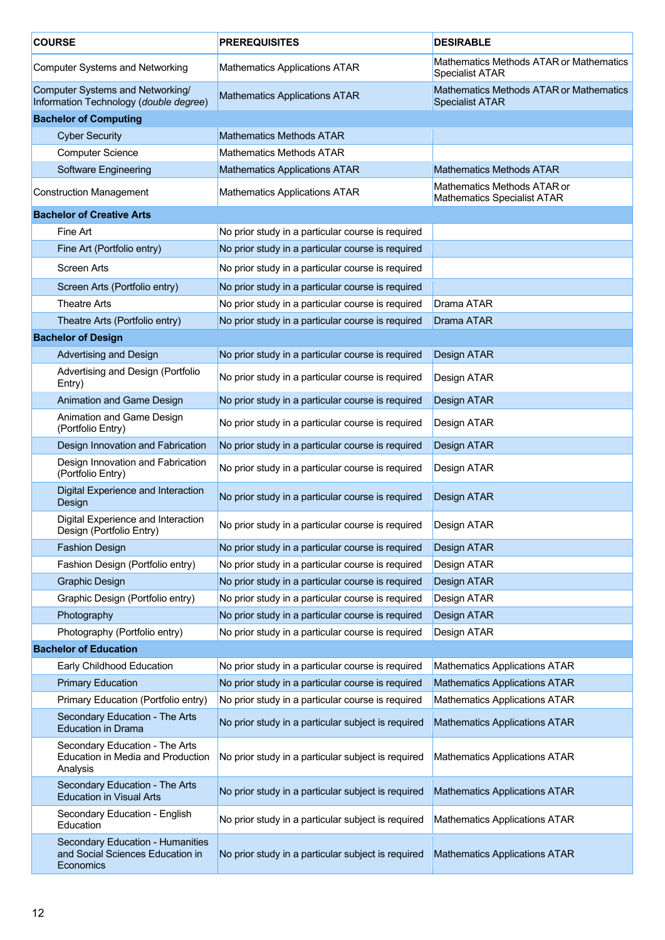| <b>COURSE</b>                                                              |                                                                                   | <b>PREREQUISITES</b>                               | <b>DESIRABLE</b>                                                         |
|----------------------------------------------------------------------------|-----------------------------------------------------------------------------------|----------------------------------------------------|--------------------------------------------------------------------------|
| <b>Computer Systems and Networking</b>                                     |                                                                                   | <b>Mathematics Applications ATAR</b>               | Mathematics Methods ATAR or Mathematics<br><b>Specialist ATAR</b>        |
| Computer Systems and Networking/<br>Information Technology (double degree) |                                                                                   | <b>Mathematics Applications ATAR</b>               | <b>Mathematics Methods ATAR or Mathematics</b><br><b>Specialist ATAR</b> |
|                                                                            | <b>Bachelor of Computing</b>                                                      |                                                    |                                                                          |
|                                                                            | <b>Cyber Security</b>                                                             | <b>Mathematics Methods ATAR</b>                    |                                                                          |
|                                                                            | <b>Computer Science</b>                                                           | <b>Mathematics Methods ATAR</b>                    |                                                                          |
|                                                                            | <b>Software Engineering</b>                                                       | <b>Mathematics Applications ATAR</b>               | <b>Mathematics Methods ATAR</b>                                          |
|                                                                            | <b>Construction Management</b>                                                    | <b>Mathematics Applications ATAR</b>               | Mathematics Methods ATAR or<br><b>Mathematics Specialist ATAR</b>        |
|                                                                            | <b>Bachelor of Creative Arts</b>                                                  |                                                    |                                                                          |
|                                                                            | Fine Art                                                                          | No prior study in a particular course is required  |                                                                          |
|                                                                            | Fine Art (Portfolio entry)                                                        | No prior study in a particular course is required  |                                                                          |
|                                                                            | <b>Screen Arts</b>                                                                | No prior study in a particular course is required  |                                                                          |
|                                                                            | Screen Arts (Portfolio entry)                                                     | No prior study in a particular course is required  |                                                                          |
|                                                                            | <b>Theatre Arts</b>                                                               | No prior study in a particular course is required  | Drama ATAR                                                               |
|                                                                            | Theatre Arts (Portfolio entry)                                                    | No prior study in a particular course is required  | Drama ATAR                                                               |
|                                                                            | <b>Bachelor of Design</b>                                                         |                                                    |                                                                          |
|                                                                            | <b>Advertising and Design</b>                                                     | No prior study in a particular course is required  | Design ATAR                                                              |
|                                                                            | Advertising and Design (Portfolio                                                 |                                                    |                                                                          |
|                                                                            | Entry)                                                                            | No prior study in a particular course is required  | Design ATAR                                                              |
|                                                                            | Animation and Game Design                                                         | No prior study in a particular course is required  | Design ATAR                                                              |
|                                                                            | Animation and Game Design<br>(Portfolio Entry)                                    | No prior study in a particular course is required  | Design ATAR                                                              |
|                                                                            | Design Innovation and Fabrication                                                 | No prior study in a particular course is required  | Design ATAR                                                              |
|                                                                            | Design Innovation and Fabrication<br>(Portfolio Entry)                            | No prior study in a particular course is required  | Design ATAR                                                              |
|                                                                            | Digital Experience and Interaction<br>Design                                      | No prior study in a particular course is required  | Design ATAR                                                              |
|                                                                            | Digital Experience and Interaction<br>Design (Portfolio Entry)                    | No prior study in a particular course is required  | Design ATAR                                                              |
|                                                                            | <b>Fashion Design</b>                                                             | No prior study in a particular course is required  | Design ATAR                                                              |
|                                                                            | Fashion Design (Portfolio entry)                                                  | No prior study in a particular course is required  | Design ATAR                                                              |
|                                                                            | <b>Graphic Design</b>                                                             | No prior study in a particular course is required  | Design ATAR                                                              |
|                                                                            | Graphic Design (Portfolio entry)                                                  | No prior study in a particular course is required  | Design ATAR                                                              |
|                                                                            | Photography                                                                       | No prior study in a particular course is required  | Design ATAR                                                              |
|                                                                            | Photography (Portfolio entry)                                                     | No prior study in a particular course is required  | Design ATAR                                                              |
|                                                                            | <b>Bachelor of Education</b>                                                      |                                                    |                                                                          |
|                                                                            | Early Childhood Education                                                         | No prior study in a particular course is required  | <b>Mathematics Applications ATAR</b>                                     |
|                                                                            | <b>Primary Education</b>                                                          | No prior study in a particular course is required  | <b>Mathematics Applications ATAR</b>                                     |
|                                                                            | Primary Education (Portfolio entry)                                               | No prior study in a particular course is required  | <b>Mathematics Applications ATAR</b>                                     |
|                                                                            | Secondary Education - The Arts<br><b>Education in Drama</b>                       | No prior study in a particular subject is required | <b>Mathematics Applications ATAR</b>                                     |
|                                                                            | Secondary Education - The Arts<br>Education in Media and Production<br>Analysis   | No prior study in a particular subject is required | <b>Mathematics Applications ATAR</b>                                     |
|                                                                            | Secondary Education - The Arts<br><b>Education in Visual Arts</b>                 | No prior study in a particular subject is required | <b>Mathematics Applications ATAR</b>                                     |
|                                                                            | Secondary Education - English<br>Education                                        | No prior study in a particular subject is required | <b>Mathematics Applications ATAR</b>                                     |
|                                                                            | Secondary Education - Humanities<br>and Social Sciences Education in<br>Economics | No prior study in a particular subject is required | <b>Mathematics Applications ATAR</b>                                     |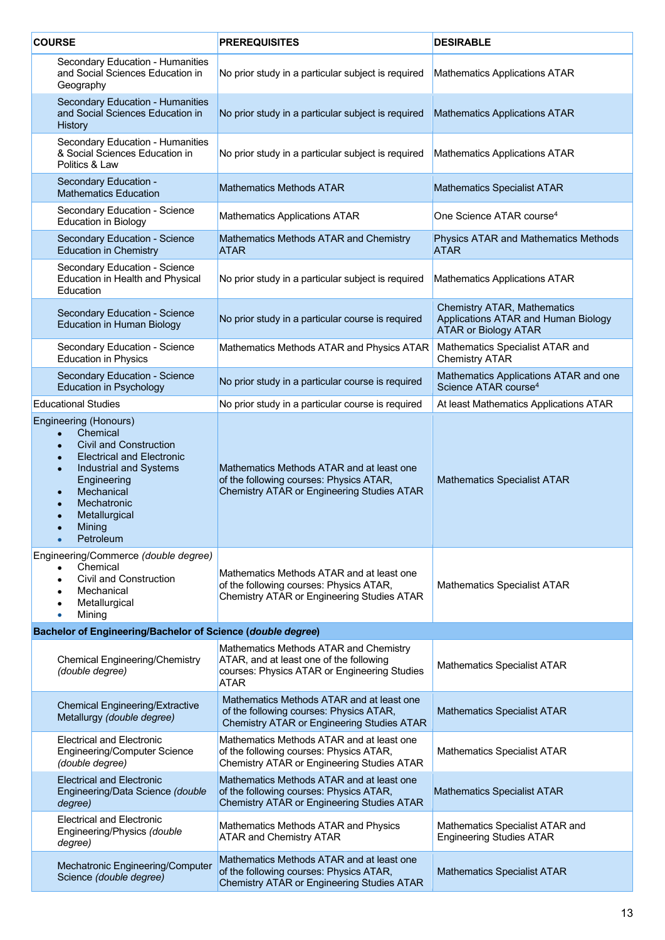| <b>COURSE</b> |                                                                                                                                                                                                                                                                  | <b>PREREQUISITES</b>                                                                                                                             | <b>DESIRABLE</b>                                                                                         |
|---------------|------------------------------------------------------------------------------------------------------------------------------------------------------------------------------------------------------------------------------------------------------------------|--------------------------------------------------------------------------------------------------------------------------------------------------|----------------------------------------------------------------------------------------------------------|
|               | Secondary Education - Humanities<br>and Social Sciences Education in<br>Geography                                                                                                                                                                                | No prior study in a particular subject is required                                                                                               | <b>Mathematics Applications ATAR</b>                                                                     |
|               | Secondary Education - Humanities<br>and Social Sciences Education in<br>History                                                                                                                                                                                  | No prior study in a particular subject is required                                                                                               | <b>Mathematics Applications ATAR</b>                                                                     |
|               | Secondary Education - Humanities<br>& Social Sciences Education in<br>Politics & Law                                                                                                                                                                             | No prior study in a particular subject is required                                                                                               | <b>Mathematics Applications ATAR</b>                                                                     |
|               | Secondary Education -<br><b>Mathematics Education</b>                                                                                                                                                                                                            | <b>Mathematics Methods ATAR</b>                                                                                                                  | <b>Mathematics Specialist ATAR</b>                                                                       |
|               | Secondary Education - Science<br><b>Education in Biology</b>                                                                                                                                                                                                     | <b>Mathematics Applications ATAR</b>                                                                                                             | One Science ATAR course <sup>4</sup>                                                                     |
|               | Secondary Education - Science<br><b>Education in Chemistry</b>                                                                                                                                                                                                   | Mathematics Methods ATAR and Chemistry<br><b>ATAR</b>                                                                                            | Physics ATAR and Mathematics Methods<br><b>ATAR</b>                                                      |
|               | Secondary Education - Science<br>Education in Health and Physical<br>Education                                                                                                                                                                                   | No prior study in a particular subject is required                                                                                               | <b>Mathematics Applications ATAR</b>                                                                     |
|               | Secondary Education - Science<br><b>Education in Human Biology</b>                                                                                                                                                                                               | No prior study in a particular course is required                                                                                                | <b>Chemistry ATAR, Mathematics</b><br>Applications ATAR and Human Biology<br><b>ATAR or Biology ATAR</b> |
|               | Secondary Education - Science<br><b>Education in Physics</b>                                                                                                                                                                                                     | Mathematics Methods ATAR and Physics ATAR                                                                                                        | Mathematics Specialist ATAR and<br><b>Chemistry ATAR</b>                                                 |
|               | Secondary Education - Science<br><b>Education in Psychology</b>                                                                                                                                                                                                  | No prior study in a particular course is required                                                                                                | Mathematics Applications ATAR and one<br>Science ATAR course <sup>4</sup>                                |
|               | <b>Educational Studies</b>                                                                                                                                                                                                                                       | No prior study in a particular course is required                                                                                                | At least Mathematics Applications ATAR                                                                   |
|               | Engineering (Honours)<br>Chemical<br><b>Civil and Construction</b><br>$\bullet$<br><b>Electrical and Electronic</b><br>$\bullet$<br>Industrial and Systems<br>$\bullet$<br>Engineering<br>Mechanical<br>Mechatronic<br>Metallurgical<br>Mining<br>Petroleum<br>ö | Mathematics Methods ATAR and at least one<br>of the following courses: Physics ATAR,<br><b>Chemistry ATAR or Engineering Studies ATAR</b>        | <b>Mathematics Specialist ATAR</b>                                                                       |
|               | Engineering/Commerce (double degree)<br>Chemical<br><b>Civil and Construction</b><br>Mechanical<br>Metallurgical<br>Mining<br>۰                                                                                                                                  | Mathematics Methods ATAR and at least one<br>of the following courses: Physics ATAR,<br>Chemistry ATAR or Engineering Studies ATAR               | <b>Mathematics Specialist ATAR</b>                                                                       |
|               | Bachelor of Engineering/Bachelor of Science (double degree)                                                                                                                                                                                                      |                                                                                                                                                  |                                                                                                          |
|               | <b>Chemical Engineering/Chemistry</b><br>(double degree)                                                                                                                                                                                                         | Mathematics Methods ATAR and Chemistry<br>ATAR, and at least one of the following<br>courses: Physics ATAR or Engineering Studies<br><b>ATAR</b> | <b>Mathematics Specialist ATAR</b>                                                                       |
|               | <b>Chemical Engineering/Extractive</b><br>Metallurgy (double degree)                                                                                                                                                                                             | Mathematics Methods ATAR and at least one<br>of the following courses: Physics ATAR,<br><b>Chemistry ATAR or Engineering Studies ATAR</b>        | <b>Mathematics Specialist ATAR</b>                                                                       |
|               | <b>Electrical and Electronic</b><br><b>Engineering/Computer Science</b><br>(double degree)                                                                                                                                                                       | Mathematics Methods ATAR and at least one<br>of the following courses: Physics ATAR,<br>Chemistry ATAR or Engineering Studies ATAR               | <b>Mathematics Specialist ATAR</b>                                                                       |
|               | <b>Electrical and Electronic</b><br>Engineering/Data Science (double<br>degree)                                                                                                                                                                                  | Mathematics Methods ATAR and at least one<br>of the following courses: Physics ATAR,<br>Chemistry ATAR or Engineering Studies ATAR               | <b>Mathematics Specialist ATAR</b>                                                                       |
|               | <b>Electrical and Electronic</b><br>Engineering/Physics (double<br>degree)                                                                                                                                                                                       | Mathematics Methods ATAR and Physics<br><b>ATAR and Chemistry ATAR</b>                                                                           | Mathematics Specialist ATAR and<br><b>Engineering Studies ATAR</b>                                       |
|               | Mechatronic Engineering/Computer<br>Science (double degree)                                                                                                                                                                                                      | Mathematics Methods ATAR and at least one<br>of the following courses: Physics ATAR,<br>Chemistry ATAR or Engineering Studies ATAR               | <b>Mathematics Specialist ATAR</b>                                                                       |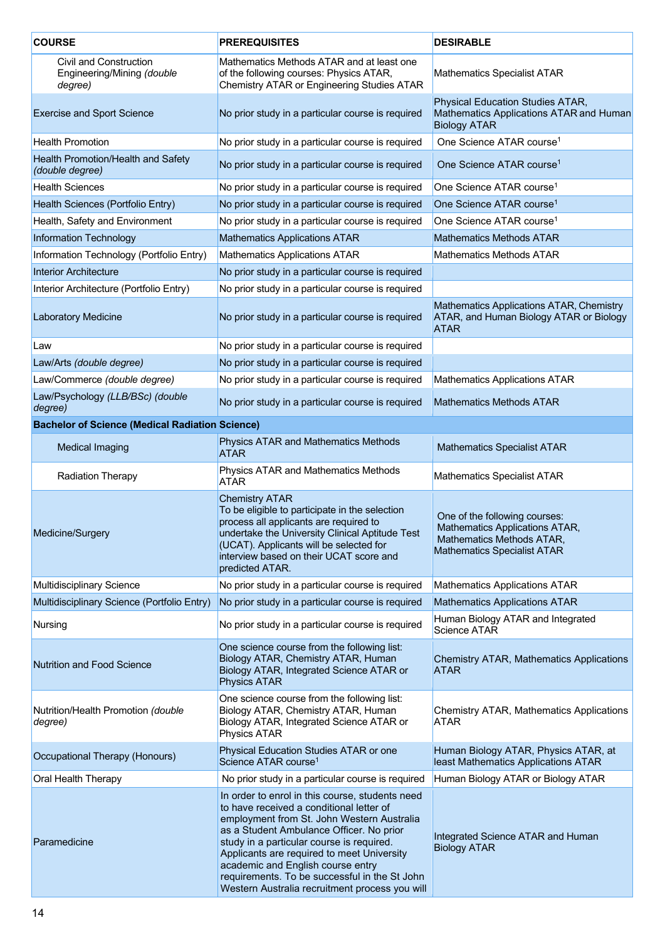| <b>COURSE</b>                                                   | <b>PREREQUISITES</b>                                                                                                                                                                                                                                                                                                                                                                                                     | <b>DESIRABLE</b>                                                                                                                   |
|-----------------------------------------------------------------|--------------------------------------------------------------------------------------------------------------------------------------------------------------------------------------------------------------------------------------------------------------------------------------------------------------------------------------------------------------------------------------------------------------------------|------------------------------------------------------------------------------------------------------------------------------------|
| Civil and Construction<br>Engineering/Mining (double<br>degree) | Mathematics Methods ATAR and at least one<br>of the following courses: Physics ATAR,<br>Chemistry ATAR or Engineering Studies ATAR                                                                                                                                                                                                                                                                                       | <b>Mathematics Specialist ATAR</b>                                                                                                 |
| <b>Exercise and Sport Science</b>                               | No prior study in a particular course is required                                                                                                                                                                                                                                                                                                                                                                        | Physical Education Studies ATAR,<br>Mathematics Applications ATAR and Human<br><b>Biology ATAR</b>                                 |
| <b>Health Promotion</b>                                         | No prior study in a particular course is required                                                                                                                                                                                                                                                                                                                                                                        | One Science ATAR course <sup>1</sup>                                                                                               |
| Health Promotion/Health and Safety<br>(double degree)           | No prior study in a particular course is required                                                                                                                                                                                                                                                                                                                                                                        | One Science ATAR course <sup>1</sup>                                                                                               |
| <b>Health Sciences</b>                                          | No prior study in a particular course is required                                                                                                                                                                                                                                                                                                                                                                        | One Science ATAR course <sup>1</sup>                                                                                               |
| Health Sciences (Portfolio Entry)                               | No prior study in a particular course is required                                                                                                                                                                                                                                                                                                                                                                        | One Science ATAR course <sup>1</sup>                                                                                               |
| Health, Safety and Environment                                  | No prior study in a particular course is required                                                                                                                                                                                                                                                                                                                                                                        | One Science ATAR course <sup>1</sup>                                                                                               |
| Information Technology                                          | <b>Mathematics Applications ATAR</b>                                                                                                                                                                                                                                                                                                                                                                                     | <b>Mathematics Methods ATAR</b>                                                                                                    |
| Information Technology (Portfolio Entry)                        | Mathematics Applications ATAR                                                                                                                                                                                                                                                                                                                                                                                            | <b>Mathematics Methods ATAR</b>                                                                                                    |
| <b>Interior Architecture</b>                                    | No prior study in a particular course is required                                                                                                                                                                                                                                                                                                                                                                        |                                                                                                                                    |
| Interior Architecture (Portfolio Entry)                         | No prior study in a particular course is required                                                                                                                                                                                                                                                                                                                                                                        |                                                                                                                                    |
| <b>Laboratory Medicine</b>                                      | No prior study in a particular course is required                                                                                                                                                                                                                                                                                                                                                                        | Mathematics Applications ATAR, Chemistry<br>ATAR, and Human Biology ATAR or Biology<br><b>ATAR</b>                                 |
| Law                                                             | No prior study in a particular course is required                                                                                                                                                                                                                                                                                                                                                                        |                                                                                                                                    |
| Law/Arts (double degree)                                        | No prior study in a particular course is required                                                                                                                                                                                                                                                                                                                                                                        |                                                                                                                                    |
| Law/Commerce (double degree)                                    | No prior study in a particular course is required                                                                                                                                                                                                                                                                                                                                                                        | <b>Mathematics Applications ATAR</b>                                                                                               |
| Law/Psychology (LLB/BSc) (double<br>degree)                     | No prior study in a particular course is required                                                                                                                                                                                                                                                                                                                                                                        | <b>Mathematics Methods ATAR</b>                                                                                                    |
| <b>Bachelor of Science (Medical Radiation Science)</b>          |                                                                                                                                                                                                                                                                                                                                                                                                                          |                                                                                                                                    |
| <b>Medical Imaging</b>                                          | Physics ATAR and Mathematics Methods<br><b>ATAR</b>                                                                                                                                                                                                                                                                                                                                                                      | <b>Mathematics Specialist ATAR</b>                                                                                                 |
| <b>Radiation Therapy</b>                                        | Physics ATAR and Mathematics Methods<br><b>ATAR</b>                                                                                                                                                                                                                                                                                                                                                                      | <b>Mathematics Specialist ATAR</b>                                                                                                 |
| Medicine/Surgery                                                | <b>Chemistry ATAR</b><br>To be eligible to participate in the selection<br>process all applicants are required to<br>undertake the University Clinical Aptitude Test<br>(UCAT). Applicants will be selected for<br>interview based on their UCAT score and<br>predicted ATAR.                                                                                                                                            | One of the following courses:<br>Mathematics Applications ATAR,<br>Mathematics Methods ATAR,<br><b>Mathematics Specialist ATAR</b> |
| Multidisciplinary Science                                       | No prior study in a particular course is required                                                                                                                                                                                                                                                                                                                                                                        | <b>Mathematics Applications ATAR</b>                                                                                               |
| Multidisciplinary Science (Portfolio Entry)                     | No prior study in a particular course is required                                                                                                                                                                                                                                                                                                                                                                        | <b>Mathematics Applications ATAR</b>                                                                                               |
| Nursing                                                         | No prior study in a particular course is required                                                                                                                                                                                                                                                                                                                                                                        | Human Biology ATAR and Integrated<br><b>Science ATAR</b>                                                                           |
| <b>Nutrition and Food Science</b>                               | One science course from the following list:<br>Biology ATAR, Chemistry ATAR, Human<br>Biology ATAR, Integrated Science ATAR or<br><b>Physics ATAR</b>                                                                                                                                                                                                                                                                    | <b>Chemistry ATAR, Mathematics Applications</b><br><b>ATAR</b>                                                                     |
| Nutrition/Health Promotion (double<br>degree)                   | One science course from the following list:<br>Biology ATAR, Chemistry ATAR, Human<br>Biology ATAR, Integrated Science ATAR or<br><b>Physics ATAR</b>                                                                                                                                                                                                                                                                    | <b>Chemistry ATAR, Mathematics Applications</b><br>ATAR                                                                            |
| Occupational Therapy (Honours)                                  | Physical Education Studies ATAR or one<br>Science ATAR course <sup>1</sup>                                                                                                                                                                                                                                                                                                                                               | Human Biology ATAR, Physics ATAR, at<br>least Mathematics Applications ATAR                                                        |
| Oral Health Therapy                                             | No prior study in a particular course is required                                                                                                                                                                                                                                                                                                                                                                        | Human Biology ATAR or Biology ATAR                                                                                                 |
| Paramedicine                                                    | In order to enrol in this course, students need<br>to have received a conditional letter of<br>employment from St. John Western Australia<br>as a Student Ambulance Officer. No prior<br>study in a particular course is required.<br>Applicants are required to meet University<br>academic and English course entry<br>requirements. To be successful in the St John<br>Western Australia recruitment process you will | Integrated Science ATAR and Human<br><b>Biology ATAR</b>                                                                           |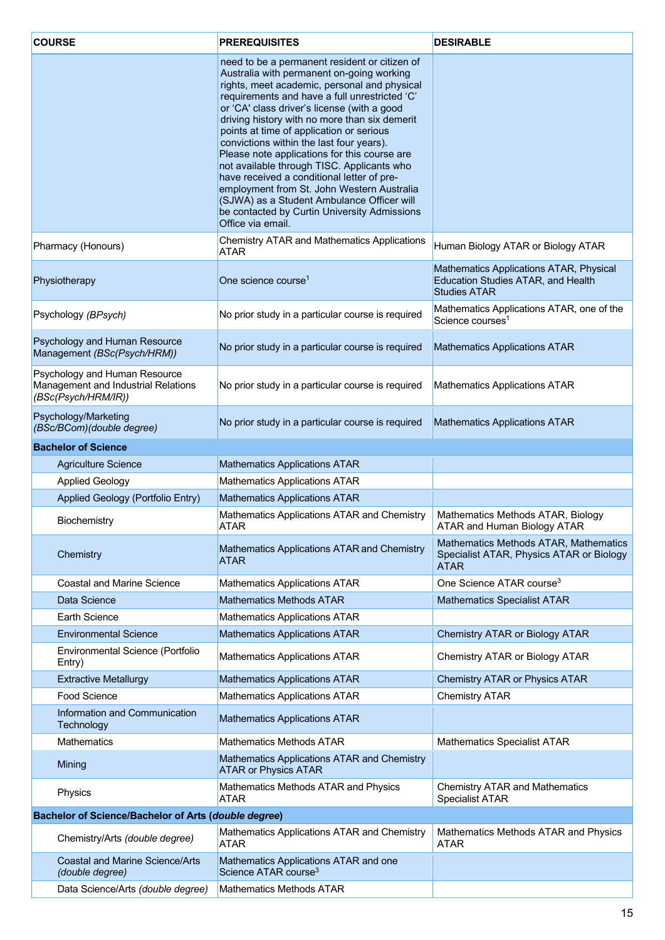| <b>COURSE</b>                                                                               | <b>PREREQUISITES</b>                                                                                                                                                                                                                                                                                                                                                                                                                                                                                                                                                                                                                                                                             | <b>DESIRABLE</b>                                                                                     |
|---------------------------------------------------------------------------------------------|--------------------------------------------------------------------------------------------------------------------------------------------------------------------------------------------------------------------------------------------------------------------------------------------------------------------------------------------------------------------------------------------------------------------------------------------------------------------------------------------------------------------------------------------------------------------------------------------------------------------------------------------------------------------------------------------------|------------------------------------------------------------------------------------------------------|
|                                                                                             | need to be a permanent resident or citizen of<br>Australia with permanent on-going working<br>rights, meet academic, personal and physical<br>requirements and have a full unrestricted 'C'<br>or 'CA' class driver's license (with a good<br>driving history with no more than six demerit<br>points at time of application or serious<br>convictions within the last four years).<br>Please note applications for this course are<br>not available through TISC. Applicants who<br>have received a conditional letter of pre-<br>employment from St. John Western Australia<br>(SJWA) as a Student Ambulance Officer will<br>be contacted by Curtin University Admissions<br>Office via email. |                                                                                                      |
| Pharmacy (Honours)                                                                          | <b>Chemistry ATAR and Mathematics Applications</b><br><b>ATAR</b>                                                                                                                                                                                                                                                                                                                                                                                                                                                                                                                                                                                                                                | Human Biology ATAR or Biology ATAR                                                                   |
| Physiotherapy                                                                               | One science course <sup>1</sup>                                                                                                                                                                                                                                                                                                                                                                                                                                                                                                                                                                                                                                                                  | Mathematics Applications ATAR, Physical<br>Education Studies ATAR, and Health<br><b>Studies ATAR</b> |
| Psychology (BPsych)                                                                         | No prior study in a particular course is required                                                                                                                                                                                                                                                                                                                                                                                                                                                                                                                                                                                                                                                | Mathematics Applications ATAR, one of the<br>Science courses <sup>1</sup>                            |
| Psychology and Human Resource<br>Management (BSc(Psych/HRM))                                | No prior study in a particular course is required                                                                                                                                                                                                                                                                                                                                                                                                                                                                                                                                                                                                                                                | <b>Mathematics Applications ATAR</b>                                                                 |
| Psychology and Human Resource<br>Management and Industrial Relations<br>(BSc(Psych/HRM/IR)) | No prior study in a particular course is required                                                                                                                                                                                                                                                                                                                                                                                                                                                                                                                                                                                                                                                | <b>Mathematics Applications ATAR</b>                                                                 |
| Psychology/Marketing<br>(BSc/BCom)(double degree)                                           | No prior study in a particular course is required                                                                                                                                                                                                                                                                                                                                                                                                                                                                                                                                                                                                                                                | <b>Mathematics Applications ATAR</b>                                                                 |
| <b>Bachelor of Science</b>                                                                  |                                                                                                                                                                                                                                                                                                                                                                                                                                                                                                                                                                                                                                                                                                  |                                                                                                      |
| <b>Agriculture Science</b>                                                                  | <b>Mathematics Applications ATAR</b>                                                                                                                                                                                                                                                                                                                                                                                                                                                                                                                                                                                                                                                             |                                                                                                      |
| <b>Applied Geology</b>                                                                      | <b>Mathematics Applications ATAR</b>                                                                                                                                                                                                                                                                                                                                                                                                                                                                                                                                                                                                                                                             |                                                                                                      |
| Applied Geology (Portfolio Entry)                                                           | <b>Mathematics Applications ATAR</b>                                                                                                                                                                                                                                                                                                                                                                                                                                                                                                                                                                                                                                                             |                                                                                                      |
| Biochemistry                                                                                | Mathematics Applications ATAR and Chemistry<br><b>ATAR</b>                                                                                                                                                                                                                                                                                                                                                                                                                                                                                                                                                                                                                                       | Mathematics Methods ATAR, Biology<br>ATAR and Human Biology ATAR                                     |
| Chemistry                                                                                   | Mathematics Applications ATAR and Chemistry<br><b>ATAR</b>                                                                                                                                                                                                                                                                                                                                                                                                                                                                                                                                                                                                                                       | Mathematics Methods ATAR, Mathematics<br>Specialist ATAR, Physics ATAR or Biology<br><b>ATAR</b>     |
| <b>Coastal and Marine Science</b>                                                           | <b>Mathematics Applications ATAR</b>                                                                                                                                                                                                                                                                                                                                                                                                                                                                                                                                                                                                                                                             | One Science ATAR course <sup>3</sup>                                                                 |
| Data Science                                                                                | <b>Mathematics Methods ATAR</b>                                                                                                                                                                                                                                                                                                                                                                                                                                                                                                                                                                                                                                                                  | <b>Mathematics Specialist ATAR</b>                                                                   |
| <b>Earth Science</b>                                                                        | Mathematics Applications ATAR                                                                                                                                                                                                                                                                                                                                                                                                                                                                                                                                                                                                                                                                    |                                                                                                      |
| <b>Environmental Science</b>                                                                | <b>Mathematics Applications ATAR</b>                                                                                                                                                                                                                                                                                                                                                                                                                                                                                                                                                                                                                                                             | Chemistry ATAR or Biology ATAR                                                                       |
| Environmental Science (Portfolio<br>Entry)                                                  | Mathematics Applications ATAR                                                                                                                                                                                                                                                                                                                                                                                                                                                                                                                                                                                                                                                                    | Chemistry ATAR or Biology ATAR                                                                       |
| <b>Extractive Metallurgy</b>                                                                | <b>Mathematics Applications ATAR</b>                                                                                                                                                                                                                                                                                                                                                                                                                                                                                                                                                                                                                                                             | <b>Chemistry ATAR or Physics ATAR</b>                                                                |
| Food Science                                                                                | <b>Mathematics Applications ATAR</b>                                                                                                                                                                                                                                                                                                                                                                                                                                                                                                                                                                                                                                                             | <b>Chemistry ATAR</b>                                                                                |
| Information and Communication<br>Technology                                                 | <b>Mathematics Applications ATAR</b>                                                                                                                                                                                                                                                                                                                                                                                                                                                                                                                                                                                                                                                             |                                                                                                      |
| <b>Mathematics</b>                                                                          | <b>Mathematics Methods ATAR</b>                                                                                                                                                                                                                                                                                                                                                                                                                                                                                                                                                                                                                                                                  | <b>Mathematics Specialist ATAR</b>                                                                   |
| Mining                                                                                      | Mathematics Applications ATAR and Chemistry<br><b>ATAR or Physics ATAR</b>                                                                                                                                                                                                                                                                                                                                                                                                                                                                                                                                                                                                                       |                                                                                                      |
| Physics                                                                                     | Mathematics Methods ATAR and Physics<br><b>ATAR</b>                                                                                                                                                                                                                                                                                                                                                                                                                                                                                                                                                                                                                                              | <b>Chemistry ATAR and Mathematics</b><br><b>Specialist ATAR</b>                                      |
| <b>Bachelor of Science/Bachelor of Arts (double degree)</b>                                 |                                                                                                                                                                                                                                                                                                                                                                                                                                                                                                                                                                                                                                                                                                  |                                                                                                      |
| Chemistry/Arts (double degree)                                                              | Mathematics Applications ATAR and Chemistry<br><b>ATAR</b>                                                                                                                                                                                                                                                                                                                                                                                                                                                                                                                                                                                                                                       | Mathematics Methods ATAR and Physics<br><b>ATAR</b>                                                  |
| <b>Coastal and Marine Science/Arts</b><br>(double degree)                                   | Mathematics Applications ATAR and one<br>Science ATAR course <sup>3</sup>                                                                                                                                                                                                                                                                                                                                                                                                                                                                                                                                                                                                                        |                                                                                                      |
| Data Science/Arts (double degree)                                                           | <b>Mathematics Methods ATAR</b>                                                                                                                                                                                                                                                                                                                                                                                                                                                                                                                                                                                                                                                                  |                                                                                                      |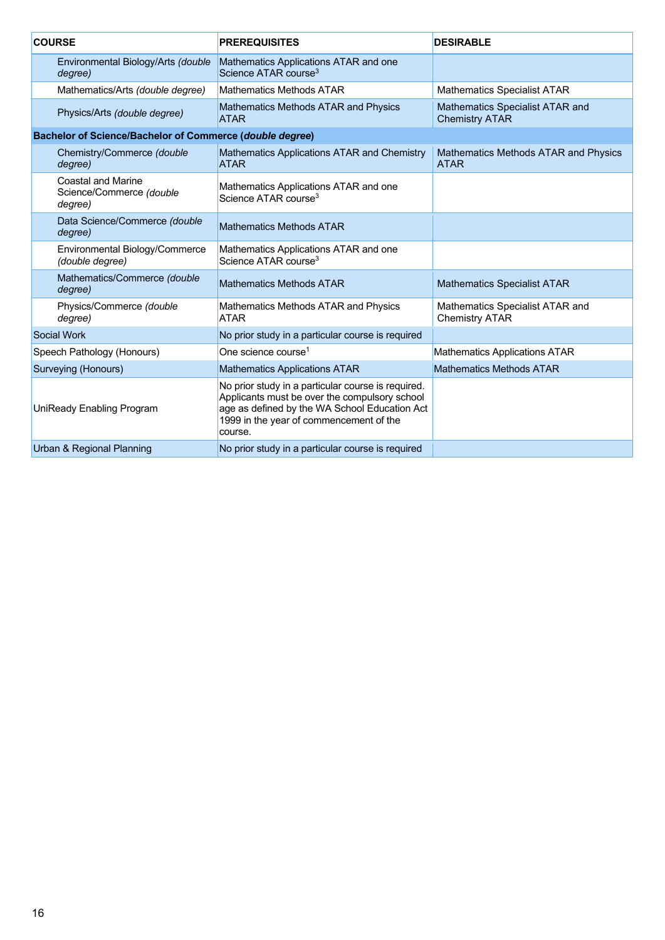| <b>COURSE</b>                    |                                                                  | <b>PREREQUISITES</b>                                                                                                                                                                                       | <b>DESIRABLE</b>                                         |
|----------------------------------|------------------------------------------------------------------|------------------------------------------------------------------------------------------------------------------------------------------------------------------------------------------------------------|----------------------------------------------------------|
|                                  | Environmental Biology/Arts (double<br>degree)                    | Mathematics Applications ATAR and one<br>Science ATAR course <sup>3</sup>                                                                                                                                  |                                                          |
|                                  | Mathematics/Arts (double degree)                                 | <b>Mathematics Methods ATAR</b>                                                                                                                                                                            | <b>Mathematics Specialist ATAR</b>                       |
|                                  | Physics/Arts (double degree)                                     | <b>Mathematics Methods ATAR and Physics</b><br><b>ATAR</b>                                                                                                                                                 | Mathematics Specialist ATAR and<br><b>Chemistry ATAR</b> |
|                                  | <b>Bachelor of Science/Bachelor of Commerce (double degree)</b>  |                                                                                                                                                                                                            |                                                          |
|                                  | Chemistry/Commerce (double<br>degree)                            | Mathematics Applications ATAR and Chemistry<br><b>ATAR</b>                                                                                                                                                 | Mathematics Methods ATAR and Physics<br><b>ATAR</b>      |
|                                  | <b>Coastal and Marine</b><br>Science/Commerce (double<br>degree) | Mathematics Applications ATAR and one<br>Science ATAR course <sup>3</sup>                                                                                                                                  |                                                          |
|                                  | Data Science/Commerce (double<br>degree)                         | <b>Mathematics Methods ATAR</b>                                                                                                                                                                            |                                                          |
|                                  | Environmental Biology/Commerce<br>(double degree)                | Mathematics Applications ATAR and one<br>Science ATAR course <sup>3</sup>                                                                                                                                  |                                                          |
|                                  | Mathematics/Commerce (double<br>degree)                          | <b>Mathematics Methods ATAR</b>                                                                                                                                                                            | <b>Mathematics Specialist ATAR</b>                       |
|                                  | Physics/Commerce (double<br>degree)                              | Mathematics Methods ATAR and Physics<br><b>ATAR</b>                                                                                                                                                        | Mathematics Specialist ATAR and<br><b>Chemistry ATAR</b> |
|                                  | Social Work                                                      | No prior study in a particular course is required                                                                                                                                                          |                                                          |
|                                  | Speech Pathology (Honours)                                       | One science course <sup>1</sup>                                                                                                                                                                            | <b>Mathematics Applications ATAR</b>                     |
|                                  | Surveying (Honours)                                              | <b>Mathematics Applications ATAR</b>                                                                                                                                                                       | <b>Mathematics Methods ATAR</b>                          |
| <b>UniReady Enabling Program</b> |                                                                  | No prior study in a particular course is required.<br>Applicants must be over the compulsory school<br>age as defined by the WA School Education Act<br>1999 in the year of commencement of the<br>course. |                                                          |
| Urban & Regional Planning        |                                                                  | No prior study in a particular course is required                                                                                                                                                          |                                                          |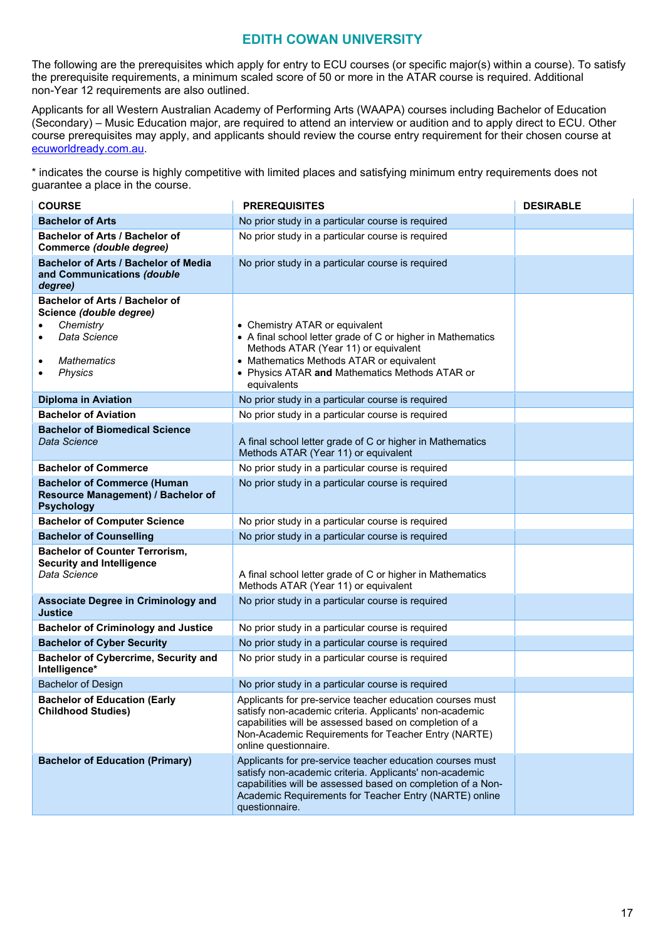#### **EDITH COWAN UNIVERSITY**

<span id="page-16-0"></span>The following are the prerequisites which apply for entry to ECU courses (or specific major(s) within a course). To satisfy the prerequisite requirements, a minimum scaled score of 50 or more in the ATAR course is required. Additional non-Year 12 requirements are also outlined.

Applicants for all Western Australian Academy of Performing Arts (WAAPA) courses including Bachelor of Education (Secondary) – Music Education major, are required to attend an interview or audition and to apply direct to ECU. Other course prerequisites may apply, and applicants should review the course entry requirement for their chosen course at [ecuworldready.com.au.](http://www.ecuworldready.com.au/)

\* indicates the course is highly competitive with limited places and satisfying minimum entry requirements does not guarantee a place in the course.

| <b>COURSE</b>                                                                                                                  | <b>PREREQUISITES</b>                                                                                                                                                                                                                                            | <b>DESIRABLE</b> |
|--------------------------------------------------------------------------------------------------------------------------------|-----------------------------------------------------------------------------------------------------------------------------------------------------------------------------------------------------------------------------------------------------------------|------------------|
| <b>Bachelor of Arts</b>                                                                                                        | No prior study in a particular course is required                                                                                                                                                                                                               |                  |
| Bachelor of Arts / Bachelor of<br>Commerce (double degree)                                                                     | No prior study in a particular course is required                                                                                                                                                                                                               |                  |
| <b>Bachelor of Arts / Bachelor of Media</b><br>and Communications (double<br>degree)                                           | No prior study in a particular course is required                                                                                                                                                                                                               |                  |
| Bachelor of Arts / Bachelor of<br>Science (double degree)<br>Chemistry<br>Data Science<br><b>Mathematics</b><br><b>Physics</b> | • Chemistry ATAR or equivalent<br>• A final school letter grade of C or higher in Mathematics<br>Methods ATAR (Year 11) or equivalent<br>• Mathematics Methods ATAR or equivalent<br>• Physics ATAR and Mathematics Methods ATAR or<br>equivalents              |                  |
| <b>Diploma in Aviation</b>                                                                                                     | No prior study in a particular course is required                                                                                                                                                                                                               |                  |
| <b>Bachelor of Aviation</b>                                                                                                    | No prior study in a particular course is required                                                                                                                                                                                                               |                  |
| <b>Bachelor of Biomedical Science</b><br>Data Science                                                                          | A final school letter grade of C or higher in Mathematics<br>Methods ATAR (Year 11) or equivalent                                                                                                                                                               |                  |
| <b>Bachelor of Commerce</b>                                                                                                    | No prior study in a particular course is required                                                                                                                                                                                                               |                  |
| <b>Bachelor of Commerce (Human</b><br>Resource Management) / Bachelor of<br><b>Psychology</b>                                  | No prior study in a particular course is required                                                                                                                                                                                                               |                  |
| <b>Bachelor of Computer Science</b>                                                                                            | No prior study in a particular course is required                                                                                                                                                                                                               |                  |
| <b>Bachelor of Counselling</b>                                                                                                 | No prior study in a particular course is required                                                                                                                                                                                                               |                  |
| <b>Bachelor of Counter Terrorism,</b><br><b>Security and Intelligence</b><br>Data Science                                      | A final school letter grade of C or higher in Mathematics<br>Methods ATAR (Year 11) or equivalent                                                                                                                                                               |                  |
| <b>Associate Degree in Criminology and</b><br><b>Justice</b>                                                                   | No prior study in a particular course is required                                                                                                                                                                                                               |                  |
| <b>Bachelor of Criminology and Justice</b>                                                                                     | No prior study in a particular course is required                                                                                                                                                                                                               |                  |
| <b>Bachelor of Cyber Security</b>                                                                                              | No prior study in a particular course is required                                                                                                                                                                                                               |                  |
| <b>Bachelor of Cybercrime, Security and</b><br>Intelligence*                                                                   | No prior study in a particular course is required                                                                                                                                                                                                               |                  |
| <b>Bachelor of Design</b>                                                                                                      | No prior study in a particular course is required                                                                                                                                                                                                               |                  |
| <b>Bachelor of Education (Early</b><br><b>Childhood Studies)</b>                                                               | Applicants for pre-service teacher education courses must<br>satisfy non-academic criteria. Applicants' non-academic<br>capabilities will be assessed based on completion of a<br>Non-Academic Requirements for Teacher Entry (NARTE)<br>online questionnaire.  |                  |
| <b>Bachelor of Education (Primary)</b>                                                                                         | Applicants for pre-service teacher education courses must<br>satisfy non-academic criteria. Applicants' non-academic<br>capabilities will be assessed based on completion of a Non-<br>Academic Requirements for Teacher Entry (NARTE) online<br>questionnaire. |                  |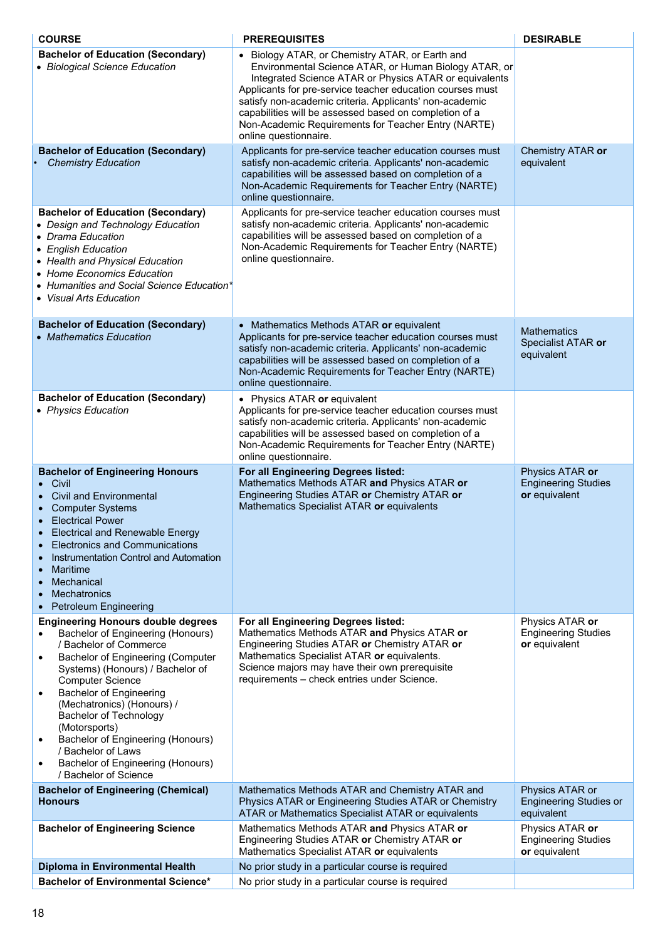| <b>COURSE</b>                                                                                                                                                                                                                                                                                                                                                                                                                                                                                  | <b>PREREQUISITES</b>                                                                                                                                                                                                                                                                                                                                                                                                                 | <b>DESIRABLE</b>                                               |  |
|------------------------------------------------------------------------------------------------------------------------------------------------------------------------------------------------------------------------------------------------------------------------------------------------------------------------------------------------------------------------------------------------------------------------------------------------------------------------------------------------|--------------------------------------------------------------------------------------------------------------------------------------------------------------------------------------------------------------------------------------------------------------------------------------------------------------------------------------------------------------------------------------------------------------------------------------|----------------------------------------------------------------|--|
| <b>Bachelor of Education (Secondary)</b><br>• Biological Science Education                                                                                                                                                                                                                                                                                                                                                                                                                     | • Biology ATAR, or Chemistry ATAR, or Earth and<br>Environmental Science ATAR, or Human Biology ATAR, or<br>Integrated Science ATAR or Physics ATAR or equivalents<br>Applicants for pre-service teacher education courses must<br>satisfy non-academic criteria. Applicants' non-academic<br>capabilities will be assessed based on completion of a<br>Non-Academic Requirements for Teacher Entry (NARTE)<br>online questionnaire. |                                                                |  |
| <b>Bachelor of Education (Secondary)</b><br><b>Chemistry Education</b>                                                                                                                                                                                                                                                                                                                                                                                                                         | Applicants for pre-service teacher education courses must<br>satisfy non-academic criteria. Applicants' non-academic<br>capabilities will be assessed based on completion of a<br>Non-Academic Requirements for Teacher Entry (NARTE)<br>online questionnaire.                                                                                                                                                                       | Chemistry ATAR or<br>equivalent                                |  |
| <b>Bachelor of Education (Secondary)</b><br>• Design and Technology Education<br>• Drama Education<br>• English Education<br>• Health and Physical Education<br>• Home Economics Education<br>• Humanities and Social Science Education*<br>• Visual Arts Education                                                                                                                                                                                                                            | Applicants for pre-service teacher education courses must<br>satisfy non-academic criteria. Applicants' non-academic<br>capabilities will be assessed based on completion of a<br>Non-Academic Requirements for Teacher Entry (NARTE)<br>online questionnaire.                                                                                                                                                                       |                                                                |  |
| <b>Bachelor of Education (Secondary)</b><br>• Mathematics Education                                                                                                                                                                                                                                                                                                                                                                                                                            | • Mathematics Methods ATAR or equivalent<br>Applicants for pre-service teacher education courses must<br>satisfy non-academic criteria. Applicants' non-academic<br>capabilities will be assessed based on completion of a<br>Non-Academic Requirements for Teacher Entry (NARTE)<br>online questionnaire.                                                                                                                           | <b>Mathematics</b><br>Specialist ATAR or<br>equivalent         |  |
| <b>Bachelor of Education (Secondary)</b><br>• Physics Education                                                                                                                                                                                                                                                                                                                                                                                                                                | • Physics ATAR or equivalent<br>Applicants for pre-service teacher education courses must<br>satisfy non-academic criteria. Applicants' non-academic<br>capabilities will be assessed based on completion of a<br>Non-Academic Requirements for Teacher Entry (NARTE)<br>online questionnaire.                                                                                                                                       |                                                                |  |
| <b>Bachelor of Engineering Honours</b><br>• Civil<br><b>Civil and Environmental</b><br><b>Computer Systems</b><br><b>Electrical Power</b><br><b>Electrical and Renewable Energy</b><br><b>Electronics and Communications</b><br>Instrumentation Control and Automation<br>Maritime<br>Mechanical<br>Mechatronics<br><b>Petroleum Engineering</b>                                                                                                                                               | For all Engineering Degrees listed:<br>Mathematics Methods ATAR and Physics ATAR or<br>Engineering Studies ATAR or Chemistry ATAR or<br>Mathematics Specialist ATAR or equivalents                                                                                                                                                                                                                                                   | Physics ATAR or<br><b>Engineering Studies</b><br>or equivalent |  |
| <b>Engineering Honours double degrees</b><br>Bachelor of Engineering (Honours)<br>/ Bachelor of Commerce<br>Bachelor of Engineering (Computer<br>$\bullet$<br>Systems) (Honours) / Bachelor of<br><b>Computer Science</b><br><b>Bachelor of Engineering</b><br>$\bullet$<br>(Mechatronics) (Honours) /<br><b>Bachelor of Technology</b><br>(Motorsports)<br>Bachelor of Engineering (Honours)<br>/ Bachelor of Laws<br>Bachelor of Engineering (Honours)<br>$\bullet$<br>/ Bachelor of Science | For all Engineering Degrees listed:<br>Mathematics Methods ATAR and Physics ATAR or<br>Engineering Studies ATAR or Chemistry ATAR or<br>Mathematics Specialist ATAR or equivalents.<br>Science majors may have their own prerequisite<br>requirements - check entries under Science.                                                                                                                                                 | Physics ATAR or<br><b>Engineering Studies</b><br>or equivalent |  |
| <b>Bachelor of Engineering (Chemical)</b><br><b>Honours</b>                                                                                                                                                                                                                                                                                                                                                                                                                                    | Mathematics Methods ATAR and Chemistry ATAR and<br>Physics ATAR or Engineering Studies ATAR or Chemistry<br>ATAR or Mathematics Specialist ATAR or equivalents                                                                                                                                                                                                                                                                       | Physics ATAR or<br><b>Engineering Studies or</b><br>equivalent |  |
| <b>Bachelor of Engineering Science</b>                                                                                                                                                                                                                                                                                                                                                                                                                                                         | Mathematics Methods ATAR and Physics ATAR or<br>Engineering Studies ATAR or Chemistry ATAR or<br>Mathematics Specialist ATAR or equivalents                                                                                                                                                                                                                                                                                          | Physics ATAR or<br><b>Engineering Studies</b><br>or equivalent |  |
| Diploma in Environmental Health                                                                                                                                                                                                                                                                                                                                                                                                                                                                | No prior study in a particular course is required                                                                                                                                                                                                                                                                                                                                                                                    |                                                                |  |
| <b>Bachelor of Environmental Science*</b>                                                                                                                                                                                                                                                                                                                                                                                                                                                      | No prior study in a particular course is required                                                                                                                                                                                                                                                                                                                                                                                    |                                                                |  |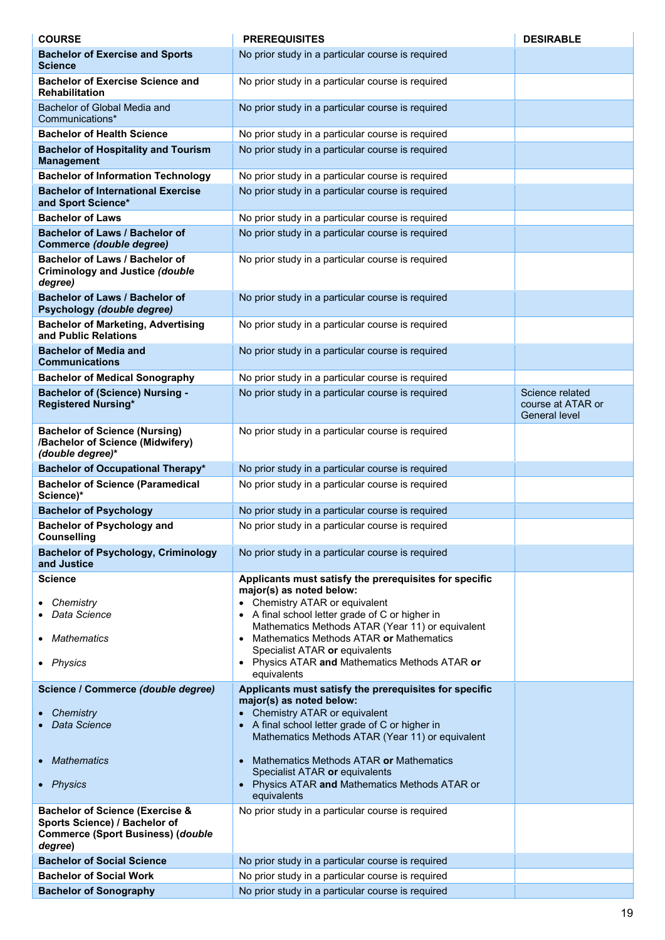| <b>COURSE</b>                                                                                                                      | <b>PREREQUISITES</b>                                                                                                                                              | <b>DESIRABLE</b>                                             |
|------------------------------------------------------------------------------------------------------------------------------------|-------------------------------------------------------------------------------------------------------------------------------------------------------------------|--------------------------------------------------------------|
| <b>Bachelor of Exercise and Sports</b><br><b>Science</b>                                                                           | No prior study in a particular course is required                                                                                                                 |                                                              |
| <b>Bachelor of Exercise Science and</b><br><b>Rehabilitation</b>                                                                   | No prior study in a particular course is required                                                                                                                 |                                                              |
| Bachelor of Global Media and<br>Communications*                                                                                    | No prior study in a particular course is required                                                                                                                 |                                                              |
| <b>Bachelor of Health Science</b>                                                                                                  | No prior study in a particular course is required                                                                                                                 |                                                              |
| <b>Bachelor of Hospitality and Tourism</b><br><b>Management</b>                                                                    | No prior study in a particular course is required                                                                                                                 |                                                              |
| <b>Bachelor of Information Technology</b>                                                                                          | No prior study in a particular course is required                                                                                                                 |                                                              |
| <b>Bachelor of International Exercise</b><br>and Sport Science*                                                                    | No prior study in a particular course is required                                                                                                                 |                                                              |
| <b>Bachelor of Laws</b>                                                                                                            | No prior study in a particular course is required                                                                                                                 |                                                              |
| <b>Bachelor of Laws / Bachelor of</b><br>Commerce (double degree)                                                                  | No prior study in a particular course is required                                                                                                                 |                                                              |
| Bachelor of Laws / Bachelor of<br><b>Criminology and Justice (double</b><br>degree)                                                | No prior study in a particular course is required                                                                                                                 |                                                              |
| Bachelor of Laws / Bachelor of<br>Psychology (double degree)                                                                       | No prior study in a particular course is required                                                                                                                 |                                                              |
| <b>Bachelor of Marketing, Advertising</b><br>and Public Relations                                                                  | No prior study in a particular course is required                                                                                                                 |                                                              |
| <b>Bachelor of Media and</b><br><b>Communications</b>                                                                              | No prior study in a particular course is required                                                                                                                 |                                                              |
| <b>Bachelor of Medical Sonography</b>                                                                                              | No prior study in a particular course is required                                                                                                                 |                                                              |
| <b>Bachelor of (Science) Nursing -</b><br><b>Registered Nursing*</b>                                                               | No prior study in a particular course is required                                                                                                                 | Science related<br>course at ATAR or<br><b>General level</b> |
| <b>Bachelor of Science (Nursing)</b><br>/Bachelor of Science (Midwifery)<br>(double degree)*                                       | No prior study in a particular course is required                                                                                                                 |                                                              |
| <b>Bachelor of Occupational Therapy*</b>                                                                                           | No prior study in a particular course is required                                                                                                                 |                                                              |
| <b>Bachelor of Science (Paramedical</b><br>Science)*                                                                               | No prior study in a particular course is required                                                                                                                 |                                                              |
| <b>Bachelor of Psychology</b>                                                                                                      | No prior study in a particular course is required                                                                                                                 |                                                              |
| <b>Bachelor of Psychology and</b><br><b>Counselling</b>                                                                            | No prior study in a particular course is required                                                                                                                 |                                                              |
| <b>Bachelor of Psychology, Criminology</b><br>and Justice                                                                          | No prior study in a particular course is required                                                                                                                 |                                                              |
| <b>Science</b>                                                                                                                     | Applicants must satisfy the prerequisites for specific<br>major(s) as noted below:                                                                                |                                                              |
| Chemistry                                                                                                                          | • Chemistry ATAR or equivalent                                                                                                                                    |                                                              |
| Data Science                                                                                                                       | • A final school letter grade of C or higher in<br>Mathematics Methods ATAR (Year 11) or equivalent                                                               |                                                              |
| <b>Mathematics</b>                                                                                                                 | • Mathematics Methods ATAR or Mathematics<br>Specialist ATAR or equivalents                                                                                       |                                                              |
| • Physics                                                                                                                          | • Physics ATAR and Mathematics Methods ATAR or<br>equivalents                                                                                                     |                                                              |
| Science / Commerce (double degree)                                                                                                 | Applicants must satisfy the prerequisites for specific                                                                                                            |                                                              |
| Chemistry<br>Data Science                                                                                                          | major(s) as noted below:<br>• Chemistry ATAR or equivalent<br>• A final school letter grade of C or higher in<br>Mathematics Methods ATAR (Year 11) or equivalent |                                                              |
| Mathematics                                                                                                                        | Mathematics Methods ATAR or Mathematics<br>$\bullet$                                                                                                              |                                                              |
| • Physics                                                                                                                          | Specialist ATAR or equivalents<br>Physics ATAR and Mathematics Methods ATAR or<br>equivalents                                                                     |                                                              |
| <b>Bachelor of Science (Exercise &amp;</b><br>Sports Science) / Bachelor of<br><b>Commerce (Sport Business) (double</b><br>degree) | No prior study in a particular course is required                                                                                                                 |                                                              |
| <b>Bachelor of Social Science</b>                                                                                                  | No prior study in a particular course is required                                                                                                                 |                                                              |
| <b>Bachelor of Social Work</b>                                                                                                     | No prior study in a particular course is required                                                                                                                 |                                                              |
| <b>Bachelor of Sonography</b>                                                                                                      | No prior study in a particular course is required                                                                                                                 |                                                              |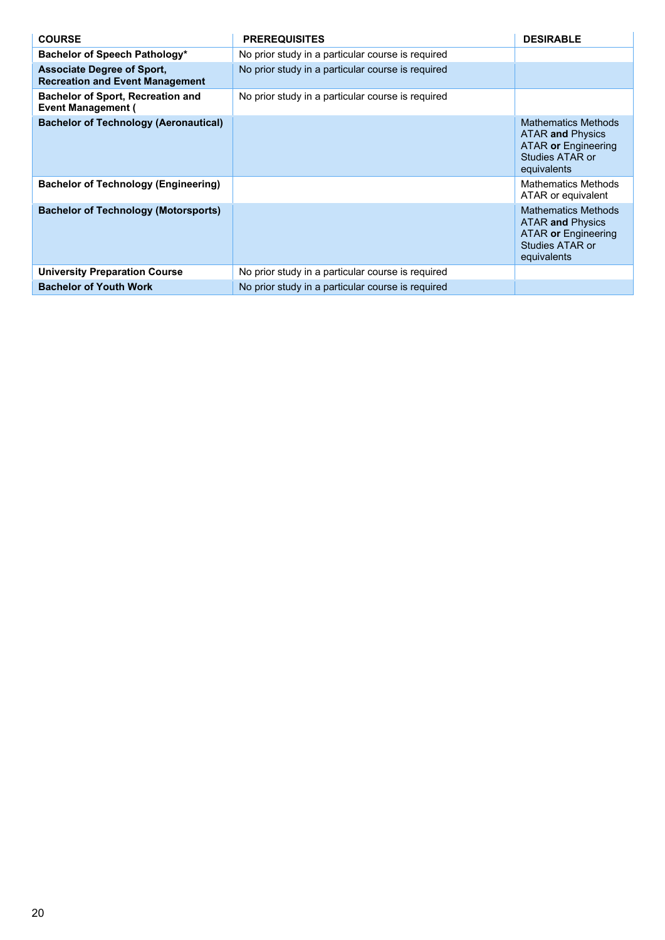| <b>COURSE</b>                                                               | <b>PREREQUISITES</b>                              | <b>DESIRABLE</b>                                                                                               |
|-----------------------------------------------------------------------------|---------------------------------------------------|----------------------------------------------------------------------------------------------------------------|
| Bachelor of Speech Pathology*                                               | No prior study in a particular course is required |                                                                                                                |
| <b>Associate Degree of Sport.</b><br><b>Recreation and Event Management</b> | No prior study in a particular course is required |                                                                                                                |
| <b>Bachelor of Sport, Recreation and</b><br><b>Event Management (</b>       | No prior study in a particular course is required |                                                                                                                |
| <b>Bachelor of Technology (Aeronautical)</b>                                |                                                   | <b>Mathematics Methods</b><br><b>ATAR and Physics</b><br>ATAR or Engineering<br>Studies ATAR or<br>equivalents |
| <b>Bachelor of Technology (Engineering)</b>                                 |                                                   | <b>Mathematics Methods</b><br>ATAR or equivalent                                                               |
| <b>Bachelor of Technology (Motorsports)</b>                                 |                                                   | <b>Mathematics Methods</b><br><b>ATAR and Physics</b><br>ATAR or Engineering<br>Studies ATAR or<br>equivalents |
| <b>University Preparation Course</b>                                        | No prior study in a particular course is required |                                                                                                                |
| <b>Bachelor of Youth Work</b>                                               | No prior study in a particular course is required |                                                                                                                |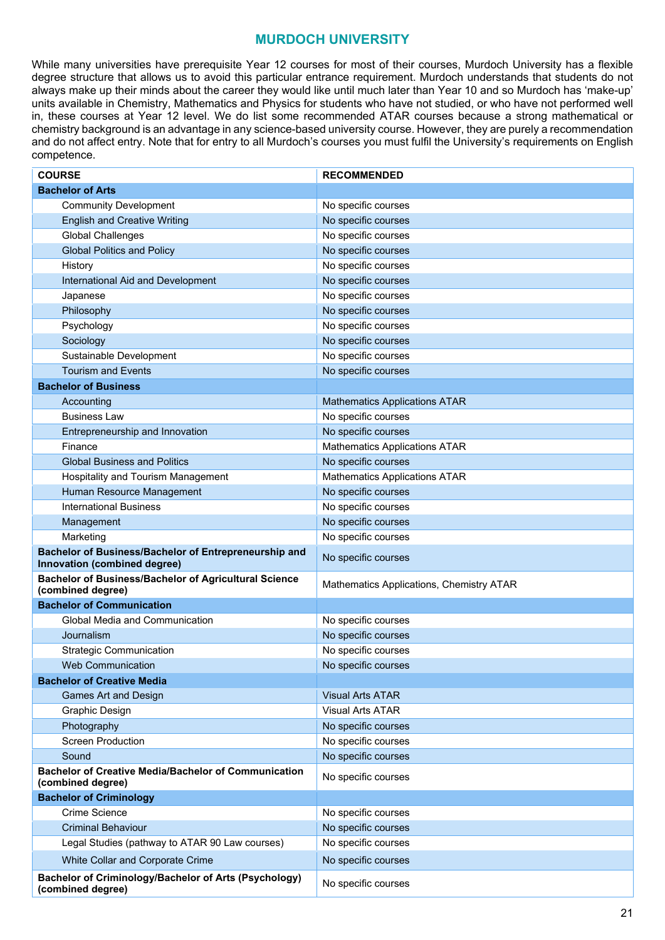#### **MURDOCH UNIVERSITY**

<span id="page-20-0"></span>While many universities have prerequisite Year 12 courses for most of their courses, Murdoch University has a flexible degree structure that allows us to avoid this particular entrance requirement. Murdoch understands that students do not always make up their minds about the career they would like until much later than Year 10 and so Murdoch has 'make-up' units available in Chemistry, Mathematics and Physics for students who have not studied, or who have not performed well in, these courses at Year 12 level. We do list some recommended ATAR courses because a strong mathematical or chemistry background is an advantage in any science-based university course. However, they are purely a recommendation and do not affect entry. Note that for entry to all Murdoch's courses you must fulfil the University's requirements on English competence.

| <b>COURSE</b>                                                                         | <b>RECOMMENDED</b>                       |
|---------------------------------------------------------------------------------------|------------------------------------------|
| <b>Bachelor of Arts</b>                                                               |                                          |
| <b>Community Development</b>                                                          | No specific courses                      |
| <b>English and Creative Writing</b>                                                   | No specific courses                      |
| <b>Global Challenges</b>                                                              | No specific courses                      |
| <b>Global Politics and Policy</b>                                                     | No specific courses                      |
| History                                                                               | No specific courses                      |
| International Aid and Development                                                     | No specific courses                      |
| Japanese                                                                              | No specific courses                      |
| Philosophy                                                                            | No specific courses                      |
| Psychology                                                                            | No specific courses                      |
| Sociology                                                                             | No specific courses                      |
| Sustainable Development                                                               | No specific courses                      |
| <b>Tourism and Events</b>                                                             | No specific courses                      |
| <b>Bachelor of Business</b>                                                           |                                          |
| Accounting                                                                            | <b>Mathematics Applications ATAR</b>     |
| <b>Business Law</b>                                                                   | No specific courses                      |
| Entrepreneurship and Innovation                                                       | No specific courses                      |
| Finance                                                                               | <b>Mathematics Applications ATAR</b>     |
| <b>Global Business and Politics</b>                                                   | No specific courses                      |
| Hospitality and Tourism Management                                                    | <b>Mathematics Applications ATAR</b>     |
| Human Resource Management                                                             | No specific courses                      |
| <b>International Business</b>                                                         | No specific courses                      |
| Management                                                                            | No specific courses                      |
| Marketing                                                                             | No specific courses                      |
| Bachelor of Business/Bachelor of Entrepreneurship and<br>Innovation (combined degree) | No specific courses                      |
| <b>Bachelor of Business/Bachelor of Agricultural Science</b><br>(combined degree)     | Mathematics Applications, Chemistry ATAR |
| <b>Bachelor of Communication</b>                                                      |                                          |
| <b>Global Media and Communication</b>                                                 | No specific courses                      |
| Journalism                                                                            | No specific courses                      |
| <b>Strategic Communication</b>                                                        | No specific courses                      |
| <b>Web Communication</b>                                                              | No specific courses                      |
| <b>Bachelor of Creative Media</b>                                                     |                                          |
| <b>Games Art and Design</b>                                                           | <b>Visual Arts ATAR</b>                  |
| Graphic Design                                                                        | <b>Visual Arts ATAR</b>                  |
| Photography                                                                           | No specific courses                      |
| <b>Screen Production</b>                                                              | No specific courses                      |
| Sound                                                                                 | No specific courses                      |
| <b>Bachelor of Creative Media/Bachelor of Communication</b><br>(combined degree)      | No specific courses                      |
| <b>Bachelor of Criminology</b>                                                        |                                          |
| <b>Crime Science</b>                                                                  | No specific courses                      |
| <b>Criminal Behaviour</b>                                                             | No specific courses                      |
| Legal Studies (pathway to ATAR 90 Law courses)                                        | No specific courses                      |
| White Collar and Corporate Crime                                                      | No specific courses                      |
| Bachelor of Criminology/Bachelor of Arts (Psychology)<br>(combined degree)            | No specific courses                      |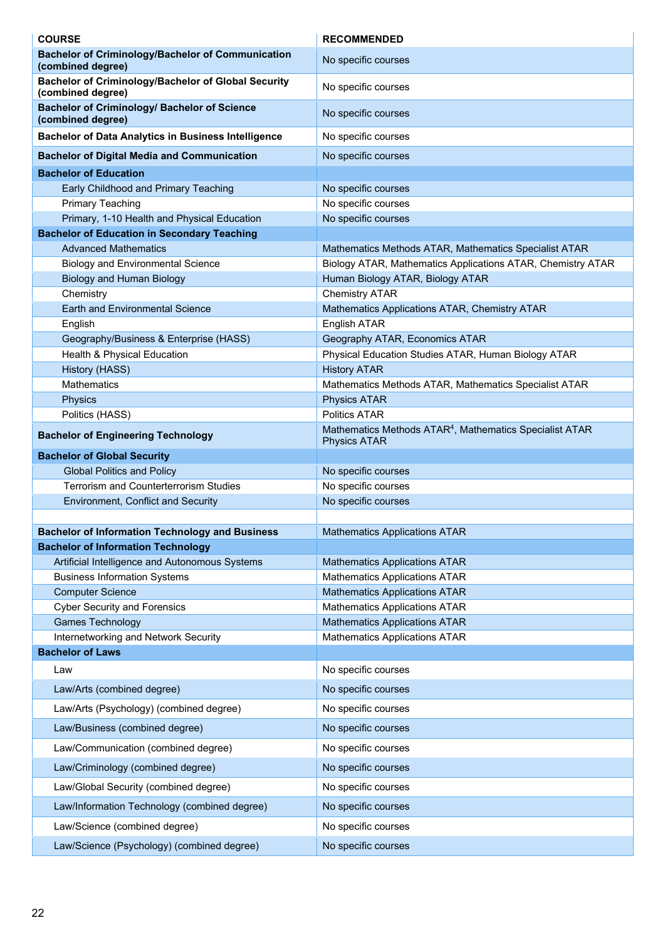| <b>COURSE</b>                                                                   | <b>RECOMMENDED</b>                                                                         |
|---------------------------------------------------------------------------------|--------------------------------------------------------------------------------------------|
| <b>Bachelor of Criminology/Bachelor of Communication</b><br>(combined degree)   | No specific courses                                                                        |
| <b>Bachelor of Criminology/Bachelor of Global Security</b><br>(combined degree) | No specific courses                                                                        |
| <b>Bachelor of Criminology/ Bachelor of Science</b><br>(combined degree)        | No specific courses                                                                        |
| <b>Bachelor of Data Analytics in Business Intelligence</b>                      | No specific courses                                                                        |
| <b>Bachelor of Digital Media and Communication</b>                              | No specific courses                                                                        |
| <b>Bachelor of Education</b>                                                    |                                                                                            |
| Early Childhood and Primary Teaching                                            | No specific courses                                                                        |
| <b>Primary Teaching</b>                                                         | No specific courses                                                                        |
| Primary, 1-10 Health and Physical Education                                     | No specific courses                                                                        |
| <b>Bachelor of Education in Secondary Teaching</b>                              |                                                                                            |
| <b>Advanced Mathematics</b>                                                     | Mathematics Methods ATAR, Mathematics Specialist ATAR                                      |
| <b>Biology and Environmental Science</b>                                        | Biology ATAR, Mathematics Applications ATAR, Chemistry ATAR                                |
| <b>Biology and Human Biology</b>                                                | Human Biology ATAR, Biology ATAR                                                           |
| Chemistry                                                                       | <b>Chemistry ATAR</b>                                                                      |
| <b>Earth and Environmental Science</b>                                          | Mathematics Applications ATAR, Chemistry ATAR                                              |
| English                                                                         | English ATAR                                                                               |
| Geography/Business & Enterprise (HASS)                                          | Geography ATAR, Economics ATAR                                                             |
| Health & Physical Education                                                     | Physical Education Studies ATAR, Human Biology ATAR                                        |
| History (HASS)<br><b>Mathematics</b>                                            | <b>History ATAR</b>                                                                        |
| Physics                                                                         | Mathematics Methods ATAR, Mathematics Specialist ATAR<br><b>Physics ATAR</b>               |
| Politics (HASS)                                                                 | <b>Politics ATAR</b>                                                                       |
| <b>Bachelor of Engineering Technology</b>                                       | Mathematics Methods ATAR <sup>4</sup> , Mathematics Specialist ATAR<br><b>Physics ATAR</b> |
| <b>Bachelor of Global Security</b>                                              |                                                                                            |
| <b>Global Politics and Policy</b>                                               | No specific courses                                                                        |
| Terrorism and Counterterrorism Studies                                          | No specific courses                                                                        |
| <b>Environment, Conflict and Security</b>                                       | No specific courses                                                                        |
|                                                                                 |                                                                                            |
| <b>Bachelor of Information Technology and Business</b>                          | <b>Mathematics Applications ATAR</b>                                                       |
| <b>Bachelor of Information Technology</b>                                       |                                                                                            |
| Artificial Intelligence and Autonomous Systems                                  | <b>Mathematics Applications ATAR</b>                                                       |
| <b>Business Information Systems</b>                                             | <b>Mathematics Applications ATAR</b>                                                       |
| <b>Computer Science</b>                                                         | <b>Mathematics Applications ATAR</b>                                                       |
| <b>Cyber Security and Forensics</b>                                             | <b>Mathematics Applications ATAR</b>                                                       |
| <b>Games Technology</b>                                                         | <b>Mathematics Applications ATAR</b>                                                       |
| Internetworking and Network Security<br><b>Bachelor of Laws</b>                 | <b>Mathematics Applications ATAR</b>                                                       |
|                                                                                 |                                                                                            |
| Law<br>Law/Arts (combined degree)                                               | No specific courses<br>No specific courses                                                 |
|                                                                                 |                                                                                            |
| Law/Arts (Psychology) (combined degree)                                         | No specific courses                                                                        |
| Law/Business (combined degree)                                                  | No specific courses                                                                        |
| Law/Communication (combined degree)                                             | No specific courses                                                                        |
| Law/Criminology (combined degree)                                               | No specific courses                                                                        |
| Law/Global Security (combined degree)                                           | No specific courses                                                                        |
| Law/Information Technology (combined degree)                                    | No specific courses                                                                        |
| Law/Science (combined degree)                                                   | No specific courses                                                                        |
| Law/Science (Psychology) (combined degree)                                      | No specific courses                                                                        |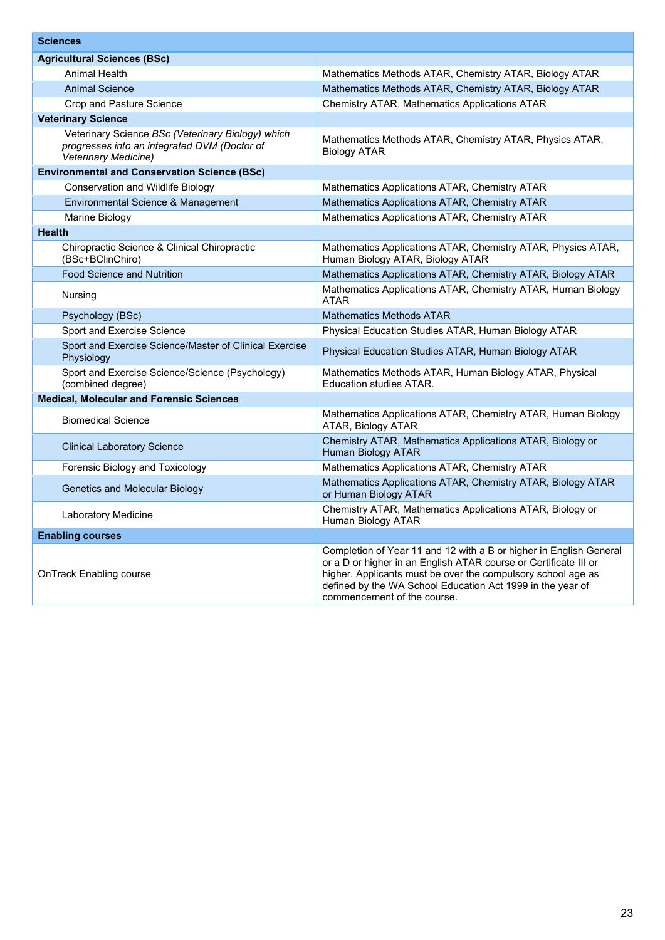| <b>Sciences</b>                                                                                                           |                                                                                                                                                                                                                                                                                                     |  |  |
|---------------------------------------------------------------------------------------------------------------------------|-----------------------------------------------------------------------------------------------------------------------------------------------------------------------------------------------------------------------------------------------------------------------------------------------------|--|--|
| <b>Agricultural Sciences (BSc)</b>                                                                                        |                                                                                                                                                                                                                                                                                                     |  |  |
| <b>Animal Health</b>                                                                                                      | Mathematics Methods ATAR, Chemistry ATAR, Biology ATAR                                                                                                                                                                                                                                              |  |  |
| <b>Animal Science</b>                                                                                                     | Mathematics Methods ATAR, Chemistry ATAR, Biology ATAR                                                                                                                                                                                                                                              |  |  |
| Crop and Pasture Science                                                                                                  | <b>Chemistry ATAR, Mathematics Applications ATAR</b>                                                                                                                                                                                                                                                |  |  |
| <b>Veterinary Science</b>                                                                                                 |                                                                                                                                                                                                                                                                                                     |  |  |
| Veterinary Science BSc (Veterinary Biology) which<br>progresses into an integrated DVM (Doctor of<br>Veterinary Medicine) | Mathematics Methods ATAR, Chemistry ATAR, Physics ATAR,<br><b>Biology ATAR</b>                                                                                                                                                                                                                      |  |  |
| <b>Environmental and Conservation Science (BSc)</b>                                                                       |                                                                                                                                                                                                                                                                                                     |  |  |
| <b>Conservation and Wildlife Biology</b>                                                                                  | Mathematics Applications ATAR, Chemistry ATAR                                                                                                                                                                                                                                                       |  |  |
| Environmental Science & Management                                                                                        | Mathematics Applications ATAR, Chemistry ATAR                                                                                                                                                                                                                                                       |  |  |
| Marine Biology                                                                                                            | Mathematics Applications ATAR, Chemistry ATAR                                                                                                                                                                                                                                                       |  |  |
| <b>Health</b>                                                                                                             |                                                                                                                                                                                                                                                                                                     |  |  |
| Chiropractic Science & Clinical Chiropractic<br>(BSc+BClinChiro)                                                          | Mathematics Applications ATAR, Chemistry ATAR, Physics ATAR,<br>Human Biology ATAR, Biology ATAR                                                                                                                                                                                                    |  |  |
| <b>Food Science and Nutrition</b>                                                                                         | Mathematics Applications ATAR, Chemistry ATAR, Biology ATAR                                                                                                                                                                                                                                         |  |  |
| Nursing                                                                                                                   | Mathematics Applications ATAR, Chemistry ATAR, Human Biology<br><b>ATAR</b>                                                                                                                                                                                                                         |  |  |
| Psychology (BSc)                                                                                                          | <b>Mathematics Methods ATAR</b>                                                                                                                                                                                                                                                                     |  |  |
| <b>Sport and Exercise Science</b>                                                                                         | Physical Education Studies ATAR, Human Biology ATAR                                                                                                                                                                                                                                                 |  |  |
| Sport and Exercise Science/Master of Clinical Exercise<br>Physiology                                                      | Physical Education Studies ATAR, Human Biology ATAR                                                                                                                                                                                                                                                 |  |  |
| Sport and Exercise Science/Science (Psychology)<br>(combined degree)                                                      | Mathematics Methods ATAR, Human Biology ATAR, Physical<br><b>Education studies ATAR.</b>                                                                                                                                                                                                            |  |  |
| <b>Medical, Molecular and Forensic Sciences</b>                                                                           |                                                                                                                                                                                                                                                                                                     |  |  |
| <b>Biomedical Science</b>                                                                                                 | Mathematics Applications ATAR, Chemistry ATAR, Human Biology<br>ATAR, Biology ATAR                                                                                                                                                                                                                  |  |  |
| <b>Clinical Laboratory Science</b>                                                                                        | Chemistry ATAR, Mathematics Applications ATAR, Biology or<br><b>Human Biology ATAR</b>                                                                                                                                                                                                              |  |  |
| Forensic Biology and Toxicology                                                                                           | Mathematics Applications ATAR, Chemistry ATAR                                                                                                                                                                                                                                                       |  |  |
| Genetics and Molecular Biology                                                                                            | Mathematics Applications ATAR, Chemistry ATAR, Biology ATAR<br>or Human Biology ATAR                                                                                                                                                                                                                |  |  |
| Laboratory Medicine                                                                                                       | Chemistry ATAR, Mathematics Applications ATAR, Biology or<br>Human Biology ATAR                                                                                                                                                                                                                     |  |  |
| <b>Enabling courses</b>                                                                                                   |                                                                                                                                                                                                                                                                                                     |  |  |
| OnTrack Enabling course                                                                                                   | Completion of Year 11 and 12 with a B or higher in English General<br>or a D or higher in an English ATAR course or Certificate III or<br>higher. Applicants must be over the compulsory school age as<br>defined by the WA School Education Act 1999 in the year of<br>commencement of the course. |  |  |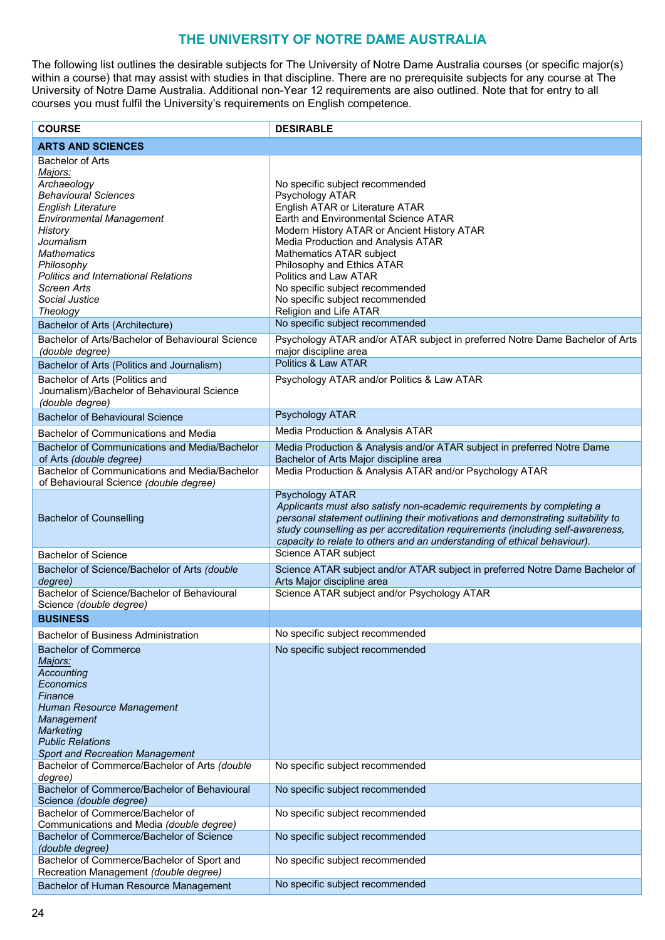### **THE UNIVERSITY OF NOTRE DAME AUSTRALIA**

<span id="page-23-0"></span>The following list outlines the desirable subjects for The University of Notre Dame Australia courses (or specific major(s) within a course) that may assist with studies in that discipline. There are no prerequisite subjects for any course at The University of Notre Dame Australia. Additional non-Year 12 requirements are also outlined. Note that for entry to all courses you must fulfil the University's requirements on English competence.

| <b>COURSE</b>                                                                                                                                                                                                                                                                                             | <b>DESIRABLE</b>                                                                                                                                                                                                                                                                                                                                                                                      |
|-----------------------------------------------------------------------------------------------------------------------------------------------------------------------------------------------------------------------------------------------------------------------------------------------------------|-------------------------------------------------------------------------------------------------------------------------------------------------------------------------------------------------------------------------------------------------------------------------------------------------------------------------------------------------------------------------------------------------------|
| <b>ARTS AND SCIENCES</b>                                                                                                                                                                                                                                                                                  |                                                                                                                                                                                                                                                                                                                                                                                                       |
| <b>Bachelor of Arts</b><br>Majors:<br>Archaeology<br><b>Behavioural Sciences</b><br><b>English Literature</b><br><b>Environmental Management</b><br>History<br>Journalism<br><b>Mathematics</b><br>Philosophy<br><b>Politics and International Relations</b><br>Screen Arts<br>Social Justice<br>Theology | No specific subject recommended<br>Psychology ATAR<br>English ATAR or Literature ATAR<br>Earth and Environmental Science ATAR<br>Modern History ATAR or Ancient History ATAR<br>Media Production and Analysis ATAR<br>Mathematics ATAR subject<br>Philosophy and Ethics ATAR<br>Politics and Law ATAR<br>No specific subject recommended<br>No specific subject recommended<br>Religion and Life ATAR |
| Bachelor of Arts (Architecture)                                                                                                                                                                                                                                                                           | No specific subject recommended                                                                                                                                                                                                                                                                                                                                                                       |
| Bachelor of Arts/Bachelor of Behavioural Science<br>(double degree)<br>Bachelor of Arts (Politics and Journalism)                                                                                                                                                                                         | Psychology ATAR and/or ATAR subject in preferred Notre Dame Bachelor of Arts<br>major discipline area<br>Politics & Law ATAR                                                                                                                                                                                                                                                                          |
| Bachelor of Arts (Politics and<br>Journalism)/Bachelor of Behavioural Science<br>(double degree)                                                                                                                                                                                                          | Psychology ATAR and/or Politics & Law ATAR                                                                                                                                                                                                                                                                                                                                                            |
| <b>Bachelor of Behavioural Science</b>                                                                                                                                                                                                                                                                    | Psychology ATAR                                                                                                                                                                                                                                                                                                                                                                                       |
| Bachelor of Communications and Media                                                                                                                                                                                                                                                                      | Media Production & Analysis ATAR                                                                                                                                                                                                                                                                                                                                                                      |
| Bachelor of Communications and Media/Bachelor<br>of Arts (double degree)<br>Bachelor of Communications and Media/Bachelor<br>of Behavioural Science (double degree)                                                                                                                                       | Media Production & Analysis and/or ATAR subject in preferred Notre Dame<br>Bachelor of Arts Major discipline area<br>Media Production & Analysis ATAR and/or Psychology ATAR                                                                                                                                                                                                                          |
| <b>Bachelor of Counselling</b>                                                                                                                                                                                                                                                                            | Psychology ATAR<br>Applicants must also satisfy non-academic requirements by completing a<br>personal statement outlining their motivations and demonstrating suitability to<br>study counselling as per accreditation requirements (including self-awareness,<br>capacity to relate to others and an understanding of ethical behaviour).                                                            |
| <b>Bachelor of Science</b>                                                                                                                                                                                                                                                                                | Science ATAR subject                                                                                                                                                                                                                                                                                                                                                                                  |
| Bachelor of Science/Bachelor of Arts (double<br>degree)<br>Bachelor of Science/Bachelor of Behavioural                                                                                                                                                                                                    | Science ATAR subject and/or ATAR subject in preferred Notre Dame Bachelor of<br>Arts Major discipline area<br>Science ATAR subject and/or Psychology ATAR                                                                                                                                                                                                                                             |
| Science (double degree)                                                                                                                                                                                                                                                                                   |                                                                                                                                                                                                                                                                                                                                                                                                       |
| <b>BUSINESS</b>                                                                                                                                                                                                                                                                                           |                                                                                                                                                                                                                                                                                                                                                                                                       |
| <b>Bachelor of Business Administration</b>                                                                                                                                                                                                                                                                | No specific subject recommended                                                                                                                                                                                                                                                                                                                                                                       |
| <b>Bachelor of Commerce</b><br>Majors:<br>Accounting<br>Economics<br>Finance<br>Human Resource Management<br>Management<br>Marketing<br><b>Public Relations</b><br>Sport and Recreation Management                                                                                                        | No specific subject recommended                                                                                                                                                                                                                                                                                                                                                                       |
| Bachelor of Commerce/Bachelor of Arts (double                                                                                                                                                                                                                                                             | No specific subject recommended                                                                                                                                                                                                                                                                                                                                                                       |
| degree)<br>Bachelor of Commerce/Bachelor of Behavioural<br>Science (double degree)                                                                                                                                                                                                                        | No specific subject recommended                                                                                                                                                                                                                                                                                                                                                                       |
| Bachelor of Commerce/Bachelor of                                                                                                                                                                                                                                                                          | No specific subject recommended                                                                                                                                                                                                                                                                                                                                                                       |
| Communications and Media (double degree)<br>Bachelor of Commerce/Bachelor of Science<br>(double degree)                                                                                                                                                                                                   | No specific subject recommended                                                                                                                                                                                                                                                                                                                                                                       |
| Bachelor of Commerce/Bachelor of Sport and<br>Recreation Management (double degree)                                                                                                                                                                                                                       | No specific subject recommended                                                                                                                                                                                                                                                                                                                                                                       |
| Bachelor of Human Resource Management                                                                                                                                                                                                                                                                     | No specific subject recommended                                                                                                                                                                                                                                                                                                                                                                       |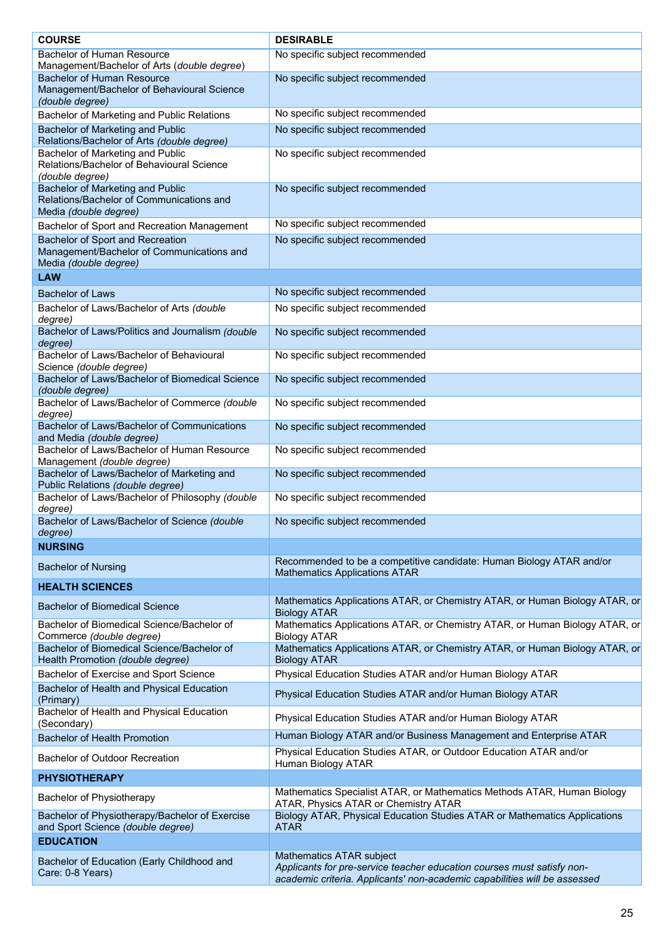| <b>COURSE</b>                                                                                                                     | <b>DESIRABLE</b>                                                                                                                                                                |
|-----------------------------------------------------------------------------------------------------------------------------------|---------------------------------------------------------------------------------------------------------------------------------------------------------------------------------|
| <b>Bachelor of Human Resource</b>                                                                                                 | No specific subject recommended                                                                                                                                                 |
| Management/Bachelor of Arts (double degree)<br><b>Bachelor of Human Resource</b>                                                  | No specific subject recommended                                                                                                                                                 |
| Management/Bachelor of Behavioural Science<br>(double degree)                                                                     |                                                                                                                                                                                 |
| Bachelor of Marketing and Public Relations                                                                                        | No specific subject recommended                                                                                                                                                 |
| Bachelor of Marketing and Public<br>Relations/Bachelor of Arts (double degree)                                                    | No specific subject recommended                                                                                                                                                 |
| Bachelor of Marketing and Public<br>Relations/Bachelor of Behavioural Science<br>(double degree)                                  | No specific subject recommended                                                                                                                                                 |
| Bachelor of Marketing and Public<br>Relations/Bachelor of Communications and<br>Media (double degree)                             | No specific subject recommended                                                                                                                                                 |
| Bachelor of Sport and Recreation Management                                                                                       | No specific subject recommended                                                                                                                                                 |
| Bachelor of Sport and Recreation<br>Management/Bachelor of Communications and<br>Media (double degree)                            | No specific subject recommended                                                                                                                                                 |
| LAW                                                                                                                               |                                                                                                                                                                                 |
| <b>Bachelor of Laws</b>                                                                                                           | No specific subject recommended                                                                                                                                                 |
| Bachelor of Laws/Bachelor of Arts (double                                                                                         | No specific subject recommended                                                                                                                                                 |
| degree)<br>Bachelor of Laws/Politics and Journalism (double<br>degree)                                                            | No specific subject recommended                                                                                                                                                 |
| Bachelor of Laws/Bachelor of Behavioural<br>Science (double degree)                                                               | No specific subject recommended                                                                                                                                                 |
| Bachelor of Laws/Bachelor of Biomedical Science<br>(double degree)                                                                | No specific subject recommended                                                                                                                                                 |
| Bachelor of Laws/Bachelor of Commerce (double<br>degree)                                                                          | No specific subject recommended                                                                                                                                                 |
| Bachelor of Laws/Bachelor of Communications<br>and Media (double degree)                                                          | No specific subject recommended                                                                                                                                                 |
| Bachelor of Laws/Bachelor of Human Resource<br>Management (double degree)                                                         | No specific subject recommended                                                                                                                                                 |
| Bachelor of Laws/Bachelor of Marketing and<br>Public Relations (double degree)<br>Bachelor of Laws/Bachelor of Philosophy (double | No specific subject recommended<br>No specific subject recommended                                                                                                              |
| degree)<br>Bachelor of Laws/Bachelor of Science (double                                                                           | No specific subject recommended                                                                                                                                                 |
| degree)                                                                                                                           |                                                                                                                                                                                 |
| <b>NURSING</b>                                                                                                                    |                                                                                                                                                                                 |
| <b>Bachelor of Nursing</b>                                                                                                        | Recommended to be a competitive candidate: Human Biology ATAR and/or<br><b>Mathematics Applications ATAR</b>                                                                    |
| <b>HEALTH SCIENCES</b>                                                                                                            |                                                                                                                                                                                 |
| <b>Bachelor of Biomedical Science</b>                                                                                             | Mathematics Applications ATAR, or Chemistry ATAR, or Human Biology ATAR, or<br><b>Biology ATAR</b>                                                                              |
| Bachelor of Biomedical Science/Bachelor of<br>Commerce (double degree)                                                            | Mathematics Applications ATAR, or Chemistry ATAR, or Human Biology ATAR, or<br><b>Biology ATAR</b>                                                                              |
| Bachelor of Biomedical Science/Bachelor of<br>Health Promotion (double degree)                                                    | Mathematics Applications ATAR, or Chemistry ATAR, or Human Biology ATAR, or<br><b>Biology ATAR</b>                                                                              |
| Bachelor of Exercise and Sport Science                                                                                            | Physical Education Studies ATAR and/or Human Biology ATAR                                                                                                                       |
| Bachelor of Health and Physical Education<br>(Primary)                                                                            | Physical Education Studies ATAR and/or Human Biology ATAR                                                                                                                       |
| Bachelor of Health and Physical Education<br>(Secondary)                                                                          | Physical Education Studies ATAR and/or Human Biology ATAR                                                                                                                       |
| <b>Bachelor of Health Promotion</b>                                                                                               | Human Biology ATAR and/or Business Management and Enterprise ATAR                                                                                                               |
| Bachelor of Outdoor Recreation                                                                                                    | Physical Education Studies ATAR, or Outdoor Education ATAR and/or<br>Human Biology ATAR                                                                                         |
| <b>PHYSIOTHERAPY</b>                                                                                                              |                                                                                                                                                                                 |
| Bachelor of Physiotherapy                                                                                                         | Mathematics Specialist ATAR, or Mathematics Methods ATAR, Human Biology<br>ATAR, Physics ATAR or Chemistry ATAR                                                                 |
| Bachelor of Physiotherapy/Bachelor of Exercise<br>and Sport Science (double degree)                                               | Biology ATAR, Physical Education Studies ATAR or Mathematics Applications<br><b>ATAR</b>                                                                                        |
| <b>EDUCATION</b>                                                                                                                  |                                                                                                                                                                                 |
| Bachelor of Education (Early Childhood and<br>Care: 0-8 Years)                                                                    | Mathematics ATAR subject<br>Applicants for pre-service teacher education courses must satisfy non-<br>academic criteria. Applicants' non-academic capabilities will be assessed |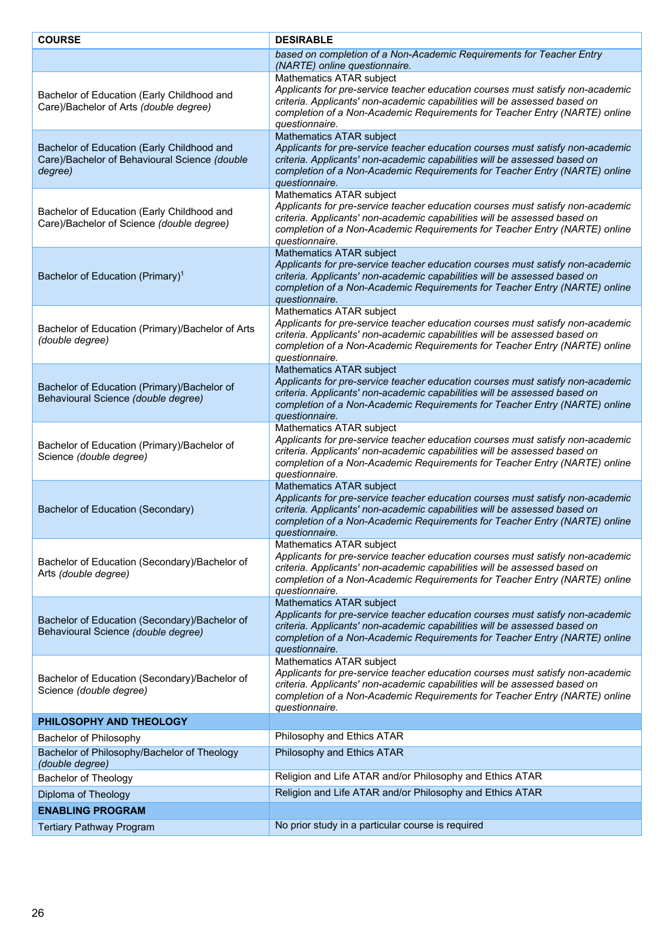| <b>COURSE</b>                                                                                          | <b>DESIRABLE</b>                                                                                                                                                                                                                                                                               |
|--------------------------------------------------------------------------------------------------------|------------------------------------------------------------------------------------------------------------------------------------------------------------------------------------------------------------------------------------------------------------------------------------------------|
|                                                                                                        | based on completion of a Non-Academic Requirements for Teacher Entry<br>(NARTE) online questionnaire.                                                                                                                                                                                          |
| Bachelor of Education (Early Childhood and<br>Care)/Bachelor of Arts (double degree)                   | Mathematics ATAR subject<br>Applicants for pre-service teacher education courses must satisfy non-academic<br>criteria. Applicants' non-academic capabilities will be assessed based on<br>completion of a Non-Academic Requirements for Teacher Entry (NARTE) online<br>questionnaire.        |
| Bachelor of Education (Early Childhood and<br>Care)/Bachelor of Behavioural Science (double<br>degree) | Mathematics ATAR subject<br>Applicants for pre-service teacher education courses must satisfy non-academic<br>criteria. Applicants' non-academic capabilities will be assessed based on<br>completion of a Non-Academic Requirements for Teacher Entry (NARTE) online<br>questionnaire.        |
| Bachelor of Education (Early Childhood and<br>Care)/Bachelor of Science (double degree)                | Mathematics ATAR subject<br>Applicants for pre-service teacher education courses must satisfy non-academic<br>criteria. Applicants' non-academic capabilities will be assessed based on<br>completion of a Non-Academic Requirements for Teacher Entry (NARTE) online<br>questionnaire.        |
| Bachelor of Education (Primary) <sup>1</sup>                                                           | Mathematics ATAR subject<br>Applicants for pre-service teacher education courses must satisfy non-academic<br>criteria. Applicants' non-academic capabilities will be assessed based on<br>completion of a Non-Academic Requirements for Teacher Entry (NARTE) online<br>questionnaire.        |
| Bachelor of Education (Primary)/Bachelor of Arts<br>(double degree)                                    | Mathematics ATAR subject<br>Applicants for pre-service teacher education courses must satisfy non-academic<br>criteria. Applicants' non-academic capabilities will be assessed based on<br>completion of a Non-Academic Requirements for Teacher Entry (NARTE) online<br>questionnaire.        |
| Bachelor of Education (Primary)/Bachelor of<br>Behavioural Science (double degree)                     | Mathematics ATAR subject<br>Applicants for pre-service teacher education courses must satisfy non-academic<br>criteria. Applicants' non-academic capabilities will be assessed based on<br>completion of a Non-Academic Requirements for Teacher Entry (NARTE) online<br>questionnaire.        |
| Bachelor of Education (Primary)/Bachelor of<br>Science (double degree)                                 | Mathematics ATAR subject<br>Applicants for pre-service teacher education courses must satisfy non-academic<br>criteria. Applicants' non-academic capabilities will be assessed based on<br>completion of a Non-Academic Requirements for Teacher Entry (NARTE) online<br>questionnaire.        |
| Bachelor of Education (Secondary)                                                                      | Mathematics ATAR subject<br>Applicants for pre-service teacher education courses must satisfy non-academic<br>criteria. Applicants' non-academic capabilities will be assessed based on<br>completion of a Non-Academic Requirements for Teacher Entry (NARTE) online<br>questionnaire.        |
| Bachelor of Education (Secondary)/Bachelor of<br>Arts (double degree)                                  | Mathematics ATAR subject<br>Applicants for pre-service teacher education courses must satisfy non-academic<br>criteria. Applicants' non-academic capabilities will be assessed based on<br>completion of a Non-Academic Requirements for Teacher Entry (NARTE) online<br>questionnaire.        |
| Bachelor of Education (Secondary)/Bachelor of<br>Behavioural Science (double degree)                   | <b>Mathematics ATAR subject</b><br>Applicants for pre-service teacher education courses must satisfy non-academic<br>criteria. Applicants' non-academic capabilities will be assessed based on<br>completion of a Non-Academic Requirements for Teacher Entry (NARTE) online<br>questionnaire. |
| Bachelor of Education (Secondary)/Bachelor of<br>Science (double degree)                               | Mathematics ATAR subject<br>Applicants for pre-service teacher education courses must satisfy non-academic<br>criteria. Applicants' non-academic capabilities will be assessed based on<br>completion of a Non-Academic Requirements for Teacher Entry (NARTE) online<br>questionnaire.        |
| PHILOSOPHY AND THEOLOGY                                                                                |                                                                                                                                                                                                                                                                                                |
| Bachelor of Philosophy                                                                                 | Philosophy and Ethics ATAR                                                                                                                                                                                                                                                                     |
| Bachelor of Philosophy/Bachelor of Theology<br>(double degree)                                         | Philosophy and Ethics ATAR                                                                                                                                                                                                                                                                     |
| Bachelor of Theology                                                                                   | Religion and Life ATAR and/or Philosophy and Ethics ATAR                                                                                                                                                                                                                                       |
| Diploma of Theology                                                                                    | Religion and Life ATAR and/or Philosophy and Ethics ATAR                                                                                                                                                                                                                                       |
| <b>ENABLING PROGRAM</b>                                                                                |                                                                                                                                                                                                                                                                                                |
| <b>Tertiary Pathway Program</b>                                                                        | No prior study in a particular course is required                                                                                                                                                                                                                                              |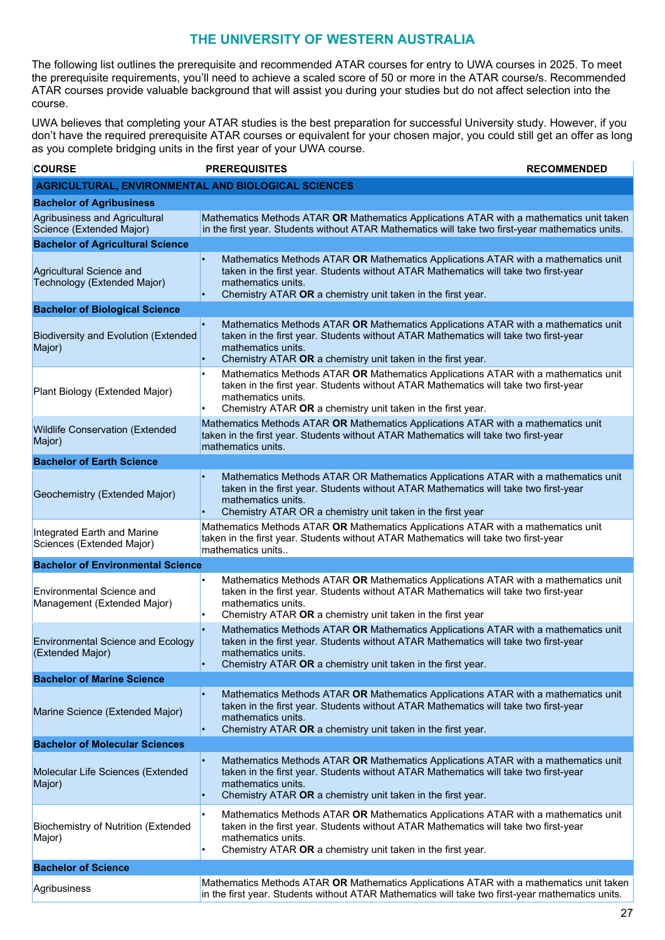### **THE UNIVERSITY OF WESTERN AUSTRALIA**

<span id="page-26-0"></span>The following list outlines the prerequisite and recommended ATAR courses for entry to UWA courses in 2025. To meet the prerequisite requirements, you'll need to achieve a scaled score of 50 or more in the ATAR course/s. Recommended ATAR courses provide valuable background that will assist you during your studies but do not affect selection into the course.

UWA believes that completing your ATAR studies is the best preparation for successful University study. However, if you don't have the required prerequisite ATAR courses or equivalent for your chosen major, you could still get an offer as long as you complete bridging units in the first year of your UWA course.

| <b>COURSE</b>                                                   | <b>PREREQUISITES</b>                                                                                                                                                                                                                                                       | <b>RECOMMENDED</b> |  |  |
|-----------------------------------------------------------------|----------------------------------------------------------------------------------------------------------------------------------------------------------------------------------------------------------------------------------------------------------------------------|--------------------|--|--|
|                                                                 | AGRICULTURAL, ENVIRONMENTAL AND BIOLOGICAL SCIENCES                                                                                                                                                                                                                        |                    |  |  |
| <b>Bachelor of Agribusiness</b>                                 |                                                                                                                                                                                                                                                                            |                    |  |  |
| Agribusiness and Agricultural<br>Science (Extended Major)       | Mathematics Methods ATAR OR Mathematics Applications ATAR with a mathematics unit taken<br>in the first year. Students without ATAR Mathematics will take two first-year mathematics units.                                                                                |                    |  |  |
| <b>Bachelor of Agricultural Science</b>                         |                                                                                                                                                                                                                                                                            |                    |  |  |
| Agricultural Science and<br>Technology (Extended Major)         | Mathematics Methods ATAR OR Mathematics Applications ATAR with a mathematics unit<br>taken in the first year. Students without ATAR Mathematics will take two first-year<br>mathematics units.<br>Chemistry ATAR OR a chemistry unit taken in the first year.              |                    |  |  |
| <b>Bachelor of Biological Science</b>                           |                                                                                                                                                                                                                                                                            |                    |  |  |
| <b>Biodiversity and Evolution (Extended</b><br>Major)           | Mathematics Methods ATAR OR Mathematics Applications ATAR with a mathematics unit<br>$\bullet$<br>taken in the first year. Students without ATAR Mathematics will take two first-year<br>mathematics units.<br>Chemistry ATAR OR a chemistry unit taken in the first year. |                    |  |  |
| Plant Biology (Extended Major)                                  | Mathematics Methods ATAR OR Mathematics Applications ATAR with a mathematics unit<br>$\bullet$<br>taken in the first year. Students without ATAR Mathematics will take two first-year<br>mathematics units.<br>Chemistry ATAR OR a chemistry unit taken in the first year. |                    |  |  |
| <b>Wildlife Conservation (Extended</b><br>Major)                | Mathematics Methods ATAR OR Mathematics Applications ATAR with a mathematics unit<br>taken in the first year. Students without ATAR Mathematics will take two first-year<br>mathematics units.                                                                             |                    |  |  |
| <b>Bachelor of Earth Science</b>                                |                                                                                                                                                                                                                                                                            |                    |  |  |
| Geochemistry (Extended Major)                                   | Mathematics Methods ATAR OR Mathematics Applications ATAR with a mathematics unit<br>taken in the first year. Students without ATAR Mathematics will take two first-year<br>mathematics units.<br>Chemistry ATAR OR a chemistry unit taken in the first year<br>$\bullet$  |                    |  |  |
| Integrated Earth and Marine<br>Sciences (Extended Major)        | Mathematics Methods ATAR OR Mathematics Applications ATAR with a mathematics unit<br>taken in the first year. Students without ATAR Mathematics will take two first-year<br>mathematics units                                                                              |                    |  |  |
| <b>Bachelor of Environmental Science</b>                        |                                                                                                                                                                                                                                                                            |                    |  |  |
| <b>Environmental Science and</b><br>Management (Extended Major) | Mathematics Methods ATAR OR Mathematics Applications ATAR with a mathematics unit<br>taken in the first year. Students without ATAR Mathematics will take two first-year<br>mathematics units.<br>Chemistry ATAR OR a chemistry unit taken in the first year               |                    |  |  |
| <b>Environmental Science and Ecology</b><br>(Extended Major)    | Mathematics Methods ATAR OR Mathematics Applications ATAR with a mathematics unit<br>taken in the first year. Students without ATAR Mathematics will take two first-year<br>mathematics units.<br>Chemistry ATAR OR a chemistry unit taken in the first year.              |                    |  |  |
| <b>Bachelor of Marine Science</b>                               |                                                                                                                                                                                                                                                                            |                    |  |  |
| Marine Science (Extended Major)                                 | Mathematics Methods ATAR OR Mathematics Applications ATAR with a mathematics unit<br>taken in the first year. Students without ATAR Mathematics will take two first-year<br>mathematics units.<br>Chemistry ATAR OR a chemistry unit taken in the first year.              |                    |  |  |
| <b>Bachelor of Molecular Sciences</b>                           |                                                                                                                                                                                                                                                                            |                    |  |  |
| Molecular Life Sciences (Extended<br>Major)                     | Mathematics Methods ATAR OR Mathematics Applications ATAR with a mathematics unit<br>$\bullet$<br>taken in the first year. Students without ATAR Mathematics will take two first-year<br>mathematics units.<br>Chemistry ATAR OR a chemistry unit taken in the first year. |                    |  |  |
| <b>Biochemistry of Nutrition (Extended</b><br>Major)            | Mathematics Methods ATAR OR Mathematics Applications ATAR with a mathematics unit<br>taken in the first year. Students without ATAR Mathematics will take two first-year<br>mathematics units.<br>Chemistry ATAR OR a chemistry unit taken in the first year.              |                    |  |  |
| <b>Bachelor of Science</b>                                      |                                                                                                                                                                                                                                                                            |                    |  |  |
| Agribusiness                                                    | Mathematics Methods ATAR OR Mathematics Applications ATAR with a mathematics unit taken<br>in the first year. Students without ATAR Mathematics will take two first-year mathematics units.                                                                                |                    |  |  |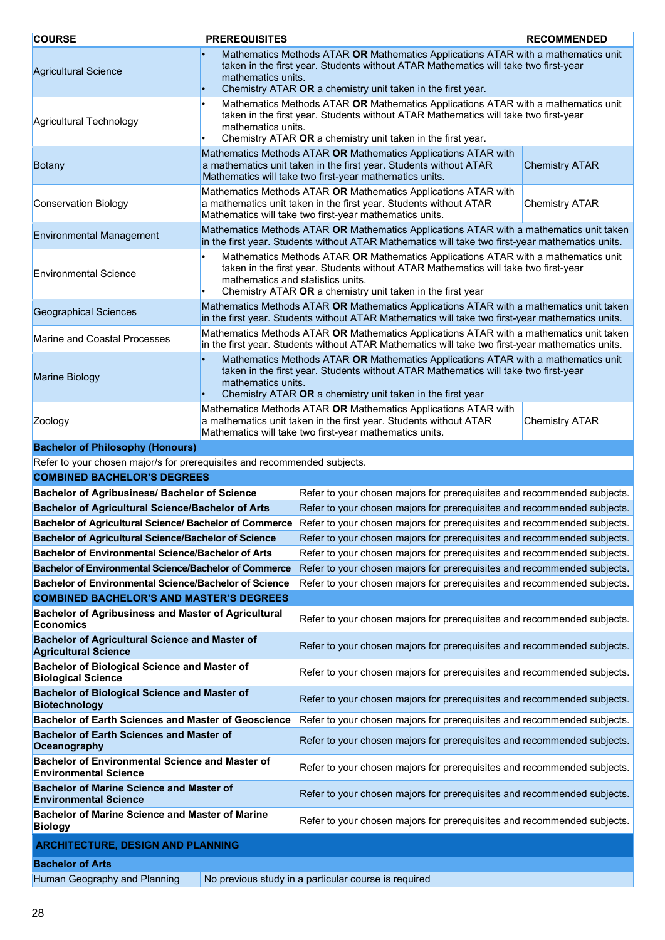| <b>COURSE</b>                                                                          | <b>PREREQUISITES</b>                                                                                                                                                                                                                                                       |                                                                                                                                                                                                                                        | <b>RECOMMENDED</b>    |
|----------------------------------------------------------------------------------------|----------------------------------------------------------------------------------------------------------------------------------------------------------------------------------------------------------------------------------------------------------------------------|----------------------------------------------------------------------------------------------------------------------------------------------------------------------------------------------------------------------------------------|-----------------------|
| <b>Agricultural Science</b>                                                            | Mathematics Methods ATAR OR Mathematics Applications ATAR with a mathematics unit<br>taken in the first year. Students without ATAR Mathematics will take two first-year<br>mathematics units.<br>Chemistry ATAR OR a chemistry unit taken in the first year.<br>$\bullet$ |                                                                                                                                                                                                                                        |                       |
| Agricultural Technology                                                                | Mathematics Methods ATAR OR Mathematics Applications ATAR with a mathematics unit<br>taken in the first year. Students without ATAR Mathematics will take two first-year<br>mathematics units.<br>Chemistry ATAR OR a chemistry unit taken in the first year.              |                                                                                                                                                                                                                                        |                       |
| Botany                                                                                 |                                                                                                                                                                                                                                                                            | Mathematics Methods ATAR OR Mathematics Applications ATAR with<br>a mathematics unit taken in the first year. Students without ATAR<br>Mathematics will take two first-year mathematics units.                                         | <b>Chemistry ATAR</b> |
| <b>Conservation Biology</b>                                                            |                                                                                                                                                                                                                                                                            | Mathematics Methods ATAR OR Mathematics Applications ATAR with<br>a mathematics unit taken in the first year. Students without ATAR<br>Mathematics will take two first-year mathematics units.                                         | <b>Chemistry ATAR</b> |
| <b>Environmental Management</b>                                                        |                                                                                                                                                                                                                                                                            | Mathematics Methods ATAR OR Mathematics Applications ATAR with a mathematics unit taken<br>in the first year. Students without ATAR Mathematics will take two first-year mathematics units.                                            |                       |
| <b>Environmental Science</b>                                                           | mathematics and statistics units.                                                                                                                                                                                                                                          | Mathematics Methods ATAR OR Mathematics Applications ATAR with a mathematics unit<br>taken in the first year. Students without ATAR Mathematics will take two first-year<br>Chemistry ATAR OR a chemistry unit taken in the first year |                       |
| <b>Geographical Sciences</b>                                                           |                                                                                                                                                                                                                                                                            | Mathematics Methods ATAR OR Mathematics Applications ATAR with a mathematics unit taken<br>in the first year. Students without ATAR Mathematics will take two first-year mathematics units.                                            |                       |
| Marine and Coastal Processes                                                           |                                                                                                                                                                                                                                                                            | Mathematics Methods ATAR OR Mathematics Applications ATAR with a mathematics unit taken<br>in the first year. Students without ATAR Mathematics will take two first-year mathematics units.                                            |                       |
| <b>Marine Biology</b>                                                                  | Mathematics Methods ATAR OR Mathematics Applications ATAR with a mathematics unit<br>taken in the first year. Students without ATAR Mathematics will take two first-year<br>mathematics units.<br>Chemistry ATAR OR a chemistry unit taken in the first year               |                                                                                                                                                                                                                                        |                       |
| Zoology                                                                                | Mathematics Methods ATAR OR Mathematics Applications ATAR with<br>a mathematics unit taken in the first year. Students without ATAR<br><b>Chemistry ATAR</b><br>Mathematics will take two first-year mathematics units.                                                    |                                                                                                                                                                                                                                        |                       |
| <b>Bachelor of Philosophy (Honours)</b>                                                |                                                                                                                                                                                                                                                                            |                                                                                                                                                                                                                                        |                       |
| Refer to your chosen major/s for prerequisites and recommended subjects.               |                                                                                                                                                                                                                                                                            |                                                                                                                                                                                                                                        |                       |
| <b>COMBINED BACHELOR'S DEGREES</b>                                                     |                                                                                                                                                                                                                                                                            |                                                                                                                                                                                                                                        |                       |
| <b>Bachelor of Agribusiness/ Bachelor of Science</b>                                   |                                                                                                                                                                                                                                                                            | Refer to your chosen majors for prerequisites and recommended subjects.                                                                                                                                                                |                       |
| <b>Bachelor of Agricultural Science/Bachelor of Arts</b>                               |                                                                                                                                                                                                                                                                            | Refer to your chosen majors for prerequisites and recommended subjects.                                                                                                                                                                |                       |
| Bachelor of Agricultural Science/ Bachelor of Commerce                                 |                                                                                                                                                                                                                                                                            | Refer to your chosen majors for prerequisites and recommended subjects.                                                                                                                                                                |                       |
| <b>Bachelor of Agricultural Science/Bachelor of Science</b>                            |                                                                                                                                                                                                                                                                            | Refer to your chosen majors for prerequisites and recommended subjects.                                                                                                                                                                |                       |
| <b>Bachelor of Environmental Science/Bachelor of Arts</b>                              |                                                                                                                                                                                                                                                                            | Refer to your chosen majors for prerequisites and recommended subjects.                                                                                                                                                                |                       |
| <b>Bachelor of Environmental Science/Bachelor of Commerce</b>                          |                                                                                                                                                                                                                                                                            | Refer to your chosen majors for prerequisites and recommended subjects.                                                                                                                                                                |                       |
| <b>Bachelor of Environmental Science/Bachelor of Science</b>                           |                                                                                                                                                                                                                                                                            | Refer to your chosen majors for prerequisites and recommended subjects.                                                                                                                                                                |                       |
| <b>COMBINED BACHELOR'S AND MASTER'S DEGREES</b>                                        |                                                                                                                                                                                                                                                                            |                                                                                                                                                                                                                                        |                       |
| <b>Bachelor of Agribusiness and Master of Agricultural</b><br>Economics                |                                                                                                                                                                                                                                                                            | Refer to your chosen majors for prerequisites and recommended subjects.                                                                                                                                                                |                       |
| <b>Bachelor of Agricultural Science and Master of</b><br><b>Agricultural Science</b>   |                                                                                                                                                                                                                                                                            | Refer to your chosen majors for prerequisites and recommended subjects.                                                                                                                                                                |                       |
| Bachelor of Biological Science and Master of<br><b>Biological Science</b>              |                                                                                                                                                                                                                                                                            | Refer to your chosen majors for prerequisites and recommended subjects.                                                                                                                                                                |                       |
| <b>Bachelor of Biological Science and Master of</b><br><b>Biotechnology</b>            |                                                                                                                                                                                                                                                                            | Refer to your chosen majors for prerequisites and recommended subjects.                                                                                                                                                                |                       |
| <b>Bachelor of Earth Sciences and Master of Geoscience</b>                             |                                                                                                                                                                                                                                                                            | Refer to your chosen majors for prerequisites and recommended subjects.                                                                                                                                                                |                       |
| <b>Bachelor of Earth Sciences and Master of</b><br>Oceanography                        |                                                                                                                                                                                                                                                                            | Refer to your chosen majors for prerequisites and recommended subjects.                                                                                                                                                                |                       |
| <b>Bachelor of Environmental Science and Master of</b><br><b>Environmental Science</b> |                                                                                                                                                                                                                                                                            | Refer to your chosen majors for prerequisites and recommended subjects.                                                                                                                                                                |                       |
| <b>Bachelor of Marine Science and Master of</b><br><b>Environmental Science</b>        |                                                                                                                                                                                                                                                                            | Refer to your chosen majors for prerequisites and recommended subjects.                                                                                                                                                                |                       |
| <b>Bachelor of Marine Science and Master of Marine</b><br><b>Biology</b>               |                                                                                                                                                                                                                                                                            | Refer to your chosen majors for prerequisites and recommended subjects.                                                                                                                                                                |                       |
| <b>ARCHITECTURE, DESIGN AND PLANNING</b>                                               |                                                                                                                                                                                                                                                                            |                                                                                                                                                                                                                                        |                       |
| <b>Bachelor of Arts</b>                                                                |                                                                                                                                                                                                                                                                            |                                                                                                                                                                                                                                        |                       |
| Human Geography and Planning                                                           |                                                                                                                                                                                                                                                                            | No previous study in a particular course is required                                                                                                                                                                                   |                       |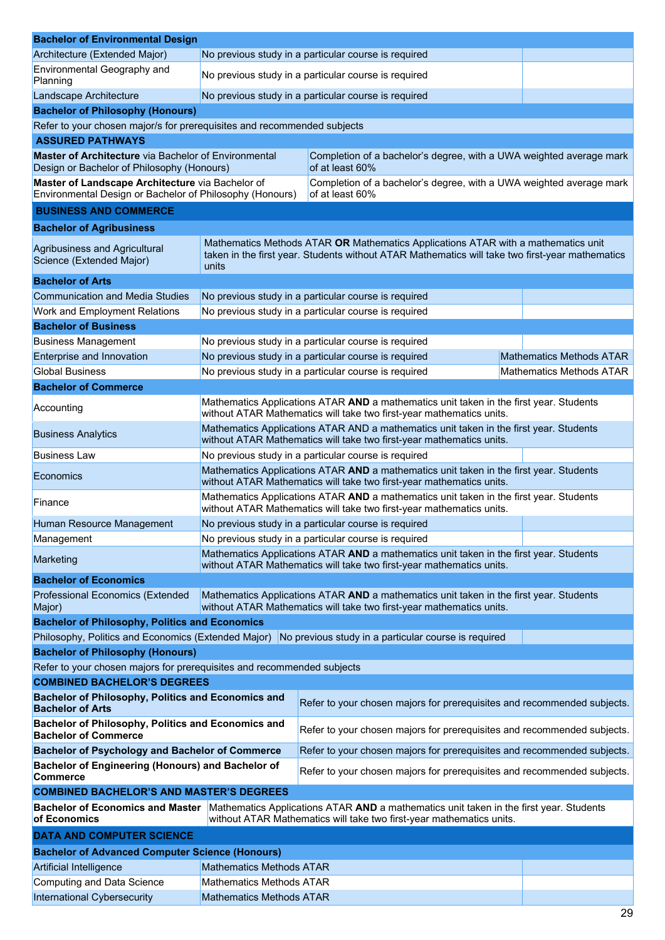| <b>Bachelor of Environmental Design</b>                                                                                                                                                                      |                                                                                                                                                                                               |                                                                                                                                                                |                                 |  |
|--------------------------------------------------------------------------------------------------------------------------------------------------------------------------------------------------------------|-----------------------------------------------------------------------------------------------------------------------------------------------------------------------------------------------|----------------------------------------------------------------------------------------------------------------------------------------------------------------|---------------------------------|--|
| Architecture (Extended Major)                                                                                                                                                                                |                                                                                                                                                                                               | No previous study in a particular course is required                                                                                                           |                                 |  |
| Environmental Geography and                                                                                                                                                                                  |                                                                                                                                                                                               | No previous study in a particular course is required                                                                                                           |                                 |  |
| Planning<br>Landscape Architecture                                                                                                                                                                           | No previous study in a particular course is required                                                                                                                                          |                                                                                                                                                                |                                 |  |
| <b>Bachelor of Philosophy (Honours)</b>                                                                                                                                                                      |                                                                                                                                                                                               |                                                                                                                                                                |                                 |  |
| Refer to your chosen major/s for prerequisites and recommended subjects                                                                                                                                      |                                                                                                                                                                                               |                                                                                                                                                                |                                 |  |
| <b>ASSURED PATHWAYS</b>                                                                                                                                                                                      |                                                                                                                                                                                               |                                                                                                                                                                |                                 |  |
| <b>Master of Architecture</b> via Bachelor of Environmental<br>Design or Bachelor of Philosophy (Honours)                                                                                                    |                                                                                                                                                                                               | Completion of a bachelor's degree, with a UWA weighted average mark<br>of at least 60%                                                                         |                                 |  |
| Master of Landscape Architecture via Bachelor of<br>Environmental Design or Bachelor of Philosophy (Honours)                                                                                                 |                                                                                                                                                                                               | Completion of a bachelor's degree, with a UWA weighted average mark<br>of at least 60%                                                                         |                                 |  |
| <b>BUSINESS AND COMMERCE</b>                                                                                                                                                                                 |                                                                                                                                                                                               |                                                                                                                                                                |                                 |  |
|                                                                                                                                                                                                              |                                                                                                                                                                                               |                                                                                                                                                                |                                 |  |
| <b>Bachelor of Agribusiness</b><br>Agribusiness and Agricultural<br>Science (Extended Major)                                                                                                                 | Mathematics Methods ATAR OR Mathematics Applications ATAR with a mathematics unit<br>taken in the first year. Students without ATAR Mathematics will take two first-year mathematics<br>units |                                                                                                                                                                |                                 |  |
| <b>Bachelor of Arts</b>                                                                                                                                                                                      |                                                                                                                                                                                               |                                                                                                                                                                |                                 |  |
| <b>Communication and Media Studies</b>                                                                                                                                                                       |                                                                                                                                                                                               | No previous study in a particular course is required                                                                                                           |                                 |  |
| Work and Employment Relations                                                                                                                                                                                |                                                                                                                                                                                               | No previous study in a particular course is required                                                                                                           |                                 |  |
| <b>Bachelor of Business</b>                                                                                                                                                                                  |                                                                                                                                                                                               |                                                                                                                                                                |                                 |  |
| <b>Business Management</b>                                                                                                                                                                                   |                                                                                                                                                                                               | No previous study in a particular course is required                                                                                                           |                                 |  |
| Enterprise and Innovation                                                                                                                                                                                    |                                                                                                                                                                                               | No previous study in a particular course is required                                                                                                           | <b>Mathematics Methods ATAR</b> |  |
| <b>Global Business</b>                                                                                                                                                                                       |                                                                                                                                                                                               | No previous study in a particular course is required                                                                                                           | <b>Mathematics Methods ATAR</b> |  |
| <b>Bachelor of Commerce</b>                                                                                                                                                                                  |                                                                                                                                                                                               |                                                                                                                                                                |                                 |  |
| Accounting                                                                                                                                                                                                   |                                                                                                                                                                                               | Mathematics Applications ATAR AND a mathematics unit taken in the first year. Students<br>without ATAR Mathematics will take two first-year mathematics units. |                                 |  |
| <b>Business Analytics</b>                                                                                                                                                                                    | Mathematics Applications ATAR AND a mathematics unit taken in the first year. Students<br>without ATAR Mathematics will take two first-year mathematics units.                                |                                                                                                                                                                |                                 |  |
| <b>Business Law</b>                                                                                                                                                                                          | No previous study in a particular course is required                                                                                                                                          |                                                                                                                                                                |                                 |  |
| Economics                                                                                                                                                                                                    | Mathematics Applications ATAR AND a mathematics unit taken in the first year. Students<br>without ATAR Mathematics will take two first-year mathematics units.                                |                                                                                                                                                                |                                 |  |
| Finance                                                                                                                                                                                                      | Mathematics Applications ATAR AND a mathematics unit taken in the first year. Students<br>without ATAR Mathematics will take two first-year mathematics units.                                |                                                                                                                                                                |                                 |  |
| Human Resource Management                                                                                                                                                                                    | No previous study in a particular course is required                                                                                                                                          |                                                                                                                                                                |                                 |  |
| Management                                                                                                                                                                                                   | No previous study in a particular course is required                                                                                                                                          |                                                                                                                                                                |                                 |  |
| Marketing                                                                                                                                                                                                    | Mathematics Applications ATAR AND a mathematics unit taken in the first year. Students<br>without ATAR Mathematics will take two first-year mathematics units.                                |                                                                                                                                                                |                                 |  |
| <b>Bachelor of Economics</b>                                                                                                                                                                                 |                                                                                                                                                                                               |                                                                                                                                                                |                                 |  |
| Professional Economics (Extended<br>Mathematics Applications ATAR AND a mathematics unit taken in the first year. Students<br>without ATAR Mathematics will take two first-year mathematics units.<br>Major) |                                                                                                                                                                                               |                                                                                                                                                                |                                 |  |
| <b>Bachelor of Philosophy, Politics and Economics</b>                                                                                                                                                        |                                                                                                                                                                                               |                                                                                                                                                                |                                 |  |
| Philosophy, Politics and Economics (Extended Major)                                                                                                                                                          |                                                                                                                                                                                               | No previous study in a particular course is required                                                                                                           |                                 |  |
| <b>Bachelor of Philosophy (Honours)</b>                                                                                                                                                                      |                                                                                                                                                                                               |                                                                                                                                                                |                                 |  |
| Refer to your chosen majors for prerequisites and recommended subjects                                                                                                                                       |                                                                                                                                                                                               |                                                                                                                                                                |                                 |  |
| <b>COMBINED BACHELOR'S DEGREES</b>                                                                                                                                                                           |                                                                                                                                                                                               |                                                                                                                                                                |                                 |  |
| Bachelor of Philosophy, Politics and Economics and<br><b>Bachelor of Arts</b>                                                                                                                                |                                                                                                                                                                                               | Refer to your chosen majors for prerequisites and recommended subjects.                                                                                        |                                 |  |
| Bachelor of Philosophy, Politics and Economics and<br><b>Bachelor of Commerce</b>                                                                                                                            |                                                                                                                                                                                               | Refer to your chosen majors for prerequisites and recommended subjects.                                                                                        |                                 |  |
| <b>Bachelor of Psychology and Bachelor of Commerce</b>                                                                                                                                                       |                                                                                                                                                                                               | Refer to your chosen majors for prerequisites and recommended subjects.                                                                                        |                                 |  |
| Bachelor of Engineering (Honours) and Bachelor of<br>Refer to your chosen majors for prerequisites and recommended subjects.<br><b>Commerce</b>                                                              |                                                                                                                                                                                               |                                                                                                                                                                |                                 |  |
| <b>COMBINED BACHELOR'S AND MASTER'S DEGREES</b>                                                                                                                                                              |                                                                                                                                                                                               |                                                                                                                                                                |                                 |  |
| <b>Bachelor of Economics and Master</b><br>of Economics                                                                                                                                                      | Mathematics Applications ATAR AND a mathematics unit taken in the first year. Students<br>without ATAR Mathematics will take two first-year mathematics units.                                |                                                                                                                                                                |                                 |  |
| <b>DATA AND COMPUTER SCIENCE</b>                                                                                                                                                                             |                                                                                                                                                                                               |                                                                                                                                                                |                                 |  |
| <b>Bachelor of Advanced Computer Science (Honours)</b>                                                                                                                                                       |                                                                                                                                                                                               |                                                                                                                                                                |                                 |  |
| Artificial Intelligence                                                                                                                                                                                      | <b>Mathematics Methods ATAR</b>                                                                                                                                                               |                                                                                                                                                                |                                 |  |
| <b>Computing and Data Science</b>                                                                                                                                                                            | <b>Mathematics Methods ATAR</b>                                                                                                                                                               |                                                                                                                                                                |                                 |  |
| International Cybersecurity                                                                                                                                                                                  | <b>Mathematics Methods ATAR</b>                                                                                                                                                               |                                                                                                                                                                |                                 |  |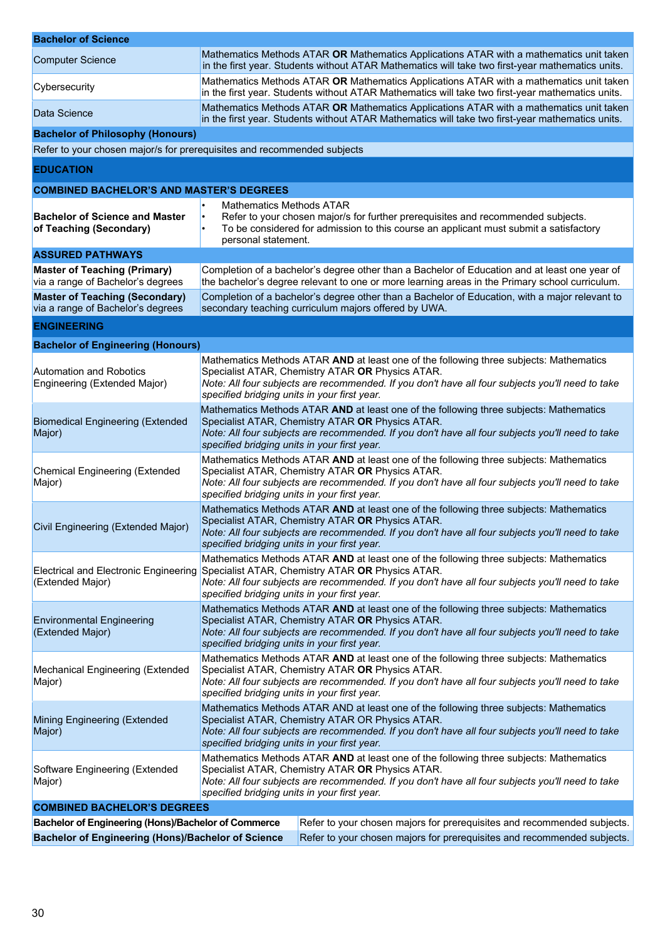| <b>Bachelor of Science</b>                                                 |                                                                                                                                                                                                                                                                                                |                                                                                                                                                                                             |  |  |
|----------------------------------------------------------------------------|------------------------------------------------------------------------------------------------------------------------------------------------------------------------------------------------------------------------------------------------------------------------------------------------|---------------------------------------------------------------------------------------------------------------------------------------------------------------------------------------------|--|--|
| <b>Computer Science</b>                                                    |                                                                                                                                                                                                                                                                                                | Mathematics Methods ATAR OR Mathematics Applications ATAR with a mathematics unit taken<br>in the first year. Students without ATAR Mathematics will take two first-year mathematics units. |  |  |
| Cybersecurity                                                              | Mathematics Methods ATAR OR Mathematics Applications ATAR with a mathematics unit taken<br>in the first year. Students without ATAR Mathematics will take two first-year mathematics units.                                                                                                    |                                                                                                                                                                                             |  |  |
| Data Science                                                               |                                                                                                                                                                                                                                                                                                | Mathematics Methods ATAR OR Mathematics Applications ATAR with a mathematics unit taken<br>in the first year. Students without ATAR Mathematics will take two first-year mathematics units. |  |  |
| <b>Bachelor of Philosophy (Honours)</b>                                    |                                                                                                                                                                                                                                                                                                |                                                                                                                                                                                             |  |  |
| Refer to your chosen major/s for prerequisites and recommended subjects    |                                                                                                                                                                                                                                                                                                |                                                                                                                                                                                             |  |  |
| <b>EDUCATION</b>                                                           |                                                                                                                                                                                                                                                                                                |                                                                                                                                                                                             |  |  |
| <b>COMBINED BACHELOR'S AND MASTER'S DEGREES</b>                            |                                                                                                                                                                                                                                                                                                |                                                                                                                                                                                             |  |  |
| <b>Bachelor of Science and Master</b><br>of Teaching (Secondary)           | Mathematics Methods ATAR<br>personal statement.                                                                                                                                                                                                                                                | Refer to your chosen major/s for further prerequisites and recommended subjects.<br>To be considered for admission to this course an applicant must submit a satisfactory                   |  |  |
| <b>ASSURED PATHWAYS</b>                                                    |                                                                                                                                                                                                                                                                                                |                                                                                                                                                                                             |  |  |
| <b>Master of Teaching (Primary)</b><br>via a range of Bachelor's degrees   | Completion of a bachelor's degree other than a Bachelor of Education and at least one year of<br>the bachelor's degree relevant to one or more learning areas in the Primary school curriculum.                                                                                                |                                                                                                                                                                                             |  |  |
| <b>Master of Teaching (Secondary)</b><br>via a range of Bachelor's degrees |                                                                                                                                                                                                                                                                                                | Completion of a bachelor's degree other than a Bachelor of Education, with a major relevant to<br>secondary teaching curriculum majors offered by UWA.                                      |  |  |
| <b>ENGINEERING</b>                                                         |                                                                                                                                                                                                                                                                                                |                                                                                                                                                                                             |  |  |
| <b>Bachelor of Engineering (Honours)</b>                                   |                                                                                                                                                                                                                                                                                                |                                                                                                                                                                                             |  |  |
| <b>Automation and Robotics</b><br>Engineering (Extended Major)             | Mathematics Methods ATAR AND at least one of the following three subjects: Mathematics<br>Specialist ATAR, Chemistry ATAR OR Physics ATAR.<br>Note: All four subjects are recommended. If you don't have all four subjects you'll need to take<br>specified bridging units in your first year. |                                                                                                                                                                                             |  |  |
| <b>Biomedical Engineering (Extended</b><br>Major)                          | Mathematics Methods ATAR AND at least one of the following three subjects: Mathematics<br>Specialist ATAR, Chemistry ATAR OR Physics ATAR.<br>Note: All four subjects are recommended. If you don't have all four subjects you'll need to take<br>specified bridging units in your first year. |                                                                                                                                                                                             |  |  |
| <b>Chemical Engineering (Extended</b><br>Major)                            | Mathematics Methods ATAR AND at least one of the following three subjects: Mathematics<br>Specialist ATAR, Chemistry ATAR OR Physics ATAR.<br>Note: All four subjects are recommended. If you don't have all four subjects you'll need to take<br>specified bridging units in your first year. |                                                                                                                                                                                             |  |  |
| Civil Engineering (Extended Major)                                         | Mathematics Methods ATAR AND at least one of the following three subjects: Mathematics<br>Specialist ATAR, Chemistry ATAR OR Physics ATAR.<br>Note: All four subjects are recommended. If you don't have all four subjects you'll need to take<br>specified bridging units in your first year. |                                                                                                                                                                                             |  |  |
| Electrical and Electronic Engineering<br>(Extended Major)                  | Mathematics Methods ATAR AND at least one of the following three subjects: Mathematics<br>Specialist ATAR, Chemistry ATAR OR Physics ATAR.<br>Note: All four subjects are recommended. If you don't have all four subjects you'll need to take<br>specified bridging units in your first year. |                                                                                                                                                                                             |  |  |
| <b>Environmental Engineering</b><br>(Extended Major)                       | Mathematics Methods ATAR AND at least one of the following three subjects: Mathematics<br>Specialist ATAR, Chemistry ATAR OR Physics ATAR.<br>Note: All four subjects are recommended. If you don't have all four subjects you'll need to take<br>specified bridging units in your first year. |                                                                                                                                                                                             |  |  |
| <b>Mechanical Engineering (Extended</b><br>Major)                          | Mathematics Methods ATAR AND at least one of the following three subjects: Mathematics<br>Specialist ATAR, Chemistry ATAR OR Physics ATAR.<br>Note: All four subjects are recommended. If you don't have all four subjects you'll need to take<br>specified bridging units in your first year. |                                                                                                                                                                                             |  |  |
| <b>Mining Engineering (Extended</b><br>Major)                              | Mathematics Methods ATAR AND at least one of the following three subjects: Mathematics<br>Specialist ATAR, Chemistry ATAR OR Physics ATAR.<br>Note: All four subjects are recommended. If you don't have all four subjects you'll need to take<br>specified bridging units in your first year. |                                                                                                                                                                                             |  |  |
| Software Engineering (Extended<br>Major)                                   | Mathematics Methods ATAR AND at least one of the following three subjects: Mathematics<br>Specialist ATAR, Chemistry ATAR OR Physics ATAR.<br>Note: All four subjects are recommended. If you don't have all four subjects you'll need to take<br>specified bridging units in your first year. |                                                                                                                                                                                             |  |  |
| <b>COMBINED BACHELOR'S DEGREES</b>                                         |                                                                                                                                                                                                                                                                                                |                                                                                                                                                                                             |  |  |
| Bachelor of Engineering (Hons)/Bachelor of Commerce                        |                                                                                                                                                                                                                                                                                                | Refer to your chosen majors for prerequisites and recommended subjects.                                                                                                                     |  |  |
| <b>Bachelor of Engineering (Hons)/Bachelor of Science</b>                  |                                                                                                                                                                                                                                                                                                | Refer to your chosen majors for prerequisites and recommended subjects.                                                                                                                     |  |  |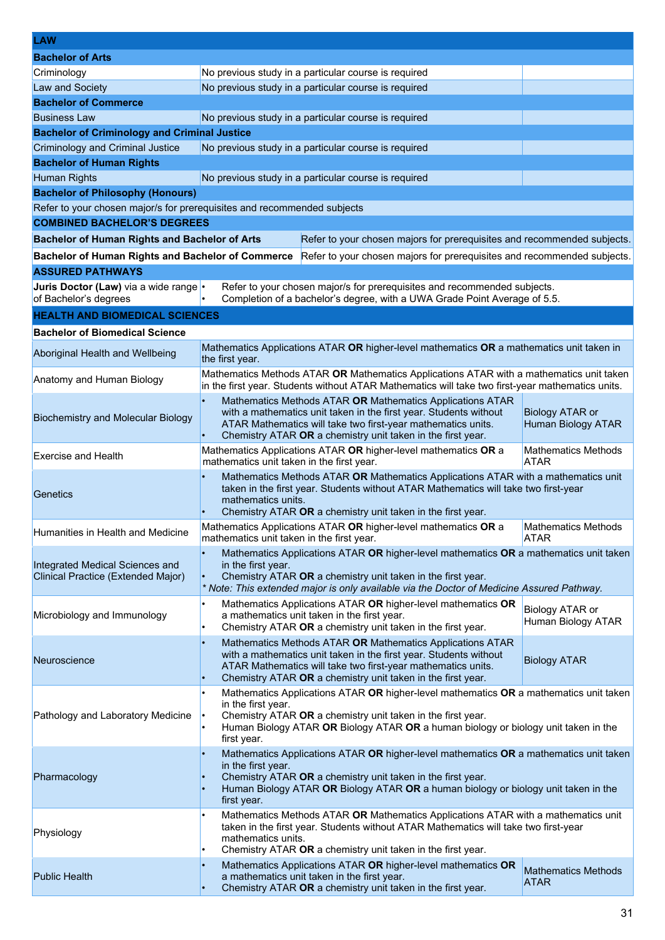| <b>LAW</b>                                                                                                    |                                                                                                                                                                                                                                                                                 |                                                     |  |  |
|---------------------------------------------------------------------------------------------------------------|---------------------------------------------------------------------------------------------------------------------------------------------------------------------------------------------------------------------------------------------------------------------------------|-----------------------------------------------------|--|--|
| <b>Bachelor of Arts</b>                                                                                       |                                                                                                                                                                                                                                                                                 |                                                     |  |  |
| Criminology                                                                                                   | No previous study in a particular course is required                                                                                                                                                                                                                            |                                                     |  |  |
| Law and Society                                                                                               | No previous study in a particular course is required                                                                                                                                                                                                                            |                                                     |  |  |
| <b>Bachelor of Commerce</b>                                                                                   |                                                                                                                                                                                                                                                                                 |                                                     |  |  |
| <b>Business Law</b>                                                                                           | No previous study in a particular course is required                                                                                                                                                                                                                            |                                                     |  |  |
| <b>Bachelor of Criminology and Criminal Justice</b>                                                           |                                                                                                                                                                                                                                                                                 |                                                     |  |  |
| <b>Criminology and Criminal Justice</b>                                                                       | No previous study in a particular course is required                                                                                                                                                                                                                            |                                                     |  |  |
| <b>Bachelor of Human Rights</b>                                                                               |                                                                                                                                                                                                                                                                                 |                                                     |  |  |
| <b>Human Rights</b>                                                                                           | No previous study in a particular course is required                                                                                                                                                                                                                            |                                                     |  |  |
| <b>Bachelor of Philosophy (Honours)</b>                                                                       |                                                                                                                                                                                                                                                                                 |                                                     |  |  |
| Refer to your chosen major/s for prerequisites and recommended subjects<br><b>COMBINED BACHELOR'S DEGREES</b> |                                                                                                                                                                                                                                                                                 |                                                     |  |  |
|                                                                                                               |                                                                                                                                                                                                                                                                                 |                                                     |  |  |
| <b>Bachelor of Human Rights and Bachelor of Arts</b>                                                          | Refer to your chosen majors for prerequisites and recommended subjects.                                                                                                                                                                                                         |                                                     |  |  |
| <b>Bachelor of Human Rights and Bachelor of Commerce</b>                                                      | Refer to your chosen majors for prerequisites and recommended subjects.                                                                                                                                                                                                         |                                                     |  |  |
| <b>ASSURED PATHWAYS</b>                                                                                       |                                                                                                                                                                                                                                                                                 |                                                     |  |  |
| Juris Doctor (Law) via a wide range  .<br>of Bachelor's degrees                                               | Refer to your chosen major/s for prerequisites and recommended subjects.<br>Completion of a bachelor's degree, with a UWA Grade Point Average of 5.5.                                                                                                                           |                                                     |  |  |
| <b>HEALTH AND BIOMEDICAL SCIENCES</b>                                                                         |                                                                                                                                                                                                                                                                                 |                                                     |  |  |
| <b>Bachelor of Biomedical Science</b>                                                                         |                                                                                                                                                                                                                                                                                 |                                                     |  |  |
| Aboriginal Health and Wellbeing                                                                               | Mathematics Applications ATAR OR higher-level mathematics OR a mathematics unit taken in<br>the first year.                                                                                                                                                                     |                                                     |  |  |
| Anatomy and Human Biology                                                                                     | Mathematics Methods ATAR OR Mathematics Applications ATAR with a mathematics unit taken<br>in the first year. Students without ATAR Mathematics will take two first-year mathematics units.                                                                                     |                                                     |  |  |
| <b>Biochemistry and Molecular Biology</b>                                                                     | Mathematics Methods ATAR OR Mathematics Applications ATAR<br>with a mathematics unit taken in the first year. Students without<br>ATAR Mathematics will take two first-year mathematics units.<br>Chemistry ATAR OR a chemistry unit taken in the first year.                   | <b>Biology ATAR or</b><br><b>Human Biology ATAR</b> |  |  |
| <b>Exercise and Health</b>                                                                                    | Mathematics Applications ATAR OR higher-level mathematics OR a<br><b>Mathematics Methods</b><br>mathematics unit taken in the first year.<br>ATAR                                                                                                                               |                                                     |  |  |
| Genetics                                                                                                      | Mathematics Methods ATAR OR Mathematics Applications ATAR with a mathematics unit<br>taken in the first year. Students without ATAR Mathematics will take two first-year<br>mathematics units.<br>Chemistry ATAR OR a chemistry unit taken in the first year.                   |                                                     |  |  |
| Humanities in Health and Medicine                                                                             | Mathematics Applications ATAR OR higher-level mathematics OR a<br>Mathematics Methods<br><b>ATAR</b><br>mathematics unit taken in the first year.                                                                                                                               |                                                     |  |  |
| Integrated Medical Sciences and<br>Clinical Practice (Extended Major)                                         | Mathematics Applications ATAR OR higher-level mathematics OR a mathematics unit taken<br>in the first year.<br>Chemistry ATAR OR a chemistry unit taken in the first year.<br>* Note: This extended major is only available via the Doctor of Medicine Assured Pathway.         |                                                     |  |  |
| Microbiology and Immunology                                                                                   | Mathematics Applications ATAR OR higher-level mathematics OR<br>a mathematics unit taken in the first year.<br>Chemistry ATAR OR a chemistry unit taken in the first year.                                                                                                      | Biology ATAR or<br>Human Biology ATAR               |  |  |
| Neuroscience                                                                                                  | Mathematics Methods ATAR OR Mathematics Applications ATAR<br>$\bullet$<br>with a mathematics unit taken in the first year. Students without<br>ATAR Mathematics will take two first-year mathematics units.<br>Chemistry ATAR OR a chemistry unit taken in the first year.      | <b>Biology ATAR</b>                                 |  |  |
| Pathology and Laboratory Medicine                                                                             | Mathematics Applications ATAR OR higher-level mathematics OR a mathematics unit taken<br>in the first year.<br>Chemistry ATAR OR a chemistry unit taken in the first year.<br>Human Biology ATAR OR Biology ATAR OR a human biology or biology unit taken in the<br>first year. |                                                     |  |  |
| Pharmacology                                                                                                  | Mathematics Applications ATAR OR higher-level mathematics OR a mathematics unit taken<br>in the first year.<br>Chemistry ATAR OR a chemistry unit taken in the first year.<br>Human Biology ATAR OR Biology ATAR OR a human biology or biology unit taken in the<br>first year. |                                                     |  |  |
| Physiology                                                                                                    | Mathematics Methods ATAR OR Mathematics Applications ATAR with a mathematics unit<br>taken in the first year. Students without ATAR Mathematics will take two first-year<br>mathematics units.<br>Chemistry ATAR OR a chemistry unit taken in the first year.                   |                                                     |  |  |
| <b>Public Health</b>                                                                                          | Mathematics Applications ATAR OR higher-level mathematics OR<br><b>Mathematics Methods</b><br>a mathematics unit taken in the first year.<br><b>ATAR</b><br>Chemistry ATAR OR a chemistry unit taken in the first year.                                                         |                                                     |  |  |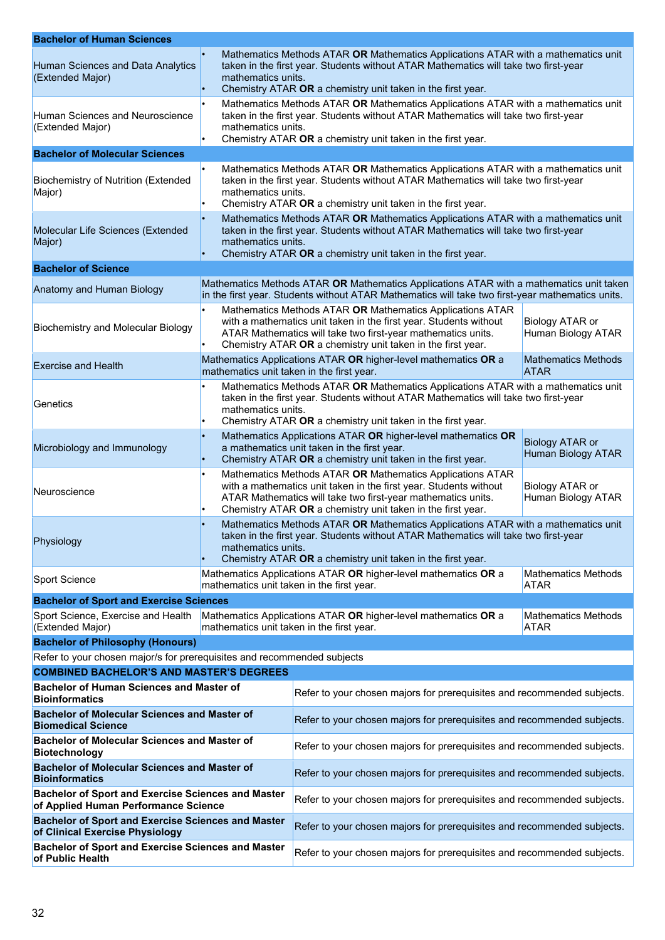| <b>Bachelor of Human Sciences</b>                                                                 |                                                                                                                                                                                                                                                                                  |                                                                                                                                                          |                                       |  |
|---------------------------------------------------------------------------------------------------|----------------------------------------------------------------------------------------------------------------------------------------------------------------------------------------------------------------------------------------------------------------------------------|----------------------------------------------------------------------------------------------------------------------------------------------------------|---------------------------------------|--|
| Human Sciences and Data Analytics<br>(Extended Major)                                             | Mathematics Methods ATAR OR Mathematics Applications ATAR with a mathematics unit<br>taken in the first year. Students without ATAR Mathematics will take two first-year<br>mathematics units.<br>Chemistry ATAR OR a chemistry unit taken in the first year.                    |                                                                                                                                                          |                                       |  |
| Human Sciences and Neuroscience<br>(Extended Major)                                               | Mathematics Methods ATAR OR Mathematics Applications ATAR with a mathematics unit<br>taken in the first year. Students without ATAR Mathematics will take two first-year<br>mathematics units.<br>Chemistry ATAR OR a chemistry unit taken in the first year.                    |                                                                                                                                                          |                                       |  |
| <b>Bachelor of Molecular Sciences</b>                                                             |                                                                                                                                                                                                                                                                                  |                                                                                                                                                          |                                       |  |
| <b>Biochemistry of Nutrition (Extended</b><br>Major)                                              | Mathematics Methods ATAR OR Mathematics Applications ATAR with a mathematics unit<br>taken in the first year. Students without ATAR Mathematics will take two first-year<br>mathematics units.<br>Chemistry ATAR OR a chemistry unit taken in the first year.                    |                                                                                                                                                          |                                       |  |
| Molecular Life Sciences (Extended<br>Major)                                                       | Mathematics Methods ATAR OR Mathematics Applications ATAR with a mathematics unit<br>taken in the first year. Students without ATAR Mathematics will take two first-year<br>mathematics units.<br>Chemistry ATAR OR a chemistry unit taken in the first year.                    |                                                                                                                                                          |                                       |  |
| <b>Bachelor of Science</b>                                                                        |                                                                                                                                                                                                                                                                                  |                                                                                                                                                          |                                       |  |
| Anatomy and Human Biology                                                                         | Mathematics Methods ATAR OR Mathematics Applications ATAR with a mathematics unit taken<br>in the first year. Students without ATAR Mathematics will take two first-year mathematics units.                                                                                      |                                                                                                                                                          |                                       |  |
| <b>Biochemistry and Molecular Biology</b>                                                         | Mathematics Methods ATAR OR Mathematics Applications ATAR<br>with a mathematics unit taken in the first year. Students without<br>Biology ATAR or<br>ATAR Mathematics will take two first-year mathematics units.<br>Chemistry ATAR OR a chemistry unit taken in the first year. |                                                                                                                                                          | Human Biology ATAR                    |  |
| <b>Exercise and Health</b>                                                                        |                                                                                                                                                                                                                                                                                  | Mathematics Applications ATAR OR higher-level mathematics OR a<br><b>Mathematics Methods</b><br>mathematics unit taken in the first year.<br><b>ATAR</b> |                                       |  |
| Genetics                                                                                          | Mathematics Methods ATAR OR Mathematics Applications ATAR with a mathematics unit<br>taken in the first year. Students without ATAR Mathematics will take two first-year<br>mathematics units.<br>Chemistry ATAR OR a chemistry unit taken in the first year.                    |                                                                                                                                                          |                                       |  |
| Microbiology and Immunology                                                                       | Mathematics Applications ATAR OR higher-level mathematics OR<br><b>Biology ATAR or</b><br>a mathematics unit taken in the first year.<br><b>Human Biology ATAR</b><br>Chemistry ATAR OR a chemistry unit taken in the first year.                                                |                                                                                                                                                          |                                       |  |
| Neuroscience                                                                                      | Mathematics Methods ATAR OR Mathematics Applications ATAR<br>with a mathematics unit taken in the first year. Students without<br>ATAR Mathematics will take two first-year mathematics units.<br>Chemistry ATAR OR a chemistry unit taken in the first year.                    |                                                                                                                                                          | Biology ATAR or<br>Human Biology ATAR |  |
| Physiology                                                                                        | Mathematics Methods ATAR OR Mathematics Applications ATAR with a mathematics unit<br>taken in the first year. Students without ATAR Mathematics will take two first-year<br>mathematics units.<br>Chemistry ATAR OR a chemistry unit taken in the first year.                    |                                                                                                                                                          |                                       |  |
| Sport Science                                                                                     | Mathematics Applications ATAR OR higher-level mathematics OR a<br><b>Mathematics Methods</b><br>mathematics unit taken in the first year.<br>ATAR                                                                                                                                |                                                                                                                                                          |                                       |  |
| <b>Bachelor of Sport and Exercise Sciences</b>                                                    |                                                                                                                                                                                                                                                                                  |                                                                                                                                                          |                                       |  |
| Sport Science, Exercise and Health<br>(Extended Major)                                            | Mathematics Applications ATAR OR higher-level mathematics OR a<br><b>Mathematics Methods</b><br>mathematics unit taken in the first year.<br><b>ATAR</b>                                                                                                                         |                                                                                                                                                          |                                       |  |
| <b>Bachelor of Philosophy (Honours)</b>                                                           |                                                                                                                                                                                                                                                                                  |                                                                                                                                                          |                                       |  |
| Refer to your chosen major/s for prerequisites and recommended subjects                           |                                                                                                                                                                                                                                                                                  |                                                                                                                                                          |                                       |  |
| <b>COMBINED BACHELOR'S AND MASTER'S DEGREES</b>                                                   |                                                                                                                                                                                                                                                                                  |                                                                                                                                                          |                                       |  |
| <b>Bachelor of Human Sciences and Master of</b><br><b>Bioinformatics</b>                          |                                                                                                                                                                                                                                                                                  | Refer to your chosen majors for prerequisites and recommended subjects.                                                                                  |                                       |  |
| <b>Bachelor of Molecular Sciences and Master of</b><br><b>Biomedical Science</b>                  |                                                                                                                                                                                                                                                                                  | Refer to your chosen majors for prerequisites and recommended subjects.                                                                                  |                                       |  |
| <b>Bachelor of Molecular Sciences and Master of</b><br><b>Biotechnology</b>                       |                                                                                                                                                                                                                                                                                  | Refer to your chosen majors for prerequisites and recommended subjects.                                                                                  |                                       |  |
| <b>Bachelor of Molecular Sciences and Master of</b><br><b>Bioinformatics</b>                      |                                                                                                                                                                                                                                                                                  | Refer to your chosen majors for prerequisites and recommended subjects.                                                                                  |                                       |  |
| <b>Bachelor of Sport and Exercise Sciences and Master</b><br>of Applied Human Performance Science |                                                                                                                                                                                                                                                                                  | Refer to your chosen majors for prerequisites and recommended subjects.                                                                                  |                                       |  |
| <b>Bachelor of Sport and Exercise Sciences and Master</b><br>of Clinical Exercise Physiology      |                                                                                                                                                                                                                                                                                  | Refer to your chosen majors for prerequisites and recommended subjects.                                                                                  |                                       |  |
| <b>Bachelor of Sport and Exercise Sciences and Master</b><br>of Public Health                     |                                                                                                                                                                                                                                                                                  | Refer to your chosen majors for prerequisites and recommended subjects.                                                                                  |                                       |  |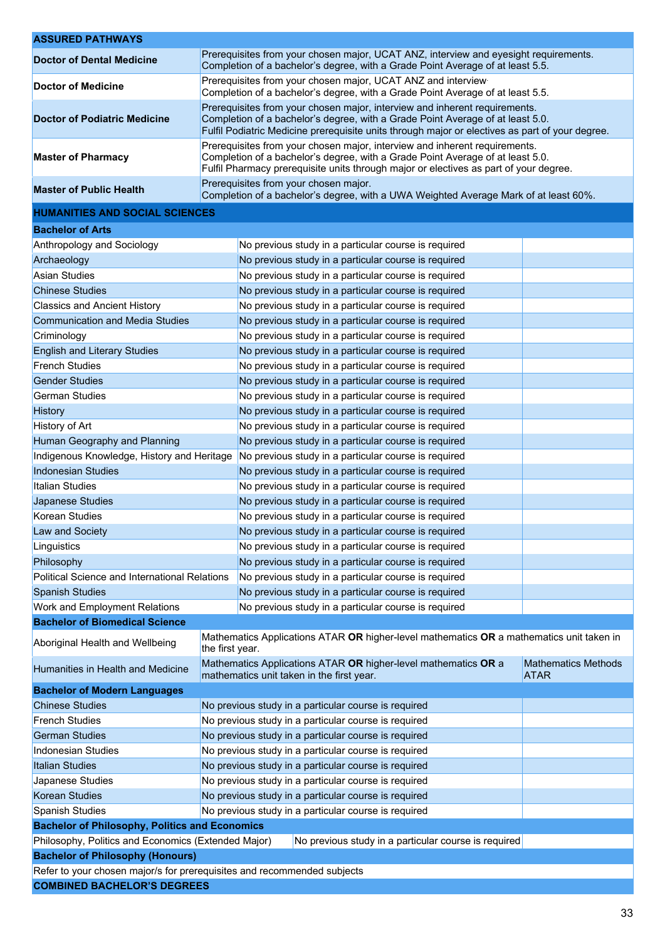| <b>ASSURED PATHWAYS</b>                                                                                     |                                                                                                                                                                                                                                                                 |                                                                                                                               |                                           |
|-------------------------------------------------------------------------------------------------------------|-----------------------------------------------------------------------------------------------------------------------------------------------------------------------------------------------------------------------------------------------------------------|-------------------------------------------------------------------------------------------------------------------------------|-------------------------------------------|
| <b>Doctor of Dental Medicine</b>                                                                            | Prerequisites from your chosen major, UCAT ANZ, interview and eyesight requirements.<br>Completion of a bachelor's degree, with a Grade Point Average of at least 5.5.                                                                                          |                                                                                                                               |                                           |
| <b>Doctor of Medicine</b>                                                                                   | Prerequisites from your chosen major, UCAT ANZ and interview<br>Completion of a bachelor's degree, with a Grade Point Average of at least 5.5.                                                                                                                  |                                                                                                                               |                                           |
| <b>Doctor of Podiatric Medicine</b>                                                                         | Prerequisites from your chosen major, interview and inherent requirements.<br>Completion of a bachelor's degree, with a Grade Point Average of at least 5.0.<br>Fulfil Podiatric Medicine prerequisite units through major or electives as part of your degree. |                                                                                                                               |                                           |
| <b>Master of Pharmacy</b>                                                                                   | Prerequisites from your chosen major, interview and inherent requirements.<br>Completion of a bachelor's degree, with a Grade Point Average of at least 5.0.<br>Fulfil Pharmacy prerequisite units through major or electives as part of your degree.           |                                                                                                                               |                                           |
| <b>Master of Public Health</b>                                                                              |                                                                                                                                                                                                                                                                 | Prerequisites from your chosen major.<br>Completion of a bachelor's degree, with a UWA Weighted Average Mark of at least 60%. |                                           |
| <b>HUMANITIES AND SOCIAL SCIENCES</b>                                                                       |                                                                                                                                                                                                                                                                 |                                                                                                                               |                                           |
| <b>Bachelor of Arts</b>                                                                                     |                                                                                                                                                                                                                                                                 |                                                                                                                               |                                           |
| Anthropology and Sociology                                                                                  |                                                                                                                                                                                                                                                                 | No previous study in a particular course is required                                                                          |                                           |
| Archaeology                                                                                                 |                                                                                                                                                                                                                                                                 | No previous study in a particular course is required                                                                          |                                           |
| Asian Studies                                                                                               |                                                                                                                                                                                                                                                                 | No previous study in a particular course is required                                                                          |                                           |
| <b>Chinese Studies</b>                                                                                      |                                                                                                                                                                                                                                                                 | No previous study in a particular course is required                                                                          |                                           |
| <b>Classics and Ancient History</b>                                                                         |                                                                                                                                                                                                                                                                 | No previous study in a particular course is required                                                                          |                                           |
| <b>Communication and Media Studies</b>                                                                      |                                                                                                                                                                                                                                                                 | No previous study in a particular course is required                                                                          |                                           |
| Criminology                                                                                                 |                                                                                                                                                                                                                                                                 | No previous study in a particular course is required                                                                          |                                           |
| <b>English and Literary Studies</b>                                                                         |                                                                                                                                                                                                                                                                 | No previous study in a particular course is required                                                                          |                                           |
| <b>French Studies</b>                                                                                       |                                                                                                                                                                                                                                                                 | No previous study in a particular course is required                                                                          |                                           |
| <b>Gender Studies</b>                                                                                       |                                                                                                                                                                                                                                                                 | No previous study in a particular course is required                                                                          |                                           |
| <b>German Studies</b>                                                                                       |                                                                                                                                                                                                                                                                 | No previous study in a particular course is required                                                                          |                                           |
| <b>History</b>                                                                                              |                                                                                                                                                                                                                                                                 | No previous study in a particular course is required                                                                          |                                           |
| History of Art                                                                                              |                                                                                                                                                                                                                                                                 | No previous study in a particular course is required                                                                          |                                           |
| Human Geography and Planning                                                                                |                                                                                                                                                                                                                                                                 | No previous study in a particular course is required                                                                          |                                           |
|                                                                                                             | Indigenous Knowledge, History and Heritage<br>No previous study in a particular course is required                                                                                                                                                              |                                                                                                                               |                                           |
| <b>Indonesian Studies</b>                                                                                   |                                                                                                                                                                                                                                                                 | No previous study in a particular course is required                                                                          |                                           |
| Italian Studies                                                                                             |                                                                                                                                                                                                                                                                 | No previous study in a particular course is required                                                                          |                                           |
| Japanese Studies                                                                                            |                                                                                                                                                                                                                                                                 | No previous study in a particular course is required                                                                          |                                           |
| Korean Studies                                                                                              |                                                                                                                                                                                                                                                                 | No previous study in a particular course is required                                                                          |                                           |
| Law and Society                                                                                             |                                                                                                                                                                                                                                                                 | No previous study in a particular course is required                                                                          |                                           |
| Linguistics                                                                                                 | No previous study in a particular course is required                                                                                                                                                                                                            |                                                                                                                               |                                           |
| Philosophy                                                                                                  |                                                                                                                                                                                                                                                                 | No previous study in a particular course is required                                                                          |                                           |
| <b>Political Science and International Relations</b>                                                        |                                                                                                                                                                                                                                                                 | No previous study in a particular course is required                                                                          |                                           |
| <b>Spanish Studies</b>                                                                                      |                                                                                                                                                                                                                                                                 | No previous study in a particular course is required                                                                          |                                           |
| Work and Employment Relations                                                                               |                                                                                                                                                                                                                                                                 | No previous study in a particular course is required                                                                          |                                           |
| <b>Bachelor of Biomedical Science</b>                                                                       |                                                                                                                                                                                                                                                                 |                                                                                                                               |                                           |
| Aboriginal Health and Wellbeing                                                                             | Mathematics Applications ATAR OR higher-level mathematics OR a mathematics unit taken in<br>the first year.                                                                                                                                                     |                                                                                                                               |                                           |
| Humanities in Health and Medicine                                                                           |                                                                                                                                                                                                                                                                 | Mathematics Applications ATAR OR higher-level mathematics OR a<br>mathematics unit taken in the first year.                   | <b>Mathematics Methods</b><br><b>ATAR</b> |
| <b>Bachelor of Modern Languages</b>                                                                         |                                                                                                                                                                                                                                                                 |                                                                                                                               |                                           |
| <b>Chinese Studies</b>                                                                                      | No previous study in a particular course is required                                                                                                                                                                                                            |                                                                                                                               |                                           |
| <b>French Studies</b>                                                                                       | No previous study in a particular course is required                                                                                                                                                                                                            |                                                                                                                               |                                           |
| <b>German Studies</b>                                                                                       | No previous study in a particular course is required                                                                                                                                                                                                            |                                                                                                                               |                                           |
| Indonesian Studies                                                                                          | No previous study in a particular course is required                                                                                                                                                                                                            |                                                                                                                               |                                           |
| <b>Italian Studies</b>                                                                                      | No previous study in a particular course is required                                                                                                                                                                                                            |                                                                                                                               |                                           |
| Japanese Studies                                                                                            | No previous study in a particular course is required                                                                                                                                                                                                            |                                                                                                                               |                                           |
| <b>Korean Studies</b>                                                                                       | No previous study in a particular course is required                                                                                                                                                                                                            |                                                                                                                               |                                           |
| <b>Spanish Studies</b>                                                                                      | No previous study in a particular course is required                                                                                                                                                                                                            |                                                                                                                               |                                           |
| <b>Bachelor of Philosophy, Politics and Economics</b>                                                       |                                                                                                                                                                                                                                                                 |                                                                                                                               |                                           |
| Philosophy, Politics and Economics (Extended Major)<br>No previous study in a particular course is required |                                                                                                                                                                                                                                                                 |                                                                                                                               |                                           |
| <b>Bachelor of Philosophy (Honours)</b>                                                                     |                                                                                                                                                                                                                                                                 |                                                                                                                               |                                           |
| Refer to your chosen major/s for prerequisites and recommended subjects                                     |                                                                                                                                                                                                                                                                 |                                                                                                                               |                                           |
| <b>COMBINED BACHELOR'S DEGREES</b>                                                                          |                                                                                                                                                                                                                                                                 |                                                                                                                               |                                           |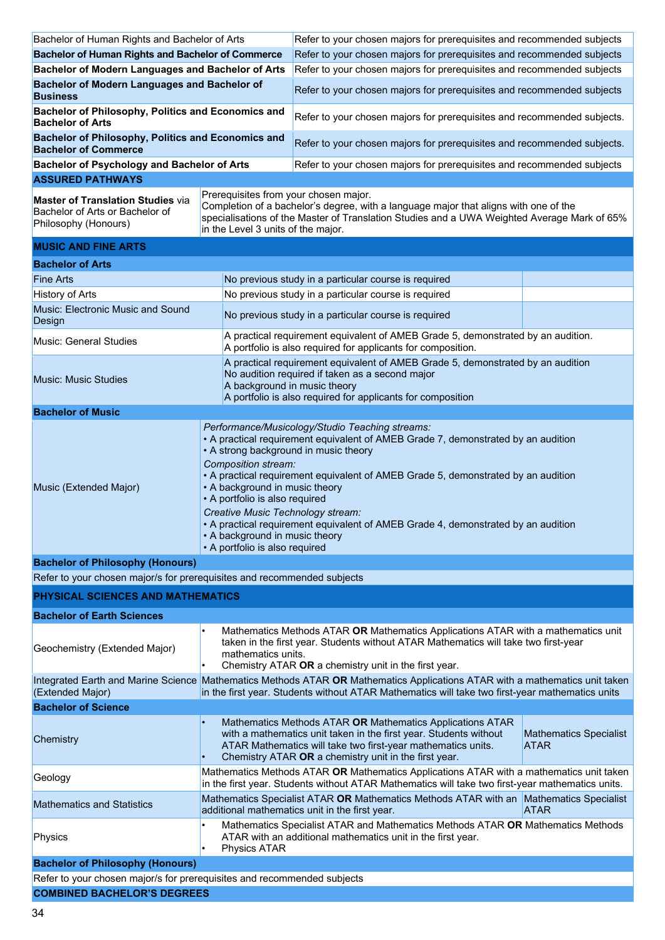| Bachelor of Human Rights and Bachelor of Arts                                                       |                                                                                                                                                                                                                                                                                                                                                                                                                                                                                                                                                             | Refer to your chosen majors for prerequisites and recommended subjects                                                                                                                                                                                  |                                              |
|-----------------------------------------------------------------------------------------------------|-------------------------------------------------------------------------------------------------------------------------------------------------------------------------------------------------------------------------------------------------------------------------------------------------------------------------------------------------------------------------------------------------------------------------------------------------------------------------------------------------------------------------------------------------------------|---------------------------------------------------------------------------------------------------------------------------------------------------------------------------------------------------------------------------------------------------------|----------------------------------------------|
| <b>Bachelor of Human Rights and Bachelor of Commerce</b>                                            |                                                                                                                                                                                                                                                                                                                                                                                                                                                                                                                                                             | Refer to your chosen majors for prerequisites and recommended subjects                                                                                                                                                                                  |                                              |
| Bachelor of Modern Languages and Bachelor of Arts                                                   |                                                                                                                                                                                                                                                                                                                                                                                                                                                                                                                                                             | Refer to your chosen majors for prerequisites and recommended subjects                                                                                                                                                                                  |                                              |
| <b>Bachelor of Modern Languages and Bachelor of</b><br><b>Business</b>                              |                                                                                                                                                                                                                                                                                                                                                                                                                                                                                                                                                             | Refer to your chosen majors for prerequisites and recommended subjects                                                                                                                                                                                  |                                              |
| Bachelor of Philosophy, Politics and Economics and<br><b>Bachelor of Arts</b>                       |                                                                                                                                                                                                                                                                                                                                                                                                                                                                                                                                                             | Refer to your chosen majors for prerequisites and recommended subjects.                                                                                                                                                                                 |                                              |
| Bachelor of Philosophy, Politics and Economics and<br><b>Bachelor of Commerce</b>                   |                                                                                                                                                                                                                                                                                                                                                                                                                                                                                                                                                             | Refer to your chosen majors for prerequisites and recommended subjects.                                                                                                                                                                                 |                                              |
| <b>Bachelor of Psychology and Bachelor of Arts</b>                                                  |                                                                                                                                                                                                                                                                                                                                                                                                                                                                                                                                                             | Refer to your chosen majors for prerequisites and recommended subjects                                                                                                                                                                                  |                                              |
| <b>ASSURED PATHWAYS</b>                                                                             |                                                                                                                                                                                                                                                                                                                                                                                                                                                                                                                                                             |                                                                                                                                                                                                                                                         |                                              |
| <b>Master of Translation Studies via</b><br>Bachelor of Arts or Bachelor of<br>Philosophy (Honours) | Prerequisites from your chosen major.<br>Completion of a bachelor's degree, with a language major that aligns with one of the<br>specialisations of the Master of Translation Studies and a UWA Weighted Average Mark of 65%<br>in the Level 3 units of the major.                                                                                                                                                                                                                                                                                          |                                                                                                                                                                                                                                                         |                                              |
| <b>MUSIC AND FINE ARTS</b>                                                                          |                                                                                                                                                                                                                                                                                                                                                                                                                                                                                                                                                             |                                                                                                                                                                                                                                                         |                                              |
| <b>Bachelor of Arts</b>                                                                             |                                                                                                                                                                                                                                                                                                                                                                                                                                                                                                                                                             |                                                                                                                                                                                                                                                         |                                              |
| <b>Fine Arts</b>                                                                                    |                                                                                                                                                                                                                                                                                                                                                                                                                                                                                                                                                             | No previous study in a particular course is required                                                                                                                                                                                                    |                                              |
| <b>History of Arts</b>                                                                              |                                                                                                                                                                                                                                                                                                                                                                                                                                                                                                                                                             | No previous study in a particular course is required                                                                                                                                                                                                    |                                              |
| Music: Electronic Music and Sound<br>Design                                                         |                                                                                                                                                                                                                                                                                                                                                                                                                                                                                                                                                             | No previous study in a particular course is required                                                                                                                                                                                                    |                                              |
| <b>Music: General Studies</b>                                                                       |                                                                                                                                                                                                                                                                                                                                                                                                                                                                                                                                                             | A practical requirement equivalent of AMEB Grade 5, demonstrated by an audition.<br>A portfolio is also required for applicants for composition.                                                                                                        |                                              |
| <b>Music: Music Studies</b>                                                                         |                                                                                                                                                                                                                                                                                                                                                                                                                                                                                                                                                             | A practical requirement equivalent of AMEB Grade 5, demonstrated by an audition<br>No audition required if taken as a second major<br>A background in music theory<br>A portfolio is also required for applicants for composition                       |                                              |
| <b>Bachelor of Music</b>                                                                            |                                                                                                                                                                                                                                                                                                                                                                                                                                                                                                                                                             |                                                                                                                                                                                                                                                         |                                              |
| Music (Extended Major)                                                                              | Performance/Musicology/Studio Teaching streams:<br>• A practical requirement equivalent of AMEB Grade 7, demonstrated by an audition<br>• A strong background in music theory<br>Composition stream:<br>• A practical requirement equivalent of AMEB Grade 5, demonstrated by an audition<br>• A background in music theory<br>• A portfolio is also required<br>Creative Music Technology stream:<br>• A practical requirement equivalent of AMEB Grade 4, demonstrated by an audition<br>• A background in music theory<br>• A portfolio is also required |                                                                                                                                                                                                                                                         |                                              |
| <b>Bachelor of Philosophy (Honours)</b>                                                             |                                                                                                                                                                                                                                                                                                                                                                                                                                                                                                                                                             |                                                                                                                                                                                                                                                         |                                              |
| Refer to your chosen major/s for prerequisites and recommended subjects                             |                                                                                                                                                                                                                                                                                                                                                                                                                                                                                                                                                             |                                                                                                                                                                                                                                                         |                                              |
| PHYSICAL SCIENCES AND MATHEMATICS                                                                   |                                                                                                                                                                                                                                                                                                                                                                                                                                                                                                                                                             |                                                                                                                                                                                                                                                         |                                              |
| <b>Bachelor of Earth Sciences</b>                                                                   |                                                                                                                                                                                                                                                                                                                                                                                                                                                                                                                                                             |                                                                                                                                                                                                                                                         |                                              |
| Geochemistry (Extended Major)                                                                       | mathematics units.                                                                                                                                                                                                                                                                                                                                                                                                                                                                                                                                          | Mathematics Methods ATAR OR Mathematics Applications ATAR with a mathematics unit<br>taken in the first year. Students without ATAR Mathematics will take two first-year<br>Chemistry ATAR OR a chemistry unit in the first year.                       |                                              |
| (Extended Major)                                                                                    | Integrated Earth and Marine Science Mathematics Methods ATAR OR Mathematics Applications ATAR with a mathematics unit taken<br>in the first year. Students without ATAR Mathematics will take two first-year mathematics units                                                                                                                                                                                                                                                                                                                              |                                                                                                                                                                                                                                                         |                                              |
| <b>Bachelor of Science</b>                                                                          |                                                                                                                                                                                                                                                                                                                                                                                                                                                                                                                                                             |                                                                                                                                                                                                                                                         |                                              |
| Chemistry                                                                                           |                                                                                                                                                                                                                                                                                                                                                                                                                                                                                                                                                             | Mathematics Methods ATAR OR Mathematics Applications ATAR<br>with a mathematics unit taken in the first year. Students without<br>ATAR Mathematics will take two first-year mathematics units.<br>Chemistry ATAR OR a chemistry unit in the first year. | <b>Mathematics Specialist</b><br><b>ATAR</b> |
| Geology                                                                                             |                                                                                                                                                                                                                                                                                                                                                                                                                                                                                                                                                             | Mathematics Methods ATAR OR Mathematics Applications ATAR with a mathematics unit taken<br>in the first year. Students without ATAR Mathematics will take two first-year mathematics units.                                                             |                                              |
| <b>Mathematics and Statistics</b>                                                                   | Mathematics Specialist ATAR OR Mathematics Methods ATAR with an Mathematics Specialist<br>additional mathematics unit in the first year.<br><b>ATAR</b>                                                                                                                                                                                                                                                                                                                                                                                                     |                                                                                                                                                                                                                                                         |                                              |
| Physics                                                                                             | Mathematics Specialist ATAR and Mathematics Methods ATAR OR Mathematics Methods<br>ATAR with an additional mathematics unit in the first year.<br>Physics ATAR                                                                                                                                                                                                                                                                                                                                                                                              |                                                                                                                                                                                                                                                         |                                              |
| <b>Bachelor of Philosophy (Honours)</b>                                                             |                                                                                                                                                                                                                                                                                                                                                                                                                                                                                                                                                             |                                                                                                                                                                                                                                                         |                                              |
| Refer to your chosen major/s for prerequisites and recommended subjects                             |                                                                                                                                                                                                                                                                                                                                                                                                                                                                                                                                                             |                                                                                                                                                                                                                                                         |                                              |
| <b>COMBINED BACHELOR'S DEGREES</b>                                                                  |                                                                                                                                                                                                                                                                                                                                                                                                                                                                                                                                                             |                                                                                                                                                                                                                                                         |                                              |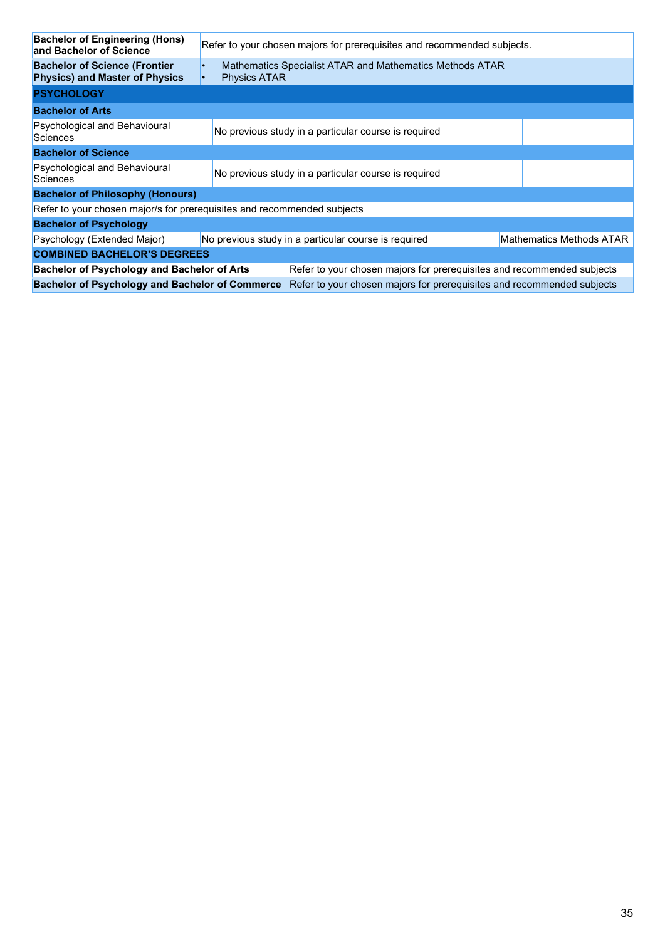| <b>Bachelor of Engineering (Hons)</b><br>and Bachelor of Science               | Refer to your chosen majors for prerequisites and recommended subjects.          |                                                                                 |  |  |
|--------------------------------------------------------------------------------|----------------------------------------------------------------------------------|---------------------------------------------------------------------------------|--|--|
| <b>Bachelor of Science (Frontier)</b><br><b>Physics) and Master of Physics</b> |                                                                                  | Mathematics Specialist ATAR and Mathematics Methods ATAR<br><b>Physics ATAR</b> |  |  |
| <b>PSYCHOLOGY</b>                                                              |                                                                                  |                                                                                 |  |  |
| <b>Bachelor of Arts</b>                                                        |                                                                                  |                                                                                 |  |  |
| Psychological and Behavioural<br>Sciences                                      |                                                                                  | No previous study in a particular course is required                            |  |  |
| <b>Bachelor of Science</b>                                                     |                                                                                  |                                                                                 |  |  |
| Psychological and Behavioural<br>Sciences                                      |                                                                                  | No previous study in a particular course is required                            |  |  |
| <b>Bachelor of Philosophy (Honours)</b>                                        |                                                                                  |                                                                                 |  |  |
| Refer to your chosen major/s for prerequisites and recommended subjects        |                                                                                  |                                                                                 |  |  |
| <b>Bachelor of Psychology</b>                                                  |                                                                                  |                                                                                 |  |  |
| Psychology (Extended Major)                                                    | No previous study in a particular course is required<br>Mathematics Methods ATAR |                                                                                 |  |  |
| <b>COMBINED BACHELOR'S DEGREES</b>                                             |                                                                                  |                                                                                 |  |  |
| <b>Bachelor of Psychology and Bachelor of Arts</b>                             |                                                                                  | Refer to your chosen majors for prerequisites and recommended subjects          |  |  |
| <b>Bachelor of Psychology and Bachelor of Commerce</b>                         |                                                                                  | Refer to your chosen majors for prerequisites and recommended subjects          |  |  |